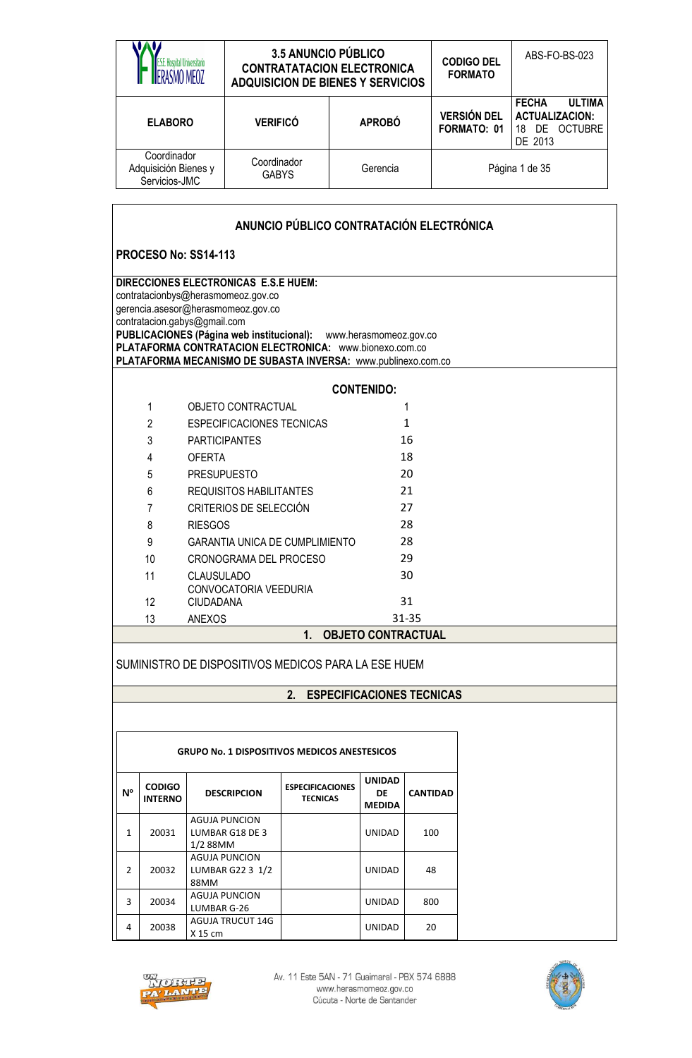|                                                                                                                                                                                                                                                                                                                                                  |                                                      |                                                  | <b>3.5 ANUNCIO PÚBLICO</b><br><b>CONTRATATACION ELECTRONICA</b><br><b>ADQUISICION DE BIENES Y SERVICIOS</b> |          |                                      |                 | <b>CODIGO DEL</b><br><b>FORMATO</b>      | ABS-FO-BS-023                                                                      |  |  |
|--------------------------------------------------------------------------------------------------------------------------------------------------------------------------------------------------------------------------------------------------------------------------------------------------------------------------------------------------|------------------------------------------------------|--------------------------------------------------|-------------------------------------------------------------------------------------------------------------|----------|--------------------------------------|-----------------|------------------------------------------|------------------------------------------------------------------------------------|--|--|
|                                                                                                                                                                                                                                                                                                                                                  | <b>ELABORO</b>                                       |                                                  | <b>VERIFICÓ</b>                                                                                             |          | <b>APROBÓ</b>                        |                 | <b>VERSIÓN DEL</b><br><b>FORMATO: 01</b> | <b>FECHA</b><br><b>ULTIMA</b><br><b>ACTUALIZACION:</b><br>18 DE OCTUBRE<br>DE 2013 |  |  |
|                                                                                                                                                                                                                                                                                                                                                  | Coordinador<br>Adquisición Bienes y<br>Servicios-JMC |                                                  | Coordinador<br><b>GABYS</b>                                                                                 | Gerencia |                                      |                 |                                          | Página 1 de 35                                                                     |  |  |
|                                                                                                                                                                                                                                                                                                                                                  |                                                      |                                                  | ANUNCIO PÚBLICO CONTRATACIÓN ELECTRÓNICA                                                                    |          |                                      |                 |                                          |                                                                                    |  |  |
|                                                                                                                                                                                                                                                                                                                                                  |                                                      |                                                  |                                                                                                             |          |                                      |                 |                                          |                                                                                    |  |  |
|                                                                                                                                                                                                                                                                                                                                                  |                                                      | <b>PROCESO No: SS14-113</b>                      |                                                                                                             |          |                                      |                 |                                          |                                                                                    |  |  |
| DIRECCIONES ELECTRONICAS E.S.E HUEM:<br>contratacionbys@herasmomeoz.gov.co<br>gerencia.asesor@herasmomeoz.gov.co<br>contratacion.gabys@gmail.com<br>PUBLICACIONES (Página web institucional): www.herasmomeoz.gov.co<br>PLATAFORMA CONTRATACION ELECTRONICA: www.bionexo.com.co<br>PLATAFORMA MECANISMO DE SUBASTA INVERSA: www.publinexo.com.co |                                                      |                                                  |                                                                                                             |          |                                      |                 |                                          |                                                                                    |  |  |
|                                                                                                                                                                                                                                                                                                                                                  |                                                      |                                                  |                                                                                                             |          | <b>CONTENIDO:</b>                    |                 |                                          |                                                                                    |  |  |
|                                                                                                                                                                                                                                                                                                                                                  | 1                                                    | <b>OBJETO CONTRACTUAL</b>                        |                                                                                                             |          |                                      | 1               |                                          |                                                                                    |  |  |
|                                                                                                                                                                                                                                                                                                                                                  | $\overline{2}$                                       |                                                  | <b>ESPECIFICACIONES TECNICAS</b>                                                                            |          |                                      | 1               |                                          |                                                                                    |  |  |
|                                                                                                                                                                                                                                                                                                                                                  | 3                                                    | <b>PARTICIPANTES</b>                             |                                                                                                             |          |                                      | 16              |                                          |                                                                                    |  |  |
|                                                                                                                                                                                                                                                                                                                                                  | 4                                                    | <b>OFERTA</b>                                    |                                                                                                             |          |                                      | 18              |                                          |                                                                                    |  |  |
|                                                                                                                                                                                                                                                                                                                                                  | 5                                                    | <b>PRESUPUESTO</b>                               |                                                                                                             |          |                                      | 20              |                                          |                                                                                    |  |  |
|                                                                                                                                                                                                                                                                                                                                                  | 6                                                    | <b>REQUISITOS HABILITANTES</b>                   |                                                                                                             |          | 21                                   |                 |                                          |                                                                                    |  |  |
|                                                                                                                                                                                                                                                                                                                                                  | 7                                                    | CRITERIOS DE SELECCIÓN                           |                                                                                                             |          |                                      | 27              |                                          |                                                                                    |  |  |
|                                                                                                                                                                                                                                                                                                                                                  | 8                                                    | <b>RIESGOS</b>                                   |                                                                                                             |          |                                      | 28              |                                          |                                                                                    |  |  |
|                                                                                                                                                                                                                                                                                                                                                  | 9                                                    |                                                  | <b>GARANTIA UNICA DE CUMPLIMIENTO</b>                                                                       |          |                                      | 28              |                                          |                                                                                    |  |  |
|                                                                                                                                                                                                                                                                                                                                                  | 10                                                   |                                                  | CRONOGRAMA DEL PROCESO                                                                                      |          |                                      | 29              |                                          |                                                                                    |  |  |
|                                                                                                                                                                                                                                                                                                                                                  | 11                                                   | <b>CLAUSULADO</b>                                |                                                                                                             |          |                                      | 30              |                                          |                                                                                    |  |  |
|                                                                                                                                                                                                                                                                                                                                                  |                                                      | CONVOCATORIA VEEDURIA                            |                                                                                                             |          |                                      |                 |                                          |                                                                                    |  |  |
|                                                                                                                                                                                                                                                                                                                                                  | 12                                                   | <b>CIUDADANA</b>                                 |                                                                                                             |          |                                      | 31              |                                          |                                                                                    |  |  |
|                                                                                                                                                                                                                                                                                                                                                  | 13                                                   | <b>ANEXOS</b>                                    |                                                                                                             |          |                                      | $31 - 35$       |                                          |                                                                                    |  |  |
|                                                                                                                                                                                                                                                                                                                                                  |                                                      |                                                  | 1.                                                                                                          |          | <b>OBJETO CONTRACTUAL</b>            |                 |                                          |                                                                                    |  |  |
|                                                                                                                                                                                                                                                                                                                                                  |                                                      |                                                  | SUMINISTRO DE DISPOSITIVOS MEDICOS PARA LA ESE HUEM                                                         |          |                                      |                 |                                          |                                                                                    |  |  |
|                                                                                                                                                                                                                                                                                                                                                  |                                                      |                                                  | 2.                                                                                                          |          | <b>ESPECIFICACIONES TECNICAS</b>     |                 |                                          |                                                                                    |  |  |
|                                                                                                                                                                                                                                                                                                                                                  |                                                      |                                                  |                                                                                                             |          |                                      |                 |                                          |                                                                                    |  |  |
|                                                                                                                                                                                                                                                                                                                                                  |                                                      |                                                  | <b>GRUPO No. 1 DISPOSITIVOS MEDICOS ANESTESICOS</b>                                                         |          |                                      |                 |                                          |                                                                                    |  |  |
| N <sup>o</sup>                                                                                                                                                                                                                                                                                                                                   | <b>CODIGO</b><br><b>INTERNO</b>                      | <b>DESCRIPCION</b>                               | <b>ESPECIFICACIONES</b><br><b>TECNICAS</b>                                                                  |          | <b>UNIDAD</b><br>DE<br><b>MEDIDA</b> | <b>CANTIDAD</b> |                                          |                                                                                    |  |  |
| <b>AGUJA PUNCION</b><br>20031<br>LUMBAR G18 DE 3<br>1<br>1/2 88MM                                                                                                                                                                                                                                                                                |                                                      |                                                  |                                                                                                             |          | <b>UNIDAD</b>                        | 100             |                                          |                                                                                    |  |  |
| 2                                                                                                                                                                                                                                                                                                                                                | 20032                                                | <b>AGUJA PUNCION</b><br>LUMBAR G22 3 1/2<br>88MM |                                                                                                             |          | UNIDAD                               | 48              |                                          |                                                                                    |  |  |



 $3 \left| 20034 \right|$  AGUJA PUNCION

4 20038 AGUJA TRUCUT 14G

Av. 11 Este 5AN - 71 Guaimaral - PBX 574 6888<br>www.herasmomeoz.gov.co<br>Cúcuta - Norte de Santander

LUMBAR G-26 **UNIDAD** 800

 $X 15 cm$   $X 15 cm$   $20$ 

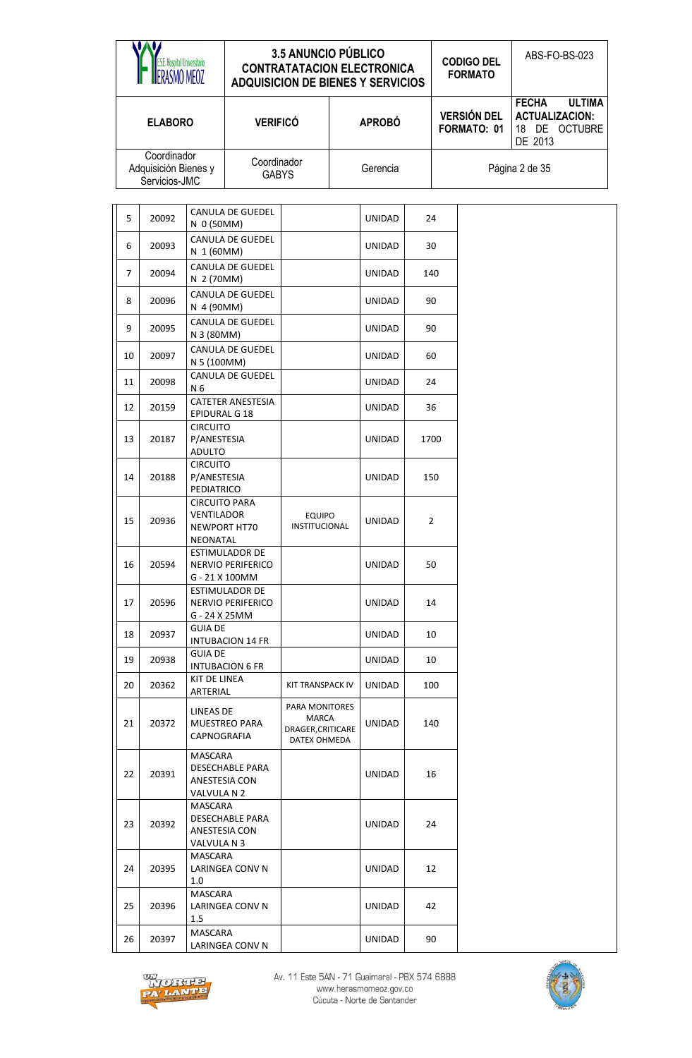|    | <b>E.S.E. Hospital Universitario</b><br>ERASMO MEOZ  |                                                       | <b>ADQUISICION DE BIENES Y SERVICIOS</b>              | <b>3.5 ANUNCIO PÚBLICO</b><br><b>CONTRATATACION ELECTRONICA</b> |               |                |                                   | <b>CODIGO DEL</b><br><b>FORMATO</b> | ABS-FO-BS-023                                                     |               |
|----|------------------------------------------------------|-------------------------------------------------------|-------------------------------------------------------|-----------------------------------------------------------------|---------------|----------------|-----------------------------------|-------------------------------------|-------------------------------------------------------------------|---------------|
|    | <b>ELABORO</b>                                       |                                                       | <b>VERIFICÓ</b>                                       |                                                                 | <b>APROBÓ</b> |                | <b>VERSIÓN DEL</b><br>FORMATO: 01 |                                     | <b>FECHA</b><br><b>ACTUALIZACION:</b><br>18 DE OCTUBRE<br>DE 2013 | <b>ULTIMA</b> |
|    | Coordinador<br>Adquisición Bienes y<br>Servicios-JMC |                                                       | Coordinador<br><b>GABYS</b>                           |                                                                 | Gerencia      |                |                                   |                                     | Página 2 de 35                                                    |               |
| 5  | 20092                                                | N 0 (50MM)                                            | <b>CANULA DE GUEDEL</b>                               |                                                                 | UNIDAD        |                | 24                                |                                     |                                                                   |               |
| 6  | 20093                                                | N 1 (60MM)                                            | <b>CANULA DE GUEDEL</b>                               |                                                                 | UNIDAD        | 30             |                                   |                                     |                                                                   |               |
| 7  | 20094                                                | N 2 (70MM)                                            | <b>CANULA DE GUEDEL</b>                               |                                                                 | <b>UNIDAD</b> | 140            |                                   |                                     |                                                                   |               |
| 8  | 20096                                                | N 4 (90MM)                                            | <b>CANULA DE GUEDEL</b>                               |                                                                 | <b>UNIDAD</b> | 90             |                                   |                                     |                                                                   |               |
| 9  | 20095                                                | N 3 (80MM)                                            | <b>CANULA DE GUEDEL</b>                               |                                                                 | UNIDAD        | 90             |                                   |                                     |                                                                   |               |
| 10 | 20097                                                | N 5 (100MM)                                           | <b>CANULA DE GUEDEL</b>                               |                                                                 | UNIDAD        | 60             |                                   |                                     |                                                                   |               |
| 11 | 20098                                                | N <sub>6</sub>                                        | <b>CANULA DE GUEDEL</b>                               |                                                                 | <b>UNIDAD</b> |                | 24                                |                                     |                                                                   |               |
| 12 | 20159                                                | <b>EPIDURAL G 18</b>                                  | <b>CATETER ANESTESIA</b>                              |                                                                 | UNIDAD        | 36             |                                   |                                     |                                                                   |               |
| 13 | 20187                                                | <b>CIRCUITO</b><br>P/ANESTESIA<br><b>ADULTO</b>       |                                                       |                                                                 | <b>UNIDAD</b> | 1700           |                                   |                                     |                                                                   |               |
| 14 | 20188                                                | <b>CIRCUITO</b><br>P/ANESTESIA<br>PEDIATRICO          |                                                       |                                                                 | <b>UNIDAD</b> | 150            |                                   |                                     |                                                                   |               |
| 15 | 20936                                                | <b>CIRCUITO PARA</b><br><b>VENTILADOR</b><br>NEONATAL | NEWPORT HT70                                          | <b>EQUIPO</b><br><b>INSTITUCIONAL</b>                           | <b>UNIDAD</b> | $\overline{2}$ |                                   |                                     |                                                                   |               |
| 16 | 20594                                                |                                                       | ESTIMULADOR DE<br>NERVIO PERIFERICO<br>G - 21 X 100MM |                                                                 | <b>UNIDAD</b> |                | 50                                |                                     |                                                                   |               |
| 17 | 20596                                                | G - 24 X 25MM                                         | ESTIMULADOR DE<br>NERVIO PERIFERICO                   |                                                                 | UNIDAD        |                | 14                                |                                     |                                                                   |               |
| 18 | 20937                                                | <b>GUIA DE</b>                                        | INTUBACION 14 FR                                      |                                                                 | UNIDAD        |                | 10                                |                                     |                                                                   |               |
| 19 | 20938                                                | <b>GUIA DE</b>                                        | <b>INTUBACION 6 FR</b>                                |                                                                 | UNIDAD        |                | 10                                |                                     |                                                                   |               |
| 20 | 20362                                                | KIT DE LINEA<br>ARTERIAL                              |                                                       | <b>KIT TRANSPACK IV</b>                                         | UNIDAD        |                | 100                               |                                     |                                                                   |               |
| 21 | 20372                                                | LINEAS DE<br>CAPNOGRAFIA                              | MUESTREO PARA                                         | PARA MONITORES<br>MARCA<br>DRAGER, CRITICARE<br>DATEX OHMEDA    | UNIDAD        |                | 140                               |                                     |                                                                   |               |
| 22 | 20391                                                | MASCARA<br>VALVULA N 2                                | DESECHABLE PARA<br>ANESTESIA CON                      |                                                                 | UNIDAD        |                | 16                                |                                     |                                                                   |               |
| 23 | 20392                                                | MASCARA<br>VALVULA N 3                                | DESECHABLE PARA<br>ANESTESIA CON                      |                                                                 | UNIDAD        |                | 24                                |                                     |                                                                   |               |
| 24 | MASCARA<br>20395<br>LARINGEA CONV N<br>1.0           |                                                       |                                                       | UNIDAD                                                          |               | 12             |                                   |                                     |                                                                   |               |
| 25 | MASCARA<br>20396<br>LARINGEA CONV N<br>1.5           |                                                       |                                                       |                                                                 | UNIDAD        |                | 42                                |                                     |                                                                   |               |
| 26 | 20397                                                | MASCARA                                               | LARINGEA CONV N                                       |                                                                 | UNIDAD        |                | 90                                |                                     |                                                                   |               |



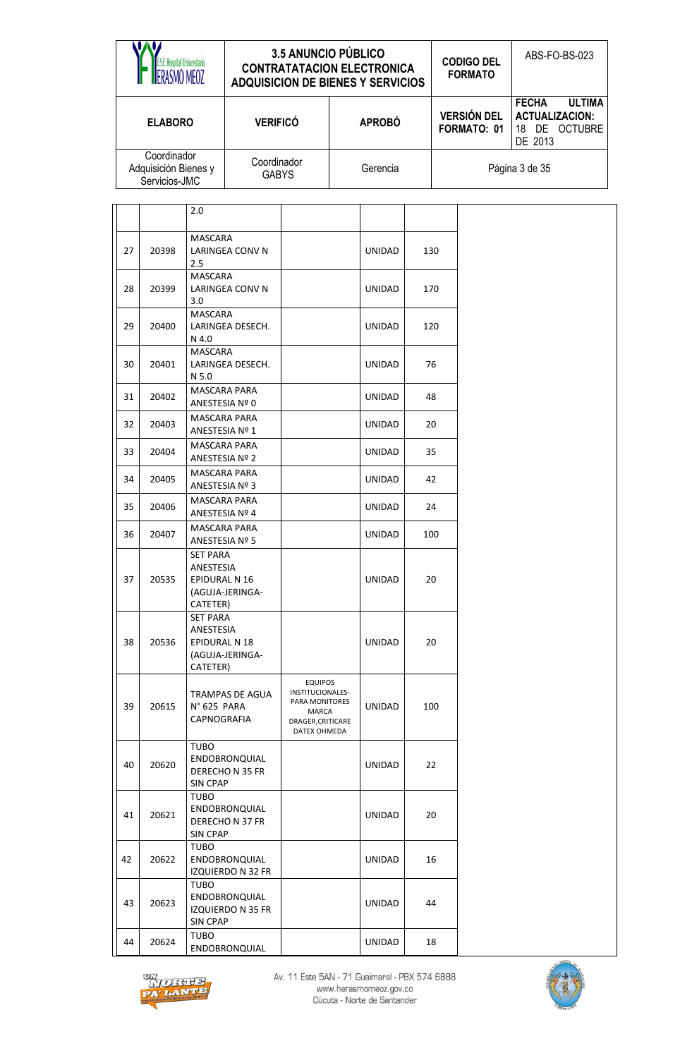|    | <b>E.S.E. Hospital Universitario</b><br>RASMO MEOZ   |                                                    | <b>ADQUISICION DE BIENES Y SERVICIOS</b> | <b>3.5 ANUNCIO PÚBLICO</b><br><b>CONTRATATACION ELECTRONICA</b>                                    |               |     |     | <b>CODIGO DEL</b><br><b>FORMATO</b> | ABS-FO-BS-023                                                                      |
|----|------------------------------------------------------|----------------------------------------------------|------------------------------------------|----------------------------------------------------------------------------------------------------|---------------|-----|-----|-------------------------------------|------------------------------------------------------------------------------------|
|    | <b>ELABORO</b>                                       |                                                    | <b>VERIFICÓ</b>                          |                                                                                                    | <b>APROBÓ</b> |     |     | <b>VERSIÓN DEL</b><br>FORMATO: 01   | <b>FECHA</b><br><b>ULTIMA</b><br><b>ACTUALIZACION:</b><br>18 DE OCTUBRE<br>DE 2013 |
|    | Coordinador<br>Adquisición Bienes y<br>Servicios-JMC |                                                    | Coordinador<br><b>GABYS</b>              |                                                                                                    | Gerencia      |     |     |                                     | Página 3 de 35                                                                     |
|    |                                                      | 2.0                                                |                                          |                                                                                                    |               |     |     |                                     |                                                                                    |
| 27 | 20398                                                | <b>MASCARA</b><br>2.5                              | <b>LARINGEA CONV N</b>                   |                                                                                                    | UNIDAD        |     | 130 |                                     |                                                                                    |
| 28 | 20399                                                | <b>MASCARA</b><br>3.0                              | LARINGEA CONV N                          |                                                                                                    | UNIDAD        |     | 170 |                                     |                                                                                    |
| 29 | 20400                                                | <b>MASCARA</b><br>N 4.0                            | LARINGEA DESECH.                         |                                                                                                    | UNIDAD        | 120 |     |                                     |                                                                                    |
| 30 | 20401                                                | <b>MASCARA</b><br>N 5.0                            | LARINGEA DESECH.                         |                                                                                                    | <b>UNIDAD</b> |     | 76  |                                     |                                                                                    |
| 31 | 20402                                                |                                                    | <b>MASCARA PARA</b><br>ANESTESIA Nº 0    |                                                                                                    | UNIDAD        |     | 48  |                                     |                                                                                    |
| 32 | 20403                                                | ANESTESIA Nº 1                                     | <b>MASCARA PARA</b>                      |                                                                                                    | UNIDAD        |     | 20  |                                     |                                                                                    |
| 33 | 20404                                                |                                                    | <b>MASCARA PARA</b><br>ANESTESIA Nº 2    |                                                                                                    | UNIDAD        |     | 35  |                                     |                                                                                    |
| 34 | 20405                                                |                                                    | <b>MASCARA PARA</b><br>ANESTESIA Nº 3    |                                                                                                    | <b>UNIDAD</b> |     | 42  |                                     |                                                                                    |
| 35 | 20406                                                |                                                    | <b>MASCARA PARA</b><br>ANESTESIA Nº 4    |                                                                                                    | UNIDAD        |     | 24  |                                     |                                                                                    |
| 36 | 20407                                                | ANESTESIA Nº 5                                     | <b>MASCARA PARA</b>                      |                                                                                                    | <b>UNIDAD</b> |     | 100 |                                     |                                                                                    |
| 37 | 20535                                                | SET PARA<br>ANESTESIA<br>EPIDURAL N 16<br>CATETER) | (AGUJA-JERINGA-                          |                                                                                                    | UNIDAD        |     | 20  |                                     |                                                                                    |
| 38 | 20536                                                | SET PARA<br>ANESTESIA<br>EPIDURAL N 18<br>CATETER) | (AGUJA-JERINGA-                          |                                                                                                    | UNIDAD        |     | 20  |                                     |                                                                                    |
| 39 | 20615                                                | N°625 PARA<br>CAPNOGRAFIA                          | TRAMPAS DE AGUA                          | <b>EQUIPOS</b><br>INSTITUCIONALES-<br>PARA MONITORES<br>MARCA<br>DRAGER, CRITICARE<br>DATEX OHMEDA | UNIDAD        |     | 100 |                                     |                                                                                    |
| 40 | 20620                                                | TUBO<br><b>SIN CPAP</b>                            | ENDOBRONQUIAL<br>DERECHON 35 FR          |                                                                                                    | UNIDAD        |     | 22  |                                     |                                                                                    |
| 41 | 20621                                                | TUBO<br><b>SIN CPAP</b>                            | ENDOBRONQUIAL<br>DERECHO N 37 FR         |                                                                                                    | UNIDAD        |     | 20  |                                     |                                                                                    |
| 42 | 20622                                                | TUBO                                               | ENDOBRONQUIAL<br>IZQUIERDO N 32 FR       |                                                                                                    | UNIDAD        |     | 16  |                                     |                                                                                    |
| 43 | 20623                                                | TUBO<br><b>SIN CPAP</b>                            | ENDOBRONQUIAL<br>IZQUIERDO N 35 FR       |                                                                                                    | UNIDAD        |     | 44  |                                     |                                                                                    |
| 44 | 20624                                                | TUBO                                               | ENDOBRONQUIAL                            |                                                                                                    | UNIDAD        |     | 18  |                                     |                                                                                    |



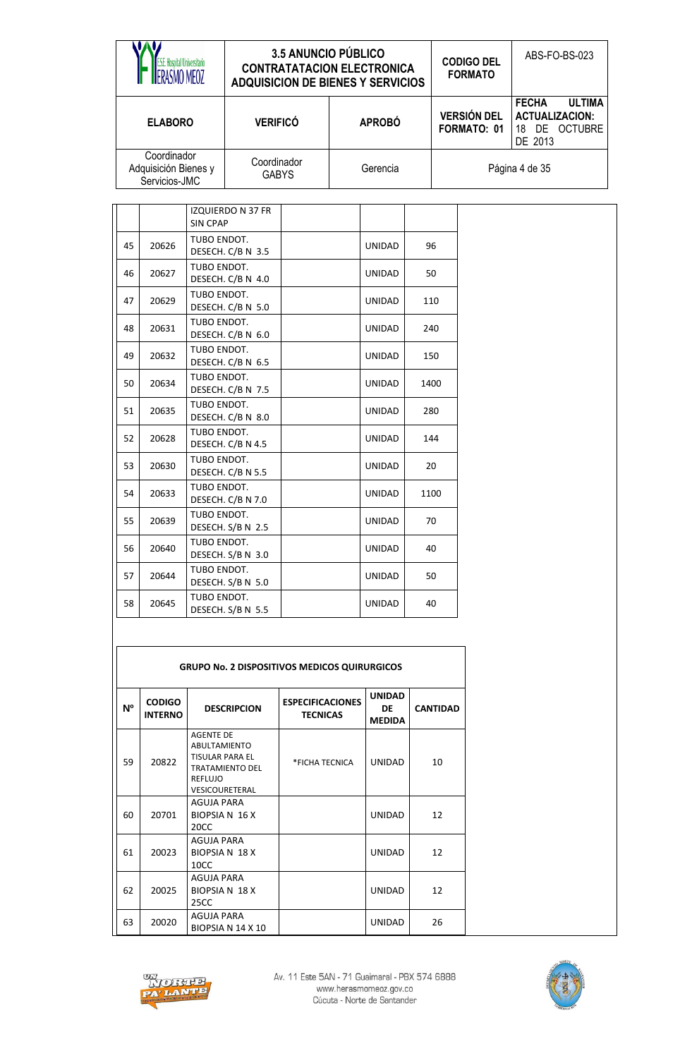|                                                      | 3.5 ANUNCIO PÚBLICO<br><b>CONTRATATACION ELECTRONICA</b><br><b>ADQUISICION DE BIENES Y SERVICIOS</b> |               | <b>CODIGO DEL</b><br><b>FORMATO</b> | ABS-FO-BS-023                                                                         |
|------------------------------------------------------|------------------------------------------------------------------------------------------------------|---------------|-------------------------------------|---------------------------------------------------------------------------------------|
| <b>ELABORO</b>                                       | <b>VERIFICÓ</b>                                                                                      | <b>APROBÓ</b> | <b>VERSIÓN DEL</b><br>FORMATO: 01   | <b>FECHA</b><br><b>ULTIMA</b><br><b>ACTUALIZACION:</b><br>DE OCTUBRE<br>18<br>DE 2013 |
| Coordinador<br>Adquisición Bienes y<br>Servicios-JMC | Coordinador<br><b>GABYS</b>                                                                          | Gerencia      |                                     | Página 4 de 35                                                                        |

|    |       | <b>IZQUIERDO N 37 FR</b><br><b>SIN CPAP</b> |               |      |
|----|-------|---------------------------------------------|---------------|------|
| 45 | 20626 | TUBO ENDOT.<br>DESECH. C/B N 3.5            | <b>UNIDAD</b> | 96   |
| 46 | 20627 | TUBO ENDOT.<br>DESECH. C/B N 4.0            | <b>UNIDAD</b> | 50   |
| 47 | 20629 | TUBO ENDOT.<br>DESECH. C/B N 5.0            | <b>UNIDAD</b> | 110  |
| 48 | 20631 | TUBO ENDOT.<br>DESECH. C/B N 6.0            | UNIDAD        | 240  |
| 49 | 20632 | TUBO ENDOT.<br>DESECH. C/B N 6.5            | UNIDAD        | 150  |
| 50 | 20634 | TUBO ENDOT.<br>DESECH. C/B N 7.5            | <b>UNIDAD</b> | 1400 |
| 51 | 20635 | TUBO ENDOT.<br>DESECH. C/B N 8.0            | <b>UNIDAD</b> | 280  |
| 52 | 20628 | TUBO ENDOT.<br>DESECH. C/B N 4.5            | <b>UNIDAD</b> | 144  |
| 53 | 20630 | TUBO ENDOT.<br>DESECH. C/B N 5.5            | <b>UNIDAD</b> | 20   |
| 54 | 20633 | TUBO ENDOT.<br>DESECH. C/B N 7.0            | <b>UNIDAD</b> | 1100 |
| 55 | 20639 | TUBO ENDOT.<br>DESECH. S/B N 2.5            | <b>UNIDAD</b> | 70   |
| 56 | 20640 | TUBO ENDOT.<br>DESECH. S/B N 3.0            | <b>UNIDAD</b> | 40   |
| 57 | 20644 | TUBO ENDOT.<br>DESECH. S/B N 5.0            | <b>UNIDAD</b> | 50   |
| 58 | 20645 | TUBO ENDOT.<br>DESECH. S/B N 5.5            | <b>UNIDAD</b> | 40   |

|                | <b>GRUPO No. 2 DISPOSITIVOS MEDICOS QUIRURGICOS</b> |                                                                                                                                        |                                            |                                      |                 |  |  |  |  |  |  |  |
|----------------|-----------------------------------------------------|----------------------------------------------------------------------------------------------------------------------------------------|--------------------------------------------|--------------------------------------|-----------------|--|--|--|--|--|--|--|
| N <sup>o</sup> | <b>CODIGO</b><br><b>INTERNO</b>                     | <b>DESCRIPCION</b>                                                                                                                     | <b>ESPECIFICACIONES</b><br><b>TECNICAS</b> | <b>UNIDAD</b><br>DE<br><b>MEDIDA</b> | <b>CANTIDAD</b> |  |  |  |  |  |  |  |
| 59             | 20822                                               | <b>AGENTE DE</b><br><b>ABULTAMIENTO</b><br><b>TISULAR PARA EL</b><br><b>TRATAMIENTO DEL</b><br><b>REFLUJO</b><br><b>VESICOURETERAL</b> | *FICHA TECNICA                             | <b>UNIDAD</b>                        | 10              |  |  |  |  |  |  |  |
| 60             | 20701                                               | <b>AGUJA PARA</b><br><b>BIOPSIA N 16 X</b><br>20CC                                                                                     |                                            | <b>UNIDAD</b>                        | 12              |  |  |  |  |  |  |  |
| 61             | 20023                                               | <b>AGUJA PARA</b><br><b>BIOPSIA N 18 X</b><br>10 <sub>CC</sub>                                                                         |                                            | <b>UNIDAD</b>                        | 12              |  |  |  |  |  |  |  |
| 62             | 20025                                               | <b>AGUJA PARA</b><br><b>BIOPSIA N 18 X</b><br>25CC                                                                                     |                                            | <b>UNIDAD</b>                        | 12              |  |  |  |  |  |  |  |
| 63             | 20020                                               | AGUJA PARA<br>BIOPSIA N 14 X 10                                                                                                        |                                            | <b>UNIDAD</b>                        | 26              |  |  |  |  |  |  |  |



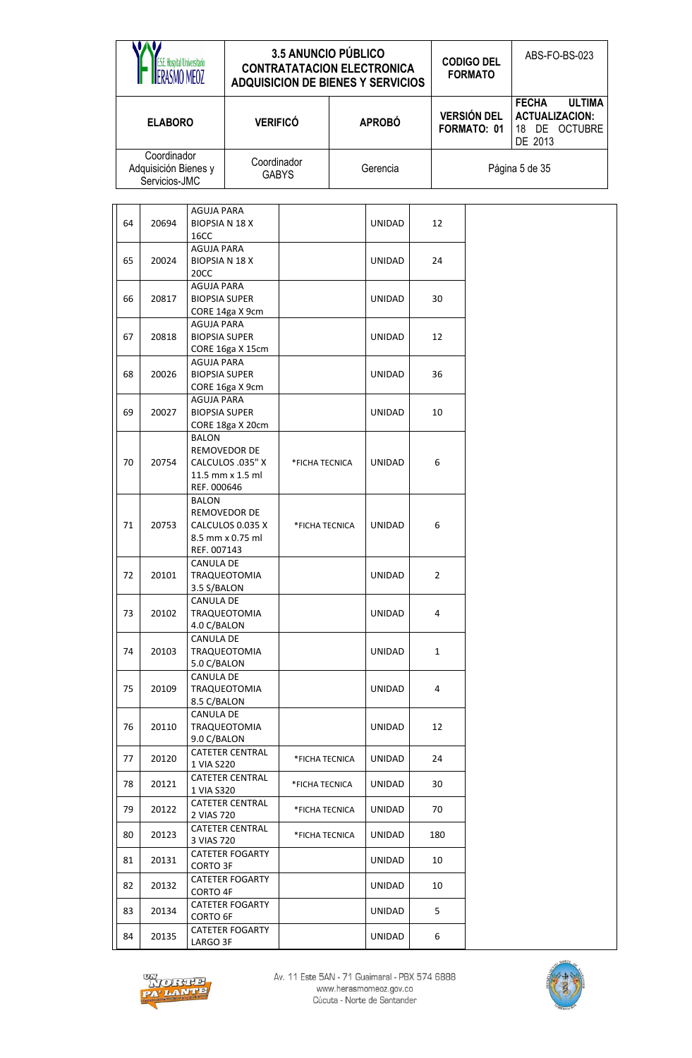|    | E. Hospital Universitario<br>RASMO MEOZ              |                                                    |                                                      | <b>3.5 ANUNCIO PÚBLICO</b><br><b>CONTRATATACION ELECTRONICA</b><br><b>ADQUISICION DE BIENES Y SERVICIOS</b> |        |               |     |                                   | <b>CODIGO DEL</b><br><b>FORMATO</b> |                                                  | ABS-FO-BS-023                  |
|----|------------------------------------------------------|----------------------------------------------------|------------------------------------------------------|-------------------------------------------------------------------------------------------------------------|--------|---------------|-----|-----------------------------------|-------------------------------------|--------------------------------------------------|--------------------------------|
|    | <b>ELABORO</b>                                       |                                                    | <b>VERIFICÓ</b>                                      |                                                                                                             |        | <b>APROBÓ</b> |     | <b>VERSIÓN DEL</b><br>FORMATO: 01 |                                     | <b>FECHA</b><br><b>ACTUALIZACION:</b><br>DE 2013 | <b>ULTIMA</b><br>18 DE OCTUBRE |
|    | Coordinador<br>Adquisición Bienes y<br>Servicios-JMC |                                                    |                                                      | Coordinador<br><b>GABYS</b>                                                                                 |        | Gerencia      |     |                                   |                                     | Página 5 de 35                                   |                                |
| 64 | 20694                                                | <b>AGUJA PARA</b><br><b>BIOPSIA N 18 X</b><br>16CC |                                                      |                                                                                                             | UNIDAD |               |     | 12                                |                                     |                                                  |                                |
| 65 | 20024                                                | AGUJA PARA<br><b>BIOPSIA N 18 X</b><br>20CC        |                                                      |                                                                                                             |        | UNIDAD        |     | 24                                |                                     |                                                  |                                |
| 66 | 20817                                                | <b>AGUJA PARA</b><br><b>BIOPSIA SUPER</b>          | CORE 14ga X 9cm                                      |                                                                                                             |        | UNIDAD        |     | 30                                |                                     |                                                  |                                |
| 67 | 20818                                                | <b>AGUJA PARA</b><br><b>BIOPSIA SUPER</b>          | CORE 16ga X 15cm                                     |                                                                                                             |        | <b>UNIDAD</b> |     | 12                                |                                     |                                                  |                                |
| 68 | 20026                                                | AGUJA PARA<br><b>BIOPSIA SUPER</b>                 | CORE 16ga X 9cm                                      |                                                                                                             |        | UNIDAD        |     | 36                                |                                     |                                                  |                                |
| 69 | 20027                                                | <b>AGUJA PARA</b><br><b>BIOPSIA SUPER</b>          | CORE 18ga X 20cm                                     |                                                                                                             |        | <b>UNIDAD</b> |     | 10                                |                                     |                                                  |                                |
| 70 | 20754                                                | <b>BALON</b><br>REF. 000646                        | REMOVEDOR DE<br>CALCULOS .035" X<br>11.5 mm x 1.5 ml | *FICHA TECNICA                                                                                              |        | <b>UNIDAD</b> | 6   |                                   |                                     |                                                  |                                |
| 71 | 20753                                                | BALON<br>REF. 007143                               | REMOVEDOR DE<br>CALCULOS 0.035 X<br>8.5 mm x 0.75 ml | *FICHA TECNICA                                                                                              |        | <b>UNIDAD</b> | 6   |                                   |                                     |                                                  |                                |
| 72 | 20101                                                | <b>CANULA DE</b><br>3.5 S/BALON                    | TRAQUEOTOMIA                                         |                                                                                                             |        | <b>UNIDAD</b> |     | $\mathbf{2}$                      |                                     |                                                  |                                |
| 73 | 20102                                                | CANULA DE<br>4.0 C/BALON                           | TRAQUEOTOMIA                                         |                                                                                                             |        | <b>UNIDAD</b> |     | 4                                 |                                     |                                                  |                                |
| 74 | 20103                                                | <b>CANULA DE</b><br>5.0 C/BALON                    | TRAQUEOTOMIA                                         |                                                                                                             |        | UNIDAD        |     | $\mathbf{1}$                      |                                     |                                                  |                                |
| 75 | 20109                                                | CANULA DE<br>8.5 C/BALON                           | <b>TRAQUEOTOMIA</b>                                  |                                                                                                             |        | UNIDAD        |     | 4                                 |                                     |                                                  |                                |
| 76 | 20110                                                | CANULA DE<br>9.0 C/BALON                           | <b>TRAQUEOTOMIA</b>                                  |                                                                                                             |        | UNIDAD        |     | 12                                |                                     |                                                  |                                |
| 77 | 20120                                                | 1 VIA S220                                         | <b>CATETER CENTRAL</b>                               | *FICHA TECNICA                                                                                              |        | UNIDAD        |     | 24                                |                                     |                                                  |                                |
| 78 | 20121                                                | 1 VIA S320                                         | <b>CATETER CENTRAL</b>                               | *FICHA TECNICA                                                                                              |        | UNIDAD        |     | 30                                |                                     |                                                  |                                |
| 79 | 20122                                                | 2 VIAS 720                                         | <b>CATETER CENTRAL</b>                               | *FICHA TECNICA                                                                                              |        | UNIDAD        |     | 70                                |                                     |                                                  |                                |
| 80 | <b>CATETER CENTRAL</b><br>20123<br>3 VIAS 720        |                                                    | *FICHA TECNICA                                       |                                                                                                             | UNIDAD |               | 180 |                                   |                                     |                                                  |                                |
| 81 | 20131                                                | CORTO 3F                                           | <b>CATETER FOGARTY</b>                               |                                                                                                             |        | UNIDAD        |     | 10                                |                                     |                                                  |                                |
| 82 | 20132                                                | CORTO 4F                                           | <b>CATETER FOGARTY</b>                               |                                                                                                             |        | UNIDAD        |     | 10                                |                                     |                                                  |                                |
| 83 | 20134                                                | <b>CATETER FOGARTY</b><br>CORTO 6F                 |                                                      |                                                                                                             |        | UNIDAD        |     | 5.                                |                                     |                                                  |                                |
| 84 | 20135                                                | LARGO 3F                                           | <b>CATETER FOGARTY</b>                               |                                                                                                             |        | UNIDAD        |     | 6                                 |                                     |                                                  |                                |



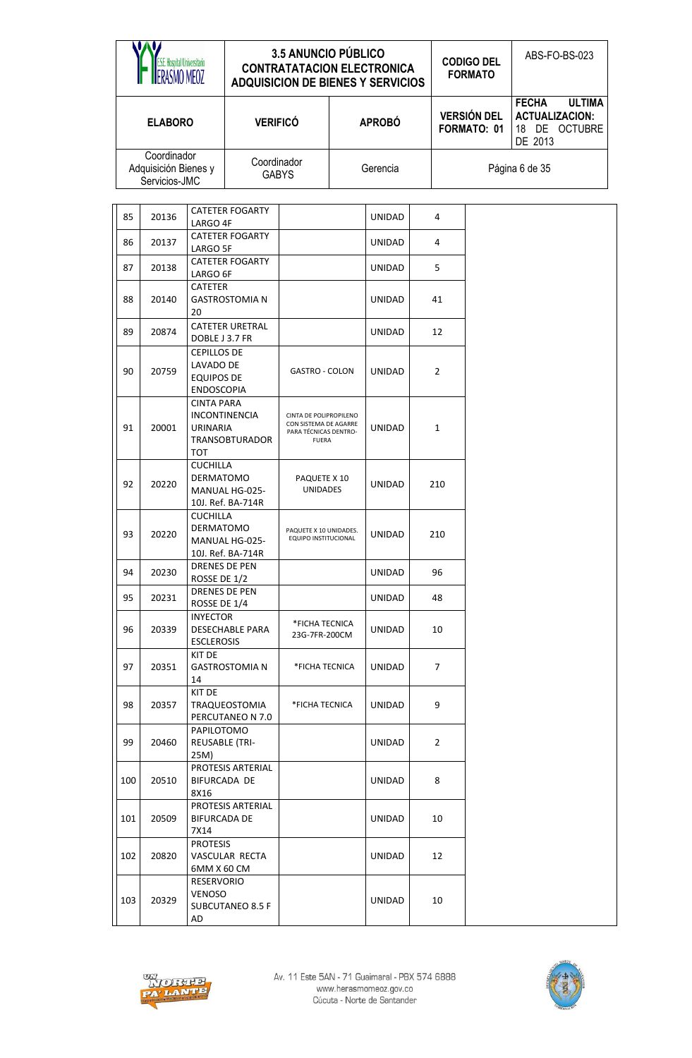|     | <b>E.S.E. Hospital Universitario</b><br>ERASMO MEOZ  |                                                                           |                                               | <b>3.5 ANUNCIO PÚBLICO</b><br><b>CONTRATATACION ELECTRONICA</b><br><b>ADQUISICION DE BIENES Y SERVICIOS</b> |  |               |  |                | <b>CODIGO DEL</b><br><b>FORMATO</b> | ABS-FO-BS-023                                                                      |
|-----|------------------------------------------------------|---------------------------------------------------------------------------|-----------------------------------------------|-------------------------------------------------------------------------------------------------------------|--|---------------|--|----------------|-------------------------------------|------------------------------------------------------------------------------------|
|     | <b>ELABORO</b>                                       |                                                                           | <b>VERIFICÓ</b>                               |                                                                                                             |  | <b>APROBÓ</b> |  |                | <b>VERSIÓN DEL</b><br>FORMATO: 01   | <b>FECHA</b><br><b>ULTIMA</b><br><b>ACTUALIZACION:</b><br>18 DE OCTUBRE<br>DE 2013 |
|     | Coordinador<br>Adquisición Bienes y<br>Servicios-JMC |                                                                           | Coordinador                                   | <b>GABYS</b>                                                                                                |  | Gerencia      |  |                |                                     | Página 6 de 35                                                                     |
|     |                                                      |                                                                           | <b>CATETER FOGARTY</b>                        |                                                                                                             |  |               |  |                |                                     |                                                                                    |
| 85  | 20136                                                | LARGO 4F                                                                  |                                               |                                                                                                             |  | <b>UNIDAD</b> |  | 4              |                                     |                                                                                    |
| 86  | 20137                                                | <b>CATETER FOGARTY</b><br>LARGO 5F<br><b>CATETER FOGARTY</b>              |                                               |                                                                                                             |  | <b>UNIDAD</b> |  | 4              |                                     |                                                                                    |
| 87  | 20138                                                | LARGO 6F                                                                  |                                               |                                                                                                             |  | <b>UNIDAD</b> |  | 5              |                                     |                                                                                    |
| 88  | 20140                                                | <b>CATETER</b><br>20                                                      | <b>GASTROSTOMIA N</b>                         |                                                                                                             |  | <b>UNIDAD</b> |  | 41             |                                     |                                                                                    |
| 89  | 20874                                                | DOBLE J 3.7 FR                                                            | <b>CATETER URETRAL</b>                        |                                                                                                             |  | <b>UNIDAD</b> |  | 12             |                                     |                                                                                    |
| 90  | 20759                                                | <b>CEPILLOS DE</b><br>LAVADO DE<br><b>EQUIPOS DE</b><br><b>ENDOSCOPIA</b> |                                               | <b>GASTRO - COLON</b>                                                                                       |  | <b>UNIDAD</b> |  | $\overline{2}$ |                                     |                                                                                    |
| 91  | 20001                                                | <b>CINTA PARA</b><br><b>URINARIA</b><br>TOT                               | <b>INCONTINENCIA</b><br><b>TRANSOBTURADOR</b> | CINTA DE POLIPROPILENO<br>CON SISTEMA DE AGARRE<br>PARA TÉCNICAS DENTRO-<br><b>FUERA</b>                    |  | <b>UNIDAD</b> |  | $\mathbf{1}$   |                                     |                                                                                    |
| 92  | 20220                                                | <b>CUCHILLA</b><br><b>DERMATOMO</b>                                       | MANUAL HG-025-<br>10J. Ref. BA-714R           | PAQUETE X 10<br><b>UNIDADES</b>                                                                             |  | UNIDAD        |  | 210            |                                     |                                                                                    |
| 93  | 20220                                                | <b>CUCHILLA</b><br><b>DERMATOMO</b>                                       | MANUAL HG-025-<br>10J. Ref. BA-714R           | PAQUETE X 10 UNIDADES.<br>EQUIPO INSTITUCIONAL                                                              |  | <b>UNIDAD</b> |  | 210            |                                     |                                                                                    |
| 94  | 20230                                                | ROSSE DE 1/2                                                              | <b>DRENES DE PEN</b>                          |                                                                                                             |  | <b>UNIDAD</b> |  | 96             |                                     |                                                                                    |
| 95  | 20231                                                | ROSSE DE 1/4                                                              | DRENES DE PEN                                 |                                                                                                             |  | <b>UNIDAD</b> |  | 48             |                                     |                                                                                    |
| 96  | 20339                                                | <b>INYECTOR</b><br><b>ESCLEROSIS</b>                                      | DESECHABLE PARA                               | *FICHA TECNICA<br>23G-7FR-200CM                                                                             |  | <b>UNIDAD</b> |  | 10             |                                     |                                                                                    |
| 97  | 20351                                                | KIT DE<br>14                                                              | <b>GASTROSTOMIA N</b>                         | *FICHA TECNICA                                                                                              |  | UNIDAD        |  | 7              |                                     |                                                                                    |
| 98  | 20357                                                | KIT DE                                                                    | <b>TRAQUEOSTOMIA</b><br>PERCUTANEO N 7.0      | *FICHA TECNICA                                                                                              |  | UNIDAD        |  | 9              |                                     |                                                                                    |
| 99  | 20460                                                | PAPILOTOMO<br><b>REUSABLE (TRI-</b><br>25M)                               |                                               |                                                                                                             |  | UNIDAD        |  | $\overline{2}$ |                                     |                                                                                    |
| 100 | PROTESIS ARTERIAL<br>20510<br>BIFURCADA DE           |                                                                           |                                               |                                                                                                             |  | <b>UNIDAD</b> |  | 8              |                                     |                                                                                    |
| 101 | 20509                                                | 8X16<br>PROTESIS ARTERIAL<br><b>BIFURCADA DE</b><br>7X14                  |                                               |                                                                                                             |  | <b>UNIDAD</b> |  | 10             |                                     |                                                                                    |
| 102 | 20820                                                | <b>PROTESIS</b><br>6MM X 60 CM                                            | VASCULAR RECTA                                |                                                                                                             |  | <b>UNIDAD</b> |  | 12             |                                     |                                                                                    |
| 103 | 20329                                                | RESERVORIO<br><b>VENOSO</b><br>AD                                         | SUBCUTANEO 8.5 F                              |                                                                                                             |  | UNIDAD        |  | 10             |                                     |                                                                                    |



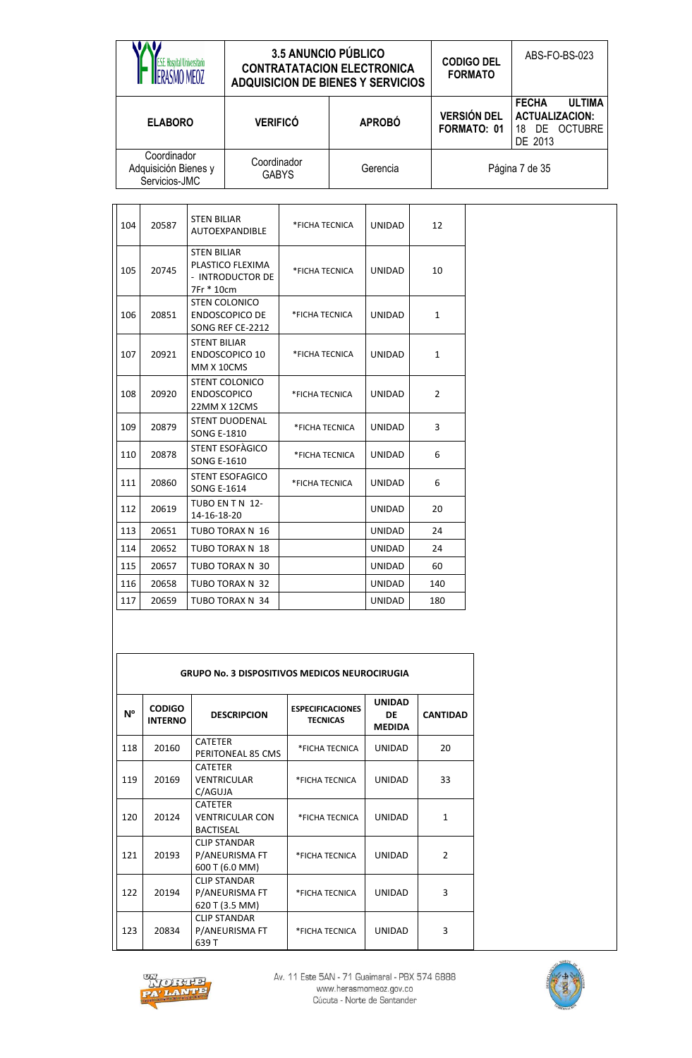| ASMO MFO7                                            | <b>3.5 ANUNCIO PÚBLICO</b><br><b>CONTRATATACION ELECTRONICA</b><br><b>ADQUISICION DE BIENES Y SERVICIOS</b> |               | <b>CODIGO DEL</b><br><b>FORMATO</b> | ABS-FO-BS-023                                                                         |
|------------------------------------------------------|-------------------------------------------------------------------------------------------------------------|---------------|-------------------------------------|---------------------------------------------------------------------------------------|
| <b>ELABORO</b>                                       | <b>VERIFICÓ</b>                                                                                             | <b>APROBÓ</b> | <b>VERSIÓN DEL</b><br>FORMATO: 01   | <b>ULTIMA</b><br><b>FECHA</b><br><b>ACTUALIZACION:</b><br>DE OCTUBRE<br>18<br>DE 2013 |
| Coordinador<br>Adquisición Bienes y<br>Servicios-JMC | Coordinador<br><b>GABYS</b>                                                                                 | Gerencia      |                                     | Página 7 de 35                                                                        |

| 104 | 20587 | <b>STEN BILIAR</b><br>AUTOEXPANDIBLE                                     | *FICHA TECNICA | <b>UNIDAD</b> | 12             |
|-----|-------|--------------------------------------------------------------------------|----------------|---------------|----------------|
| 105 | 20745 | <b>STEN BILIAR</b><br>PLASTICO FLEXIMA<br>- INTRODUCTOR DE<br>7Fr * 10cm | *FICHA TECNICA | <b>UNIDAD</b> | 10             |
| 106 | 20851 | <b>STEN COLONICO</b><br><b>ENDOSCOPICO DE</b><br>SONG REF CE-2212        | *FICHA TECNICA | <b>UNIDAD</b> | $\mathbf{1}$   |
| 107 | 20921 | <b>STENT BILIAR</b><br><b>ENDOSCOPICO 10</b><br>MM X 10CMS               | *FICHA TECNICA | <b>UNIDAD</b> | $\mathbf{1}$   |
| 108 | 20920 | <b>STENT COLONICO</b><br><b>ENDOSCOPICO</b><br>22MM X 12CMS              | *FICHA TECNICA | <b>UNIDAD</b> | $\overline{2}$ |
| 109 | 20879 | <b>STENT DUODENAL</b><br><b>SONG E-1810</b>                              | *FICHA TECNICA | <b>UNIDAD</b> | 3              |
| 110 | 20878 | STENT ESOFAGICO<br><b>SONG E-1610</b>                                    | *FICHA TECNICA | <b>UNIDAD</b> | 6              |
| 111 | 20860 | <b>STENT ESOFAGICO</b><br><b>SONG E-1614</b>                             | *FICHA TECNICA | <b>UNIDAD</b> | 6              |
| 112 | 20619 | TUBO EN T N 12-<br>14-16-18-20                                           |                | <b>UNIDAD</b> | 20             |
| 113 | 20651 | TUBO TORAX N 16                                                          |                | <b>UNIDAD</b> | 24             |
| 114 | 20652 | TUBO TORAX N 18                                                          |                | <b>UNIDAD</b> | 24             |
| 115 | 20657 | TUBO TORAX N 30                                                          |                | <b>UNIDAD</b> | 60             |
| 116 | 20658 | TUBO TORAX N 32                                                          |                | <b>UNIDAD</b> | 140            |
| 117 | 20659 | TUBO TORAX N 34                                                          |                | <b>UNIDAD</b> | 180            |

|           |                                 | <b>GRUPO No. 3 DISPOSITIVOS MEDICOS NEUROCIRUGIA</b>         |                                            |                                      |                 |
|-----------|---------------------------------|--------------------------------------------------------------|--------------------------------------------|--------------------------------------|-----------------|
| <b>N°</b> | <b>CODIGO</b><br><b>INTERNO</b> | <b>DESCRIPCION</b>                                           | <b>ESPECIFICACIONES</b><br><b>TECNICAS</b> | <b>UNIDAD</b><br>DE<br><b>MEDIDA</b> | <b>CANTIDAD</b> |
| 118       | 20160                           | <b>CATETER</b><br>PERITONEAL 85 CMS                          | *FICHA TECNICA                             | <b>UNIDAD</b>                        | 20              |
| 119       | 20169                           | <b>CATFTFR</b><br><b>VENTRICULAR</b><br>C/AGUJA              | *FICHA TECNICA                             | <b>UNIDAD</b>                        | 33              |
| 120       | 20124                           | <b>CATETER</b><br><b>VENTRICULAR CON</b><br><b>BACTISEAL</b> | *FICHA TECNICA                             | <b>UNIDAD</b>                        | 1               |
| 121       | 20193                           | <b>CLIP STANDAR</b><br>P/ANEURISMA FT<br>600 T (6.0 MM)      | *FICHA TECNICA                             | <b>UNIDAD</b>                        | $\mathfrak{p}$  |
| 122       | 20194                           | <b>CLIP STANDAR</b><br>P/ANEURISMA FT<br>620 T (3.5 MM)      | *FICHA TECNICA                             | <b>UNIDAD</b>                        | 3               |
| 123       | 20834                           | <b>CLIP STANDAR</b><br>P/ANEURISMA FT<br>639 T               | *FICHA TECNICA                             | <b>UNIDAD</b>                        | 3               |



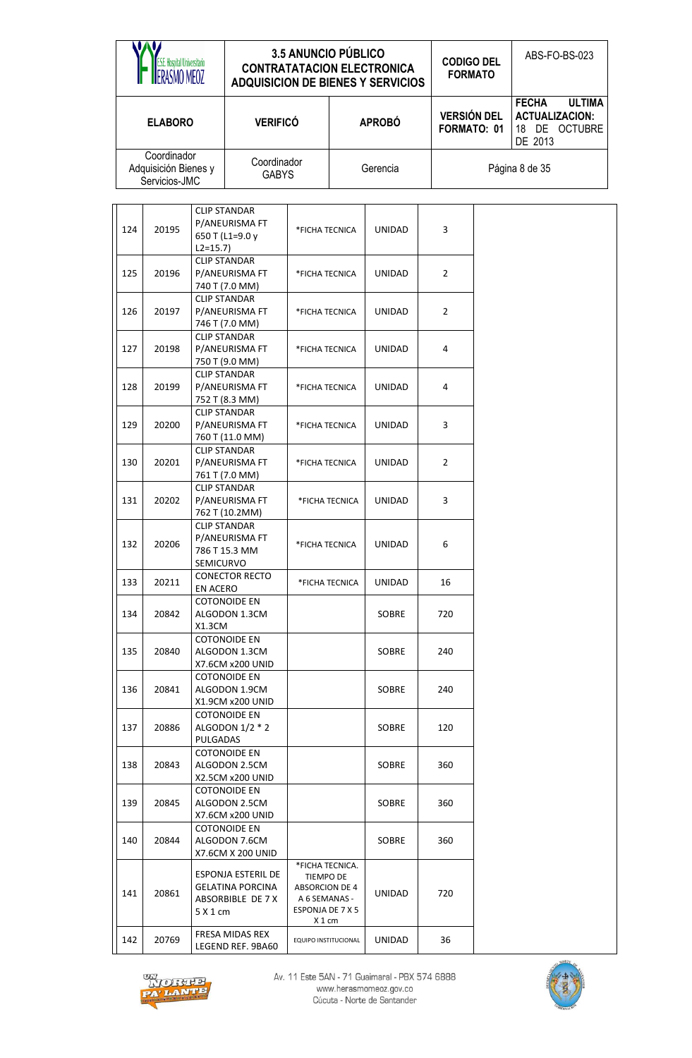|     | S.E. Hospital Universitario<br>RASMO MEOZ                         |                  |                                                             | <b>3.5 ANUNCIO PÚBLICO</b>                                                                                  |                | <b>CONTRATATACION ELECTRONICA</b><br><b>ADQUISICION DE BIENES Y SERVICIOS</b> | <b>CODIGO DEL</b><br><b>FORMATO</b> |                                                  | ABS-FO-BS-023                  |
|-----|-------------------------------------------------------------------|------------------|-------------------------------------------------------------|-------------------------------------------------------------------------------------------------------------|----------------|-------------------------------------------------------------------------------|-------------------------------------|--------------------------------------------------|--------------------------------|
|     | <b>ELABORO</b>                                                    |                  | <b>VERIFICÓ</b>                                             |                                                                                                             |                | <b>APROBÓ</b>                                                                 | <b>VERSIÓN DEL</b><br>FORMATO: 01   | <b>FECHA</b><br><b>ACTUALIZACION:</b><br>DE 2013 | <b>ULTIMA</b><br>18 DE OCTUBRE |
|     | Coordinador<br>Adquisición Bienes y<br>Servicios-JMC              |                  | Coordinador<br><b>GABYS</b>                                 |                                                                                                             |                | Gerencia                                                                      |                                     | Página 8 de 35                                   |                                |
| 124 | 20195                                                             | $L2 = 15.7$      | <b>CLIP STANDAR</b><br>P/ANEURISMA FT<br>650 T (L1=9.0 y    | *FICHA TECNICA                                                                                              |                | <b>UNIDAD</b>                                                                 | $\overline{3}$                      |                                                  |                                |
| 125 | 20196                                                             |                  | <b>CLIP STANDAR</b><br>P/ANEURISMA FT<br>740 T (7.0 MM)     | *FICHA TECNICA                                                                                              |                | <b>UNIDAD</b>                                                                 | $\overline{2}$                      |                                                  |                                |
| 126 | 20197                                                             |                  | <b>CLIP STANDAR</b><br>P/ANEURISMA FT<br>746 T (7.0 MM)     | *FICHA TECNICA                                                                                              |                | <b>UNIDAD</b>                                                                 | $\overline{2}$                      |                                                  |                                |
| 127 | 20198                                                             |                  | <b>CLIP STANDAR</b><br>P/ANEURISMA FT<br>750 T (9.0 MM)     | *FICHA TECNICA                                                                                              |                | <b>UNIDAD</b>                                                                 | 4                                   |                                                  |                                |
| 128 | 20199                                                             |                  | <b>CLIP STANDAR</b><br>P/ANEURISMA FT<br>752 T (8.3 MM)     | *FICHA TECNICA                                                                                              |                | <b>UNIDAD</b>                                                                 | 4                                   |                                                  |                                |
| 129 | 20200                                                             |                  | <b>CLIP STANDAR</b><br>P/ANEURISMA FT<br>760 T (11.0 MM)    | *FICHA TECNICA                                                                                              |                | <b>UNIDAD</b>                                                                 | $\overline{3}$                      |                                                  |                                |
| 130 | 20201                                                             |                  | <b>CLIP STANDAR</b><br>P/ANEURISMA FT<br>761 T (7.0 MM)     | *FICHA TECNICA                                                                                              |                | <b>UNIDAD</b>                                                                 | $\overline{2}$                      |                                                  |                                |
| 131 | 20202                                                             |                  | <b>CLIP STANDAR</b><br>P/ANEURISMA FT<br>762 T (10.2MM)     | *FICHA TECNICA                                                                                              |                | <b>UNIDAD</b>                                                                 | $\overline{3}$                      |                                                  |                                |
| 132 | 20206                                                             | <b>SEMICURVO</b> | <b>CLIP STANDAR</b><br>P/ANEURISMA FT<br>786 T 15.3 MM      | *FICHA TECNICA                                                                                              |                | UNIDAD                                                                        | 6                                   |                                                  |                                |
| 133 | 20211                                                             | EN ACERO         | <b>CONECTOR RECTO</b>                                       |                                                                                                             | *FICHA TECNICA | UNIDAD                                                                        | 16                                  |                                                  |                                |
| 134 | 20842                                                             | X1.3CM           | <b>COTONOIDE EN</b><br>ALGODON 1.3CM                        |                                                                                                             |                | <b>SOBRE</b>                                                                  | 720                                 |                                                  |                                |
| 135 | 20840                                                             |                  | <b>COTONOIDE EN</b><br>ALGODON 1.3CM<br>X7.6CM x200 UNID    |                                                                                                             |                | <b>SOBRE</b>                                                                  | 240                                 |                                                  |                                |
| 136 | 20841                                                             |                  | <b>COTONOIDE EN</b><br>ALGODON 1.9CM<br>X1.9CM x200 UNID    |                                                                                                             |                | SOBRE                                                                         | 240                                 |                                                  |                                |
| 137 | 20886                                                             | PULGADAS         | <b>COTONOIDE EN</b><br>ALGODON $1/2$ $*$ 2                  |                                                                                                             |                | <b>SOBRE</b>                                                                  | 120                                 |                                                  |                                |
| 138 | 20843                                                             |                  | <b>COTONOIDE EN</b><br>ALGODON 2.5CM<br>X2.5CM x200 UNID    |                                                                                                             |                | <b>SOBRE</b>                                                                  | 360                                 |                                                  |                                |
| 139 | <b>COTONOIDE EN</b><br>20845<br>ALGODON 2.5CM<br>X7.6CM x200 UNID |                  |                                                             |                                                                                                             |                | SOBRE                                                                         | 360                                 |                                                  |                                |
| 140 | 20844                                                             |                  | <b>COTONOIDE EN</b><br>ALGODON 7.6CM<br>X7.6CM X 200 UNID   |                                                                                                             |                | SOBRE                                                                         | 360                                 |                                                  |                                |
| 141 | 20861                                                             | 5 X 1 cm         | ESPONJA ESTERIL DE<br>GELATINA PORCINA<br>ABSORBIBLE DE 7 X | *FICHA TECNICA.<br><b>TIEMPO DE</b><br><b>ABSORCION DE 4</b><br>A 6 SEMANAS -<br>ESPONJA DE 7 X 5<br>X 1 cm |                | UNIDAD                                                                        | 720                                 |                                                  |                                |
| 142 | 20769                                                             |                  | FRESA MIDAS REX<br>LEGEND REF. 9BA60                        | EQUIPO INSTITUCIONAL                                                                                        |                | UNIDAD                                                                        | 36                                  |                                                  |                                |



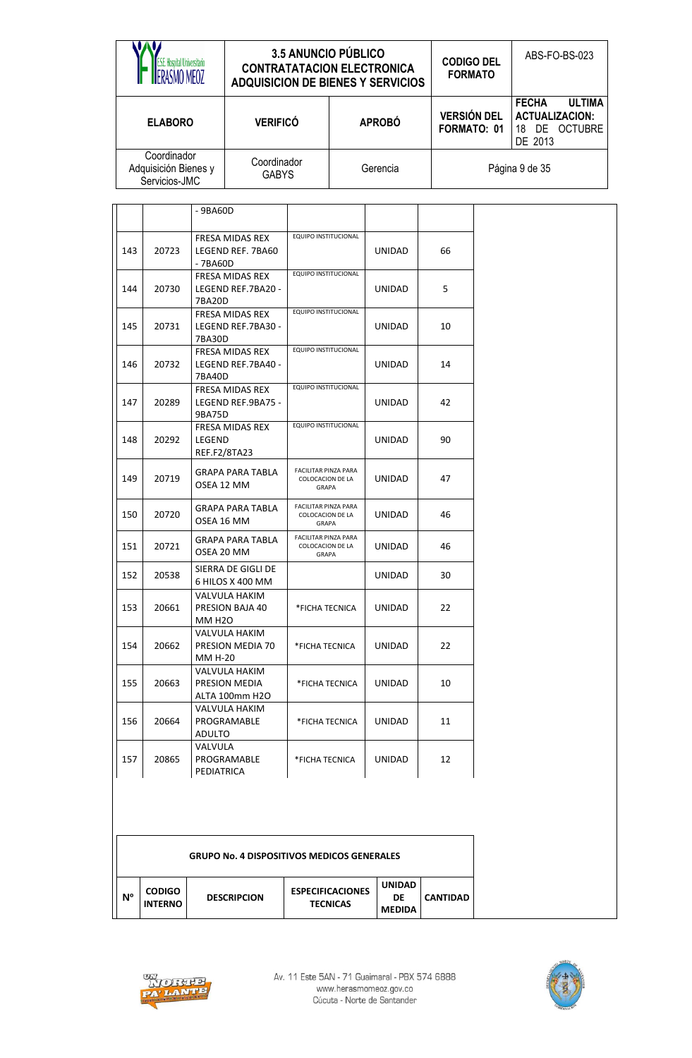|                                                      | <b>3.5 ANUNCIO PÚBLICO</b><br><b>CONTRATATACION ELECTRONICA</b><br><b>ADQUISICION DE BIENES Y SERVICIOS</b> |               | <b>CODIGO DEL</b><br><b>FORMATO</b> | ABS-FO-BS-023                                                                                   |  |
|------------------------------------------------------|-------------------------------------------------------------------------------------------------------------|---------------|-------------------------------------|-------------------------------------------------------------------------------------------------|--|
| <b>ELABORO</b>                                       | <b>VERIFICÓ</b>                                                                                             | <b>APROBÓ</b> | <b>VERSIÓN DEL</b><br>FORMATO: 01   | <b>ULTIMA</b><br><b>FECHA</b><br><b>ACTUALIZACION:</b><br><b>OCTUBRE</b><br>DE<br>18<br>DE 2013 |  |
| Coordinador<br>Adquisición Bienes y<br>Servicios-JMC | Coordinador<br><b>GABYS</b>                                                                                 | Gerencia      | Página 9 de 35                      |                                                                                                 |  |

|     |       | $-9BAGOD$                                               |                                                                 |               |    |
|-----|-------|---------------------------------------------------------|-----------------------------------------------------------------|---------------|----|
| 143 | 20723 | <b>FRESA MIDAS REX</b><br>LEGEND REF. 7BA60<br>- 7BA60D | EQUIPO INSTITUCIONAL                                            | <b>UNIDAD</b> | 66 |
| 144 | 20730 | FRESA MIDAS REX<br>LEGEND REF.7BA20 -<br>7BA20D         | EQUIPO INSTITUCIONAL                                            | <b>UNIDAD</b> | 5. |
| 145 | 20731 | FRESA MIDAS REX<br>LEGEND REF.7BA30 -<br>7BA30D         | EQUIPO INSTITUCIONAL                                            | UNIDAD        | 10 |
| 146 | 20732 | <b>FRESA MIDAS REX</b><br>LEGEND REF.7BA40 -<br>7BA40D  | EQUIPO INSTITUCIONAL                                            | UNIDAD        | 14 |
| 147 | 20289 | FRESA MIDAS REX<br>LEGEND REF.9BA75 -<br>9BA75D         | EQUIPO INSTITUCIONAL                                            | <b>UNIDAD</b> | 42 |
| 148 | 20292 | FRESA MIDAS REX<br>LEGEND<br>REF.F2/8TA23               | EQUIPO INSTITUCIONAL                                            | UNIDAD        | 90 |
| 149 | 20719 | GRAPA PARA TABLA<br>OSEA 12 MM                          | <b>FACILITAR PINZA PARA</b><br>COLOCACION DE LA<br><b>GRAPA</b> | UNIDAD        | 47 |
| 150 | 20720 | GRAPA PARA TABLA<br>OSEA 16 MM                          | FACILITAR PINZA PARA<br>COLOCACION DE LA<br><b>GRAPA</b>        | <b>UNIDAD</b> | 46 |
| 151 | 20721 | GRAPA PARA TABLA<br>OSEA 20 MM                          | <b>FACILITAR PINZA PARA</b><br><b>COLOCACION DE LA</b><br>GRAPA | UNIDAD        | 46 |
| 152 | 20538 | SIERRA DE GIGLI DE<br>6 HILOS X 400 MM                  |                                                                 | UNIDAD        | 30 |
| 153 | 20661 | VALVULA HAKIM<br>PRESION BAJA 40<br><b>MM H2O</b>       | *FICHA TECNICA                                                  | UNIDAD        | 22 |
| 154 | 20662 | VALVULA HAKIM<br>PRESION MEDIA 70<br>MM H-20            | *FICHA TECNICA                                                  | UNIDAD        | 22 |
| 155 | 20663 | VALVULA HAKIM<br>PRESION MEDIA<br>ALTA 100mm H2O        | *FICHA TECNICA                                                  | UNIDAD        | 10 |
| 156 | 20664 | VALVULA HAKIM<br>PROGRAMABLE<br>ADULTO                  | *FICHA TECNICA                                                  | UNIDAD        | 11 |
| 157 | 20865 | VALVULA<br>PROGRAMABLE<br>PEDIATRICA                    | *FICHA TECNICA                                                  | UNIDAD        | 12 |

| <b>GRUPO No. 4 DISPOSITIVOS MEDICOS GENERALES</b> |                                 |                    |                                            |                                      |                 |  |  |
|---------------------------------------------------|---------------------------------|--------------------|--------------------------------------------|--------------------------------------|-----------------|--|--|
| N°                                                | <b>CODIGO</b><br><b>INTERNO</b> | <b>DESCRIPCION</b> | <b>ESPECIFICACIONES</b><br><b>TECNICAS</b> | <b>UNIDAD</b><br>DE<br><b>MEDIDA</b> | <b>CANTIDAD</b> |  |  |



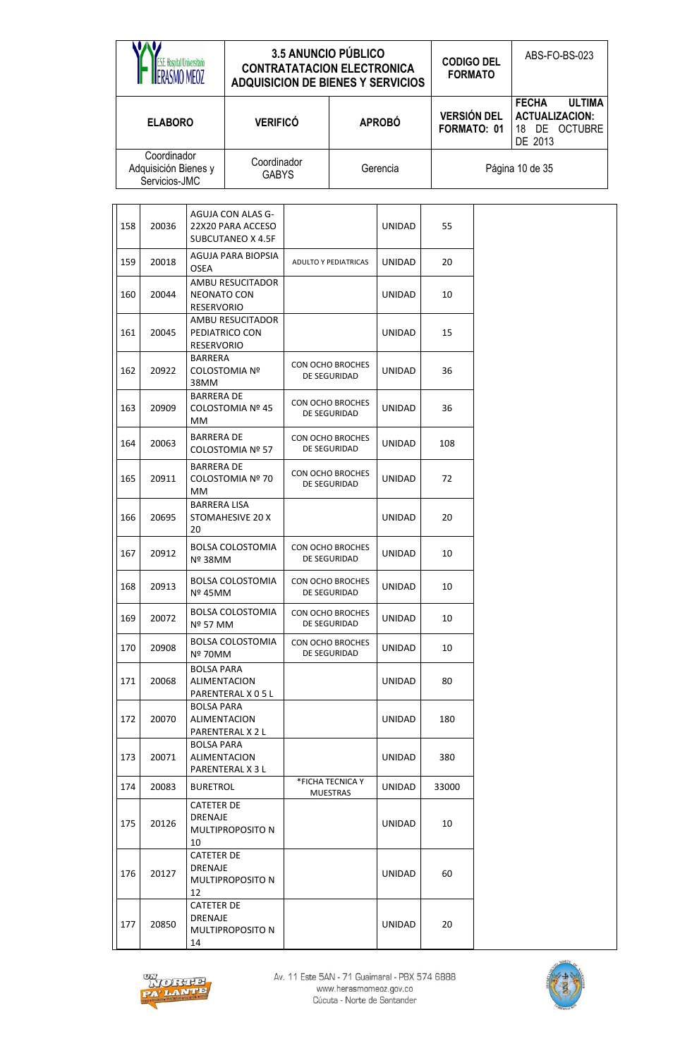|     | E.S.E. Hospital Universitario<br>FRASMO MEOZ<br><b>ADQUISICION DE BIENES Y SERVICIOS</b> |                                         |                                                             | 3.5 ANUNCIO PÚBLICO<br><b>CONTRATATACION ELECTRONICA</b> |                                  | <b>CODIGO DEL</b><br><b>FORMATO</b> | ABS-FO-BS-023                                                                      |                 |
|-----|------------------------------------------------------------------------------------------|-----------------------------------------|-------------------------------------------------------------|----------------------------------------------------------|----------------------------------|-------------------------------------|------------------------------------------------------------------------------------|-----------------|
|     | <b>ELABORO</b>                                                                           |                                         | <b>VERIFICÓ</b>                                             | <b>APROBÓ</b>                                            |                                  | <b>VERSIÓN DEL</b><br>FORMATO: 01   | <b>FECHA</b><br><b>ULTIMA</b><br><b>ACTUALIZACION:</b><br>18 DE OCTUBRE<br>DE 2013 |                 |
|     | Coordinador<br>Adquisición Bienes y<br>Servicios-JMC                                     |                                         |                                                             | Coordinador<br>Gerencia<br><b>GABYS</b>                  |                                  |                                     |                                                                                    | Página 10 de 35 |
| 158 | 20036                                                                                    |                                         | AGUJA CON ALAS G-<br>22X20 PARA ACCESO<br>SUBCUTANEO X 4.5F |                                                          |                                  | <b>UNIDAD</b>                       | 55                                                                                 |                 |
| 159 | 20018                                                                                    | <b>OSEA</b>                             | AGUJA PARA BIOPSIA                                          |                                                          | <b>ADULTO Y PEDIATRICAS</b>      | <b>UNIDAD</b>                       | 20                                                                                 |                 |
| 160 | 20044                                                                                    | <b>NEONATO CON</b><br><b>RESERVORIO</b> | AMBU RESUCITADOR                                            |                                                          |                                  | <b>UNIDAD</b>                       | 10                                                                                 |                 |
| 161 | 20045                                                                                    | <b>RESERVORIO</b>                       | AMBU RESUCITADOR<br>PEDIATRICO CON                          |                                                          |                                  | <b>UNIDAD</b>                       | 15                                                                                 |                 |
| 162 | 20922                                                                                    | <b>BARRERA</b><br>38MM                  | <b>COLOSTOMIA Nº</b>                                        |                                                          | CON OCHO BROCHES<br>DE SEGURIDAD | <b>UNIDAD</b>                       | 36                                                                                 |                 |
| 163 | 20909                                                                                    | <b>BARRERA DE</b><br>МM                 | COLOSTOMIA Nº 45                                            | CON OCHO BROCHES<br>DE SEGURIDAD                         |                                  | <b>UNIDAD</b>                       | 36                                                                                 |                 |
| 164 | 20063                                                                                    | <b>BARRERA DE</b>                       | COLOSTOMIA Nº 57                                            |                                                          | CON OCHO BROCHES<br>DE SEGURIDAD | <b>UNIDAD</b>                       | 108                                                                                |                 |
| 165 | 20911                                                                                    | <b>BARRERA DE</b><br>МM                 | COLOSTOMIA Nº 70                                            |                                                          | CON OCHO BROCHES<br>DE SEGURIDAD | <b>UNIDAD</b>                       | 72                                                                                 |                 |
| 166 | 20695                                                                                    | <b>BARRERA LISA</b><br>20               | STOMAHESIVE 20 X                                            |                                                          |                                  | <b>UNIDAD</b>                       | 20                                                                                 |                 |
| 167 | 20912                                                                                    | Nº 38MM                                 | <b>BOLSA COLOSTOMIA</b>                                     |                                                          | CON OCHO BROCHES<br>DE SEGURIDAD | UNIDAD                              | 10                                                                                 |                 |
| 168 | 20913                                                                                    | Nº 45MM                                 | <b>BOLSA COLOSTOMIA</b>                                     |                                                          | CON OCHO BROCHES<br>DE SEGURIDAD | <b>UNIDAD</b>                       | 10                                                                                 |                 |
| 169 | 20072                                                                                    | Nº 57 MM                                | BOLSA COLOSTOMIA                                            |                                                          | CON OCHO BROCHES<br>DE SEGURIDAD | UNIDAD                              | 10                                                                                 |                 |
| 170 | 20908                                                                                    | Nº 70MM                                 | <b>BOLSA COLOSTOMIA</b>                                     |                                                          | CON OCHO BROCHES<br>DE SEGURIDAD | <b>UNIDAD</b>                       | 10                                                                                 |                 |
| 171 | 20068                                                                                    | <b>BOLSA PARA</b><br>ALIMENTACION       | PARENTERAL X 0 5 L                                          |                                                          |                                  | UNIDAD                              | 80                                                                                 |                 |
| 172 | 20070                                                                                    | <b>BOLSA PARA</b><br>ALIMENTACION       | PARENTERAL X 2 L                                            |                                                          |                                  | UNIDAD                              | 180                                                                                |                 |
| 173 | 20071                                                                                    | <b>BOLSA PARA</b><br>ALIMENTACION       | PARENTERAL X 3 L                                            |                                                          |                                  | UNIDAD                              | 380                                                                                |                 |
| 174 | 20083                                                                                    | <b>BURETROL</b>                         |                                                             |                                                          | *FICHA TECNICA Y<br>MUESTRAS     | UNIDAD                              | 33000                                                                              |                 |
| 175 | 20126                                                                                    | CATETER DE<br>DRENAJE<br>10             | MULTIPROPOSITO N                                            |                                                          |                                  | UNIDAD                              | 10                                                                                 |                 |
| 176 | 20127                                                                                    | <b>CATETER DE</b><br>DRENAJE<br>12      | MULTIPROPOSITO N                                            |                                                          |                                  | UNIDAD                              | 60                                                                                 |                 |
| 177 | 20850                                                                                    | <b>CATETER DE</b><br>DRENAJE<br>14      | MULTIPROPOSITO N                                            |                                                          |                                  | <b>UNIDAD</b>                       | 20                                                                                 |                 |



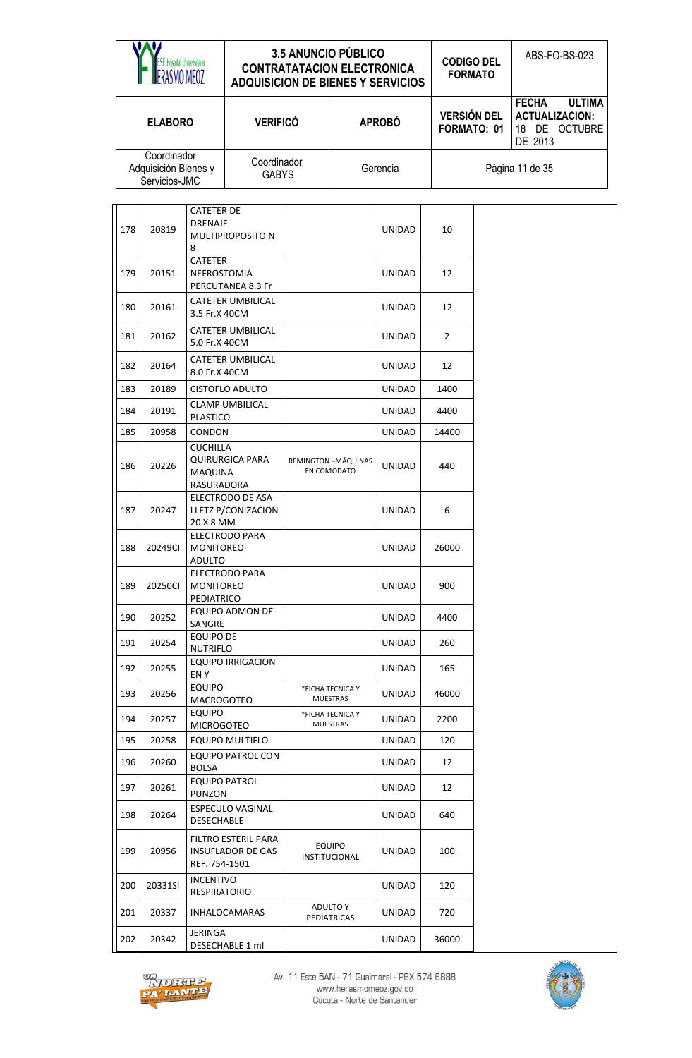|     | <b>E.S.E. Hospital Universitario</b><br>ERASMO MEOZ  |                                                 | <b>ADQUISICION DE BIENES Y SERVICIOS</b>      |               | 3.5 ANUNCIO PÚBLICO<br><b>CONTRATATACION ELECTRONICA</b> |                                   | <b>CODIGO DEL</b><br><b>FORMATO</b> |                                                  | ABS-FO-BS-023                  |  |
|-----|------------------------------------------------------|-------------------------------------------------|-----------------------------------------------|---------------|----------------------------------------------------------|-----------------------------------|-------------------------------------|--------------------------------------------------|--------------------------------|--|
|     | <b>ELABORO</b>                                       |                                                 | <b>VERIFICÓ</b>                               | <b>APROBÓ</b> |                                                          | <b>VERSIÓN DEL</b><br>FORMATO: 01 |                                     | <b>FECHA</b><br><b>ACTUALIZACION:</b><br>DE 2013 | <b>ULTIMA</b><br>18 DE OCTUBRE |  |
|     | Coordinador<br>Adquisición Bienes y<br>Servicios-JMC |                                                 | Coordinador<br><b>GABYS</b>                   | Gerencia      |                                                          |                                   | Página 11 de 35                     |                                                  |                                |  |
| 178 | 20819                                                | <b>CATETER DE</b><br><b>DRENAJE</b><br>8        | MULTIPROPOSITO N                              |               |                                                          | <b>UNIDAD</b>                     | 10                                  |                                                  |                                |  |
| 179 | 20151                                                | <b>CATETER</b><br>NEFROSTOMIA                   | PERCUTANEA 8.3 Fr                             |               |                                                          | <b>UNIDAD</b>                     | 12                                  |                                                  |                                |  |
| 180 | 20161                                                | 3.5 Fr.X 40CM                                   | CATETER UMBILICAL                             |               |                                                          | <b>UNIDAD</b>                     | 12                                  |                                                  |                                |  |
| 181 | 20162                                                | 5.0 Fr.X 40CM                                   | <b>CATETER UMBILICAL</b>                      |               |                                                          | <b>UNIDAD</b>                     | $\overline{2}$                      |                                                  |                                |  |
| 182 | 20164                                                | 8.0 Fr.X 40CM                                   | CATETER UMBILICAL                             |               |                                                          | <b>UNIDAD</b>                     | 12                                  |                                                  |                                |  |
| 183 | 20189                                                |                                                 | <b>CISTOFLO ADULTO</b>                        |               |                                                          | <b>UNIDAD</b>                     | 1400                                |                                                  |                                |  |
| 184 | 20191                                                | <b>PLASTICO</b>                                 | <b>CLAMP UMBILICAL</b>                        |               |                                                          | <b>UNIDAD</b>                     | 4400                                |                                                  |                                |  |
| 185 | 20958                                                | CONDON                                          |                                               |               |                                                          | <b>UNIDAD</b>                     | 14400                               |                                                  |                                |  |
| 186 | 20226                                                | <b>CUCHILLA</b><br><b>MAQUINA</b><br>RASURADORA | <b>QUIRURGICA PARA</b>                        |               | REMINGTON-MÁQUINAS<br>EN COMODATO                        | <b>UNIDAD</b>                     | 440                                 |                                                  |                                |  |
| 187 | 20247                                                | 20 X 8 MM                                       | <b>ELECTRODO DE ASA</b><br>LLETZ P/CONIZACION |               |                                                          | <b>UNIDAD</b>                     | 6                                   |                                                  |                                |  |
| 188 | 20249CI                                              | <b>MONITOREO</b><br><b>ADULTO</b>               | <b>ELECTRODO PARA</b>                         |               |                                                          | UNIDAD                            | 26000                               |                                                  |                                |  |
| 189 | 20250Cl                                              | <b>MONITOREO</b><br>PEDIATRICO                  | ELECTRODO PARA                                |               |                                                          | <b>UNIDAD</b>                     | 900                                 |                                                  |                                |  |
| 190 | 20252                                                | SANGRE                                          | EQUIPO ADMON DE                               |               |                                                          | <b>UNIDAD</b>                     | 4400                                |                                                  |                                |  |
| 191 | 20254                                                | <b>EQUIPO DE</b><br><b>NUTRIFLO</b>             |                                               |               |                                                          | UNIDAD                            | 260                                 |                                                  |                                |  |
| 192 | 20255                                                | EN Y                                            | <b>EQUIPO IRRIGACION</b>                      |               |                                                          | <b>UNIDAD</b>                     | 165                                 |                                                  |                                |  |
| 193 | 20256                                                | <b>EQUIPO</b><br><b>MACROGOTEO</b>              |                                               |               | *FICHA TECNICA Y<br><b>MUESTRAS</b>                      | UNIDAD                            | 46000                               |                                                  |                                |  |
| 194 | 20257                                                | <b>EQUIPO</b><br><b>MICROGOTEO</b>              |                                               |               | *FICHA TECNICA Y<br><b>MUESTRAS</b>                      | UNIDAD                            | 2200                                |                                                  |                                |  |
| 195 | 20258                                                |                                                 | EQUIPO MULTIFLO                               |               |                                                          | UNIDAD                            | 120                                 |                                                  |                                |  |
| 196 | 20260                                                | <b>BOLSA</b>                                    | EQUIPO PATROL CON                             |               |                                                          | <b>UNIDAD</b>                     | 12                                  |                                                  |                                |  |
| 197 | 20261                                                | <b>PUNZON</b>                                   | <b>EQUIPO PATROL</b>                          |               |                                                          | UNIDAD                            | 12                                  |                                                  |                                |  |
| 198 | 20264                                                | DESECHABLE                                      | ESPECULO VAGINAL                              |               |                                                          | <b>UNIDAD</b>                     | 640                                 |                                                  |                                |  |
| 199 | 20956                                                | REF. 754-1501                                   | FILTRO ESTERIL PARA<br>INSUFLADOR DE GAS      |               | <b>EQUIPO</b><br><b>INSTITUCIONAL</b>                    | UNIDAD                            | 100                                 |                                                  |                                |  |
| 200 | 20331SI                                              | <b>INCENTIVO</b><br><b>RESPIRATORIO</b>         |                                               |               |                                                          | <b>UNIDAD</b>                     | 120                                 |                                                  |                                |  |
| 201 | 20337                                                |                                                 | <b>INHALOCAMARAS</b>                          |               | ADULTO Y<br><b>PEDIATRICAS</b>                           | UNIDAD                            | 720                                 |                                                  |                                |  |
| 202 | 20342                                                | <b>JERINGA</b>                                  | DESECHABLE 1 ml                               |               |                                                          | <b>UNIDAD</b>                     | 36000                               |                                                  |                                |  |



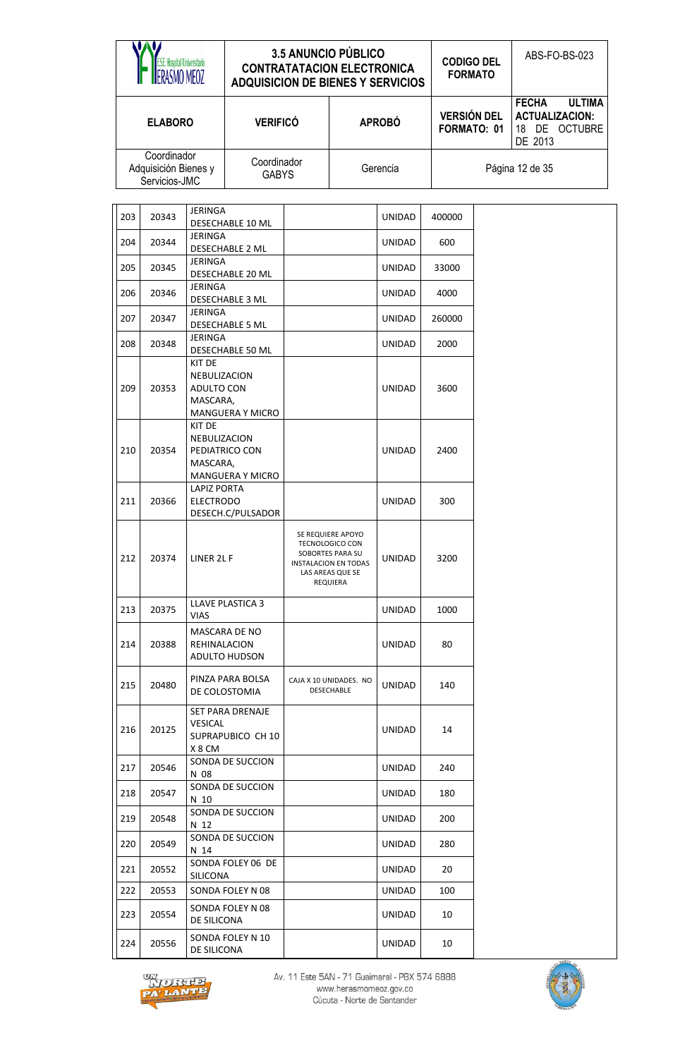|     | <b>ES.E. Hospital Universitario</b><br>ASMO MEOZ<br><b>ELABORO</b> |                                                  | <b>ADQUISICION DE BIENES Y SERVICIOS</b>  | 3.5 ANUNCIO PÚBLICO<br><b>CONTRATATACION ELECTRONICA</b>                                                                       |               | <b>CODIGO DEL</b><br><b>FORMATO</b> | ABS-FO-BS-023                                                                      |
|-----|--------------------------------------------------------------------|--------------------------------------------------|-------------------------------------------|--------------------------------------------------------------------------------------------------------------------------------|---------------|-------------------------------------|------------------------------------------------------------------------------------|
|     |                                                                    |                                                  | <b>VERIFICÓ</b>                           |                                                                                                                                | <b>APROBÓ</b> | <b>VERSIÓN DEL</b><br>FORMATO: 01   | <b>FECHA</b><br><b>ULTIMA</b><br><b>ACTUALIZACION:</b><br>18 DE OCTUBRE<br>DE 2013 |
|     | Coordinador<br>Adquisición Bienes y<br>Servicios-JMC               |                                                  | Coordinador<br><b>GABYS</b>               |                                                                                                                                | Gerencia      |                                     | Página 12 de 35                                                                    |
| 203 | 20343                                                              | <b>JERINGA</b>                                   | DESECHABLE 10 ML                          |                                                                                                                                | <b>UNIDAD</b> | 400000                              |                                                                                    |
| 204 | 20344                                                              | <b>JERINGA</b>                                   | DESECHABLE 2 ML                           |                                                                                                                                | <b>UNIDAD</b> | 600                                 |                                                                                    |
| 205 | 20345                                                              | <b>JERINGA</b>                                   | DESECHABLE 20 ML                          |                                                                                                                                | UNIDAD        | 33000                               |                                                                                    |
| 206 | 20346                                                              | <b>JERINGA</b>                                   | DESECHABLE 3 ML                           |                                                                                                                                | <b>UNIDAD</b> | 4000                                |                                                                                    |
| 207 | 20347                                                              | JERINGA                                          | <b>DESECHABLE 5 ML</b>                    |                                                                                                                                | <b>UNIDAD</b> | 260000                              |                                                                                    |
| 208 | 20348                                                              | <b>JERINGA</b>                                   | DESECHABLE 50 ML                          |                                                                                                                                | <b>UNIDAD</b> | 2000                                |                                                                                    |
| 209 | 20353                                                              | KIT DE<br>NEBULIZACION<br>ADULTO CON<br>MASCARA, | MANGUERA Y MICRO                          |                                                                                                                                | <b>UNIDAD</b> | 3600                                |                                                                                    |
| 210 | 20354                                                              | KIT DE<br>NEBULIZACION<br>MASCARA,               | PEDIATRICO CON<br><b>MANGUERA Y MICRO</b> |                                                                                                                                | <b>UNIDAD</b> | 2400                                |                                                                                    |
| 211 | 20366                                                              | <b>LAPIZ PORTA</b><br><b>ELECTRODO</b>           | DESECH.C/PULSADOR                         |                                                                                                                                | <b>UNIDAD</b> | 300                                 |                                                                                    |
| 212 | 20374                                                              | LINER 2L F                                       |                                           | SE REQUIERE APOYO<br><b>TECNOLOGICO CON</b><br>SOBORTES PARA SU<br><b>INSTALACION EN TODAS</b><br>LAS AREAS QUE SE<br>REQUIERA | UNIDAD        | 3200                                |                                                                                    |
| 213 | 20375                                                              | VIAS                                             | LLAVE PLASTICA 3                          |                                                                                                                                | <b>UNIDAD</b> | 1000                                |                                                                                    |
| 214 | 20388                                                              | REHINALACION                                     | MASCARA DE NO<br>ADULTO HUDSON            |                                                                                                                                | UNIDAD        | 80                                  |                                                                                    |
| 215 | 20480                                                              |                                                  | PINZA PARA BOLSA<br>DE COLOSTOMIA         | CAJA X 10 UNIDADES. NO<br>DESECHABLE                                                                                           | UNIDAD        | 140                                 |                                                                                    |
| 216 | 20125                                                              | VESICAL<br>X 8 CM                                | SET PARA DRENAJE<br>SUPRAPUBICO CH 10     |                                                                                                                                | UNIDAD        | 14                                  |                                                                                    |
| 217 | 20546                                                              | N 08                                             | SONDA DE SUCCION                          |                                                                                                                                | UNIDAD        | 240                                 |                                                                                    |
| 218 | 20547                                                              | N 10                                             | SONDA DE SUCCION                          |                                                                                                                                | UNIDAD        | 180                                 |                                                                                    |
| 219 | 20548                                                              | N 12                                             | SONDA DE SUCCION                          |                                                                                                                                | UNIDAD        | 200                                 |                                                                                    |
| 220 | 20549                                                              | N 14                                             | SONDA DE SUCCION                          |                                                                                                                                | UNIDAD        | 280                                 |                                                                                    |
| 221 | 20552                                                              | SILICONA                                         | SONDA FOLEY 06 DE                         |                                                                                                                                | UNIDAD        | 20                                  |                                                                                    |
| 222 | 20553                                                              |                                                  | SONDA FOLEY N 08                          |                                                                                                                                | UNIDAD        | 100                                 |                                                                                    |
| 223 | 20554                                                              | DE SILICONA                                      | SONDA FOLEY N 08                          |                                                                                                                                | UNIDAD        | 10                                  |                                                                                    |
| 224 | 20556                                                              | DE SILICONA                                      | SONDA FOLEY N 10                          |                                                                                                                                | UNIDAD        | 10                                  |                                                                                    |



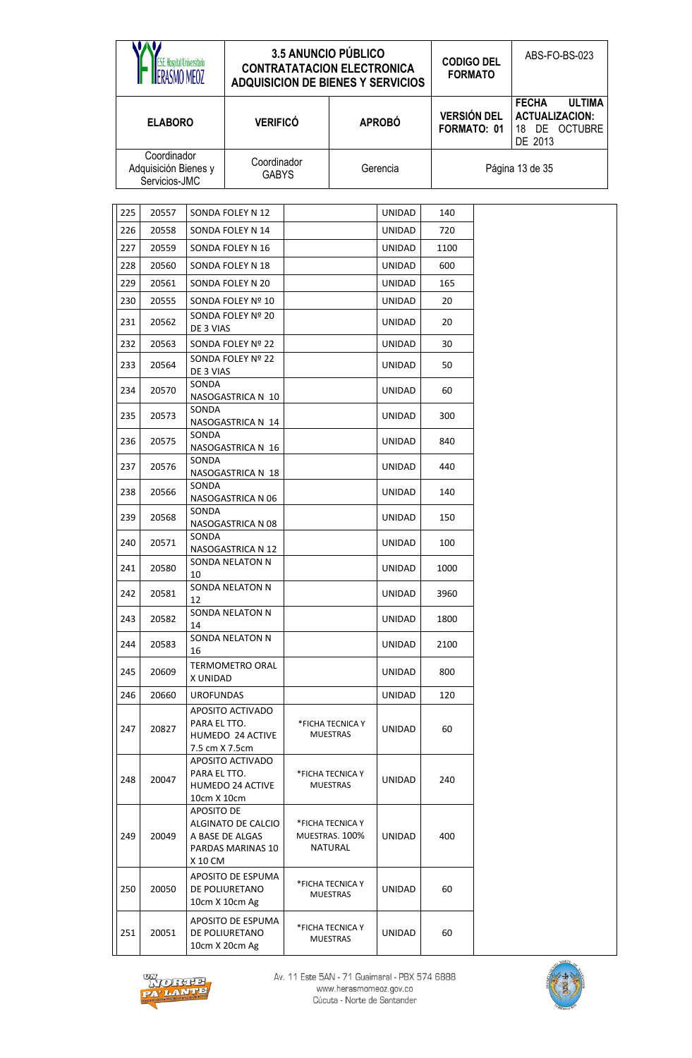|     | E.S.E. Hospital Universitario<br>ERASMO MEOZ         |                                | <b>ADQUISICION DE BIENES Y SERVICIOS</b>                   | <b>3.5 ANUNCIO PÚBLICO</b><br><b>CONTRATATACION ELECTRONICA</b> |                                               |               | <b>CODIGO DEL</b><br><b>FORMATO</b> | ABS-FO-BS-023                                                                      |  |
|-----|------------------------------------------------------|--------------------------------|------------------------------------------------------------|-----------------------------------------------------------------|-----------------------------------------------|---------------|-------------------------------------|------------------------------------------------------------------------------------|--|
|     | <b>ELABORO</b>                                       |                                | <b>VERIFICÓ</b>                                            |                                                                 |                                               | <b>APROBÓ</b> | <b>VERSIÓN DEL</b><br>FORMATO: 01   | <b>FECHA</b><br><b>ULTIMA</b><br><b>ACTUALIZACION:</b><br>18 DE OCTUBRE<br>DE 2013 |  |
|     | Coordinador<br>Adquisición Bienes y<br>Servicios-JMC |                                | Coordinador<br><b>GABYS</b>                                |                                                                 |                                               | Gerencia      |                                     | Página 13 de 35                                                                    |  |
| 225 | 20557                                                |                                | SONDA FOLEY N 12                                           |                                                                 |                                               | <b>UNIDAD</b> | 140                                 |                                                                                    |  |
| 226 | 20558                                                |                                | SONDA FOLEY N 14                                           |                                                                 |                                               | UNIDAD        | 720                                 |                                                                                    |  |
| 227 | 20559                                                |                                | SONDA FOLEY N 16                                           |                                                                 |                                               | <b>UNIDAD</b> | 1100                                |                                                                                    |  |
| 228 | 20560                                                |                                | SONDA FOLEY N 18                                           |                                                                 |                                               | UNIDAD        | 600                                 |                                                                                    |  |
| 229 | 20561                                                |                                | SONDA FOLEY N 20                                           |                                                                 |                                               | UNIDAD        | 165                                 |                                                                                    |  |
| 230 | 20555                                                |                                | SONDA FOLEY Nº 10                                          |                                                                 |                                               | <b>UNIDAD</b> | 20                                  |                                                                                    |  |
| 231 | 20562                                                |                                | SONDA FOLEY Nº 20                                          |                                                                 |                                               | <b>UNIDAD</b> | 20                                  |                                                                                    |  |
| 232 | 20563                                                | DE 3 VIAS                      | SONDA FOLEY Nº 22                                          |                                                                 |                                               | <b>UNIDAD</b> | 30                                  |                                                                                    |  |
|     |                                                      |                                | SONDA FOLEY Nº 22                                          |                                                                 |                                               |               |                                     |                                                                                    |  |
| 233 | 20564                                                | DE 3 VIAS                      |                                                            |                                                                 |                                               | <b>UNIDAD</b> | 50                                  |                                                                                    |  |
| 234 | 20570                                                | SONDA                          | NASOGASTRICA N 10                                          |                                                                 |                                               | <b>UNIDAD</b> | 60                                  |                                                                                    |  |
| 235 | 20573                                                | SONDA                          | NASOGASTRICA N 14                                          |                                                                 |                                               | <b>UNIDAD</b> | 300                                 |                                                                                    |  |
| 236 | 20575                                                | SONDA                          | NASOGASTRICA N 16                                          |                                                                 |                                               | <b>UNIDAD</b> | 840                                 |                                                                                    |  |
| 237 | 20576                                                | SONDA                          | NASOGASTRICA N 18                                          |                                                                 |                                               | <b>UNIDAD</b> | 440                                 |                                                                                    |  |
| 238 | 20566                                                | SONDA                          | NASOGASTRICA N 06                                          |                                                                 |                                               | <b>UNIDAD</b> | 140                                 |                                                                                    |  |
| 239 | 20568                                                | SONDA                          | NASOGASTRICA N 08                                          |                                                                 |                                               | <b>UNIDAD</b> | 150                                 |                                                                                    |  |
| 240 | 20571                                                | SONDA                          | NASOGASTRICA N 12                                          |                                                                 |                                               | <b>UNIDAD</b> | 100                                 |                                                                                    |  |
| 241 | 20580                                                | 10                             | SONDA NELATON N                                            |                                                                 |                                               | UNIDAD        | 1000                                |                                                                                    |  |
| 242 | 20581                                                | 12                             | SONDA NELATON N                                            |                                                                 |                                               | UNIDAD        | 3960                                |                                                                                    |  |
| 243 | 20582                                                | 14                             | SONDA NELATON N                                            |                                                                 |                                               | <b>UNIDAD</b> | 1800                                |                                                                                    |  |
| 244 | 20583                                                | 16                             | SONDA NELATON N                                            |                                                                 |                                               | <b>UNIDAD</b> | 2100                                |                                                                                    |  |
| 245 | 20609                                                | X UNIDAD                       | TERMOMETRO ORAL                                            |                                                                 |                                               | UNIDAD        | 800                                 |                                                                                    |  |
| 246 | 20660                                                | <b>UROFUNDAS</b>               |                                                            |                                                                 |                                               | UNIDAD        | 120                                 |                                                                                    |  |
| 247 | 20827                                                | PARA EL TTO.<br>7.5 cm X 7.5cm | APOSITO ACTIVADO<br>HUMEDO 24 ACTIVE                       |                                                                 | *FICHA TECNICA Y<br><b>MUESTRAS</b>           | UNIDAD        | 60                                  |                                                                                    |  |
| 248 | 20047                                                | PARA EL TTO.<br>10cm X 10cm    | APOSITO ACTIVADO<br>HUMEDO 24 ACTIVE                       |                                                                 | *FICHA TECNICA Y<br><b>MUESTRAS</b>           | UNIDAD        | 240                                 |                                                                                    |  |
| 249 | 20049                                                | APOSITO DE<br>X 10 CM          | ALGINATO DE CALCIO<br>A BASE DE ALGAS<br>PARDAS MARINAS 10 |                                                                 | *FICHA TECNICA Y<br>MUESTRAS. 100%<br>NATURAL | UNIDAD        | 400                                 |                                                                                    |  |
| 250 | 20050                                                |                                | APOSITO DE ESPUMA<br>DE POLIURETANO<br>10cm X 10cm Ag      |                                                                 | *FICHA TECNICA Y<br>MUESTRAS                  | UNIDAD        | 60                                  |                                                                                    |  |
| 251 | 20051                                                |                                | APOSITO DE ESPUMA<br>DE POLIURETANO<br>10cm X 20cm Ag      |                                                                 | *FICHA TECNICA Y<br><b>MUESTRAS</b>           | UNIDAD        | 60                                  |                                                                                    |  |



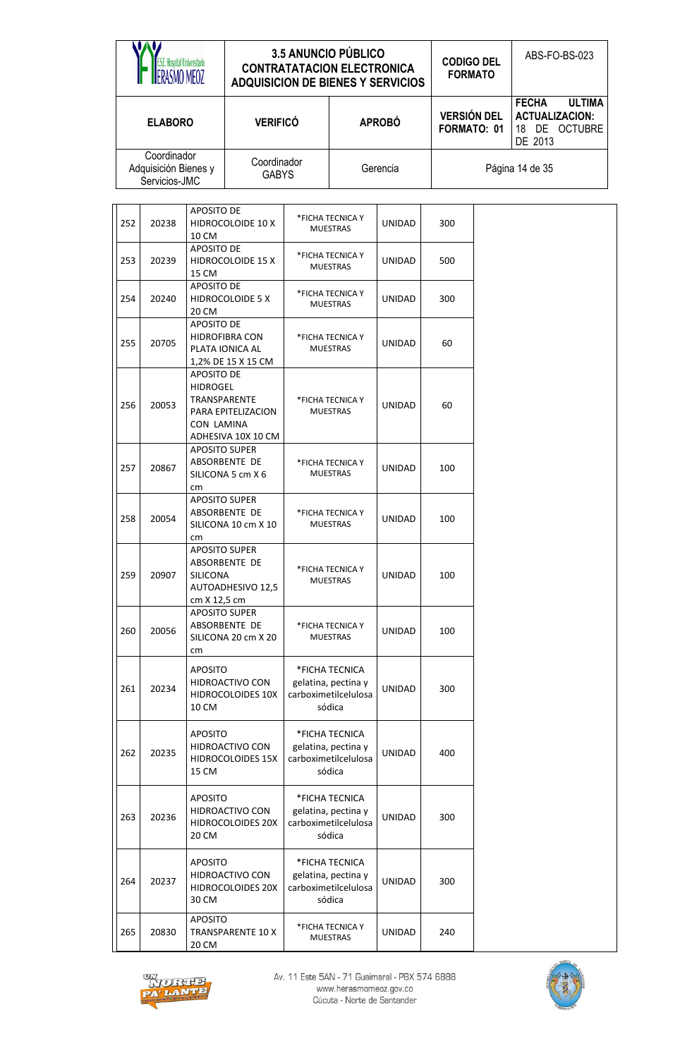| Hosnital Hniversitario                               | <b>3.5 ANUNCIO PÚBLICO</b><br><b>CONTRATATACION ELECTRONICA</b><br><b>ADQUISICION DE BIENES Y SERVICIOS</b> |               | <b>CODIGO DEL</b><br><b>FORMATO</b> | ABS-FO-BS-023                                                                         |  |
|------------------------------------------------------|-------------------------------------------------------------------------------------------------------------|---------------|-------------------------------------|---------------------------------------------------------------------------------------|--|
| <b>ELABORO</b>                                       | <b>VERIFICÓ</b>                                                                                             | <b>APROBÓ</b> | <b>VERSIÓN DEL</b><br>FORMATO: 01   | <b>ULTIMA</b><br><b>FECHA</b><br><b>ACTUALIZACION:</b><br>DE OCTUBRE<br>18<br>DE 2013 |  |
| Coordinador<br>Adquisición Bienes y<br>Servicios-JMC | Coordinador<br><b>GABYS</b>                                                                                 | Gerencia      |                                     | Página 14 de 35                                                                       |  |

| 252 | 20238 | APOSITO DE<br>HIDROCOLOIDE 10 X                                                                         | *FICHA TECNICA Y<br><b>MUESTRAS</b>                                     | UNIDAD        | 300 |
|-----|-------|---------------------------------------------------------------------------------------------------------|-------------------------------------------------------------------------|---------------|-----|
| 253 | 20239 | 10 CM<br>APOSITO DE<br><b>HIDROCOLOIDE 15 X</b><br>15 CM                                                | *FICHA TECNICA Y<br><b>MUESTRAS</b>                                     | <b>UNIDAD</b> | 500 |
| 254 | 20240 | <b>APOSITO DE</b><br>HIDROCOLOIDE 5 X<br>20 CM                                                          | *FICHA TECNICA Y<br><b>MUESTRAS</b>                                     | UNIDAD        | 300 |
| 255 | 20705 | <b>APOSITO DE</b><br><b>HIDROFIBRA CON</b><br>PLATA IONICA AL<br>1,2% DE 15 X 15 CM                     | *FICHA TECNICA Y<br><b>MUESTRAS</b>                                     | UNIDAD        | 60  |
| 256 | 20053 | APOSITO DE<br><b>HIDROGEL</b><br>TRANSPARENTE<br>PARA EPITELIZACION<br>CON LAMINA<br>ADHESIVA 10X 10 CM | *FICHA TECNICA Y<br><b>MUESTRAS</b>                                     | <b>UNIDAD</b> | 60  |
| 257 | 20867 | <b>APOSITO SUPER</b><br>ABSORBENTE DE<br>SILICONA 5 cm X 6<br>cm                                        | *FICHA TECNICA Y<br><b>MUESTRAS</b>                                     | <b>UNIDAD</b> | 100 |
| 258 | 20054 | <b>APOSITO SUPER</b><br>ABSORBENTE DE<br>SILICONA 10 cm X 10<br>cm                                      | *FICHA TECNICA Y<br><b>MUESTRAS</b>                                     | <b>UNIDAD</b> | 100 |
| 259 | 20907 | <b>APOSITO SUPER</b><br>ABSORBENTE DE<br><b>SILICONA</b><br>AUTOADHESIVO 12,5<br>cm X 12,5 cm           | *FICHA TECNICA Y<br><b>MUESTRAS</b>                                     | <b>UNIDAD</b> | 100 |
| 260 | 20056 | <b>APOSITO SUPER</b><br>ABSORBENTE DE<br>SILICONA 20 cm X 20<br>cm                                      | *FICHA TECNICA Y<br><b>MUESTRAS</b>                                     | UNIDAD        | 100 |
| 261 | 20234 | <b>APOSITO</b><br>HIDROACTIVO CON<br><b>HIDROCOLOIDES 10X</b><br>10 CM                                  | *FICHA TECNICA<br>gelatina, pectina y<br>carboximetilcelulosa<br>sódica | <b>UNIDAD</b> | 300 |
| 262 | 20235 | <b>APOSITO</b><br>HIDROACTIVO CON<br><b>HIDROCOLOIDES 15X</b><br>15 CM                                  | *FICHA TECNICA<br>gelatina, pectina y<br>carboximetilcelulosa<br>sódica | <b>UNIDAD</b> | 400 |
| 263 | 20236 | <b>APOSITO</b><br>HIDROACTIVO CON<br><b>HIDROCOLOIDES 20X</b><br>20 CM                                  | *FICHA TECNICA<br>gelatina, pectina y<br>carboximetilcelulosa<br>sódica | <b>UNIDAD</b> | 300 |
| 264 | 20237 | <b>APOSITO</b><br>HIDROACTIVO CON<br><b>HIDROCOLOIDES 20X</b><br>30 CM                                  | *FICHA TECNICA<br>gelatina, pectina y<br>carboximetilcelulosa<br>sódica | <b>UNIDAD</b> | 300 |
| 265 | 20830 | <b>APOSITO</b><br><b>TRANSPARENTE 10 X</b><br>20 CM                                                     | *FICHA TECNICA Y<br><b>MUESTRAS</b>                                     | <b>UNIDAD</b> | 240 |



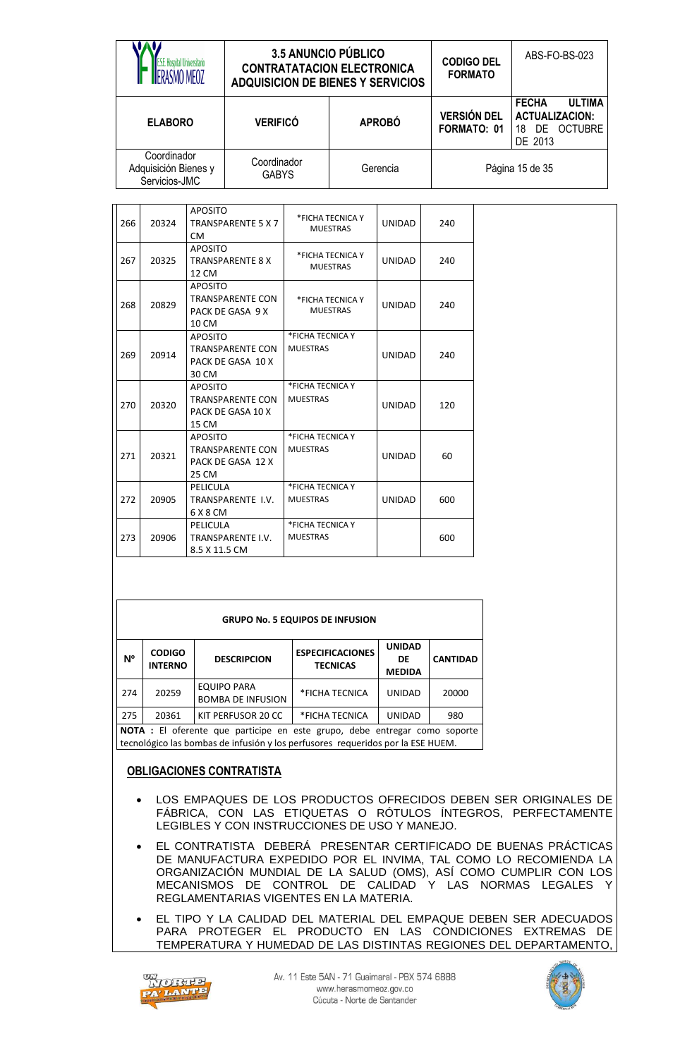| ISMO MFO7                                            | <b>3.5 ANUNCIO PÚBLICO</b><br><b>CONTRATATACION ELECTRONICA</b><br><b>ADQUISICION DE BIENES Y SERVICIOS</b> |               | <b>CODIGO DEL</b><br><b>FORMATO</b> | ABS-FO-BS-023                                                                         |
|------------------------------------------------------|-------------------------------------------------------------------------------------------------------------|---------------|-------------------------------------|---------------------------------------------------------------------------------------|
| <b>ELABORO</b>                                       | <b>VERIFICÓ</b>                                                                                             | <b>APROBÓ</b> | <b>VERSIÓN DEL</b><br>FORMATO: 01   | <b>ULTIMA</b><br><b>FECHA</b><br><b>ACTUALIZACION:</b><br>DE OCTUBRE<br>18<br>DE 2013 |
| Coordinador<br>Adquisición Bienes y<br>Servicios-JMC | Coordinador<br><b>GABYS</b>                                                                                 | Gerencia      |                                     | Página 15 de 35                                                                       |

| 266 | 20324 | <b>APOSITO</b><br><b>TRANSPARENTE 5 X 7</b><br><b>CM</b>                | *FICHA TECNICA Y<br><b>MUESTRAS</b> | <b>UNIDAD</b> | 240 |
|-----|-------|-------------------------------------------------------------------------|-------------------------------------|---------------|-----|
| 267 | 20325 | <b>APOSITO</b><br><b>TRANSPARENTE 8 X</b><br>12 CM                      | *FICHA TECNICA Y<br><b>MUESTRAS</b> | <b>UNIDAD</b> | 240 |
| 268 | 20829 | <b>APOSITO</b><br>TRANSPARENTE CON<br>PACK DE GASA 9 X<br>10 CM         | *FICHA TECNICA Y<br><b>MUESTRAS</b> | <b>UNIDAD</b> | 240 |
| 269 | 20914 | <b>APOSITO</b><br>TRANSPARENTE CON<br>PACK DE GASA 10 X<br>30 CM        | *FICHA TECNICA Y<br><b>MUESTRAS</b> | <b>UNIDAD</b> | 240 |
| 270 | 20320 | <b>APOSITO</b><br>TRANSPARENTE CON<br>PACK DE GASA 10 X<br>15 CM        | *FICHA TECNICA Y<br><b>MUESTRAS</b> | <b>UNIDAD</b> | 120 |
| 271 | 20321 | <b>APOSITO</b><br><b>TRANSPARENTE CON</b><br>PACK DE GASA 12 X<br>25 CM | *FICHA TECNICA Y<br><b>MUESTRAS</b> | <b>UNIDAD</b> | 60  |
| 272 | 20905 | PELICULA<br>TRANSPARENTE I.V.<br>6 X 8 CM                               | *FICHA TECNICA Y<br><b>MUESTRAS</b> | <b>UNIDAD</b> | 600 |
| 273 | 20906 | PELICULA<br>TRANSPARENTE I.V.<br>8.5 X 11.5 CM                          | *FICHA TECNICA Y<br><b>MUESTRAS</b> |               | 600 |

|                | <b>GRUPO No. 5 EQUIPOS DE INFUSION</b> |                                                                              |                                            |                                      |                 |  |  |  |  |  |  |
|----------------|----------------------------------------|------------------------------------------------------------------------------|--------------------------------------------|--------------------------------------|-----------------|--|--|--|--|--|--|
| N <sup>o</sup> | <b>CODIGO</b><br><b>INTERNO</b>        | <b>DESCRIPCION</b>                                                           | <b>ESPECIFICACIONES</b><br><b>TECNICAS</b> | <b>UNIDAD</b><br>DE<br><b>MEDIDA</b> | <b>CANTIDAD</b> |  |  |  |  |  |  |
| 274            | 20259                                  | <b>EQUIPO PARA</b><br><b>BOMBA DE INFUSION</b>                               | *FICHA TECNICA                             | <b>UNIDAD</b>                        | 20000           |  |  |  |  |  |  |
| 275            | 20361                                  | KIT PERFUSOR 20 CC                                                           | *FICHA TECNICA                             | <b>UNIDAD</b>                        | 980             |  |  |  |  |  |  |
|                |                                        | NIOTA : El afaccado que populaba que qota queno algles cotrogos como conquis |                                            |                                      |                 |  |  |  |  |  |  |

**NOTA :** El oferente que participe en este grupo, debe entregar como soporte tecnológico las bombas de infusión y los perfusores requeridos por la ESE HUEM.

### **OBLIGACIONES CONTRATISTA**

- LOS EMPAQUES DE LOS PRODUCTOS OFRECIDOS DEBEN SER ORIGINALES DE FÁBRICA, CON LAS ETIQUETAS O RÓTULOS ÍNTEGROS, PERFECTAMENTE LEGIBLES Y CON INSTRUCCIONES DE USO Y MANEJO.
- EL CONTRATISTA DEBERÁ PRESENTAR CERTIFICADO DE BUENAS PRÁCTICAS DE MANUFACTURA EXPEDIDO POR EL INVIMA, TAL COMO LO RECOMIENDA LA ORGANIZACIÓN MUNDIAL DE LA SALUD (OMS), ASÍ COMO CUMPLIR CON LOS MECANISMOS DE CONTROL DE CALIDAD Y LAS NORMAS LEGALES Y REGLAMENTARIAS VIGENTES EN LA MATERIA.
- EL TIPO Y LA CALIDAD DEL MATERIAL DEL EMPAQUE DEBEN SER ADECUADOS PARA PROTEGER EL PRODUCTO EN LAS CONDICIONES EXTREMAS DE TEMPERATURA Y HUMEDAD DE LAS DISTINTAS REGIONES DEL DEPARTAMENTO,



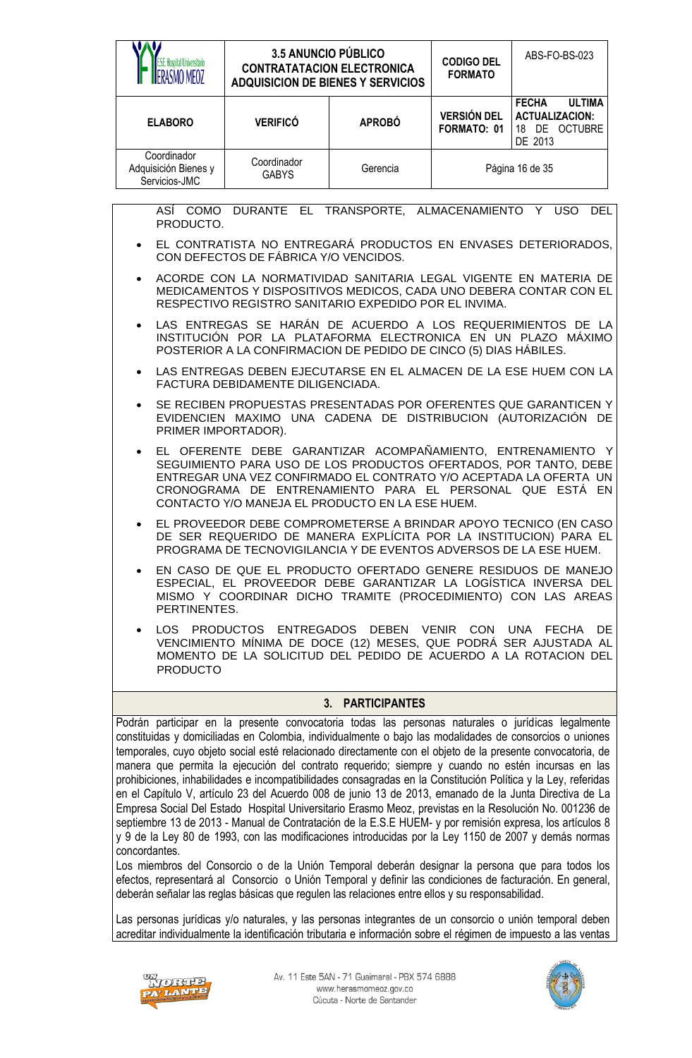| <b>ESE</b> . Hospital Universitario<br>RASMO MFO7                                                                                                                                                                                                                                                                                                                                                                                                                                                                                                                                                                                                                                                                                                                                                                                                                                | <b>3.5 ANUNCIO PÚBLICO</b><br><b>CONTRATATACION ELECTRONICA</b><br><b>ADQUISICION DE BIENES Y SERVICIOS</b>                                                                                                                                                                                                         |                  | <b>CODIGO DEL</b><br><b>FORMATO</b> | ABS-FO-BS-023                                                                      |  |
|----------------------------------------------------------------------------------------------------------------------------------------------------------------------------------------------------------------------------------------------------------------------------------------------------------------------------------------------------------------------------------------------------------------------------------------------------------------------------------------------------------------------------------------------------------------------------------------------------------------------------------------------------------------------------------------------------------------------------------------------------------------------------------------------------------------------------------------------------------------------------------|---------------------------------------------------------------------------------------------------------------------------------------------------------------------------------------------------------------------------------------------------------------------------------------------------------------------|------------------|-------------------------------------|------------------------------------------------------------------------------------|--|
| <b>ELABORO</b>                                                                                                                                                                                                                                                                                                                                                                                                                                                                                                                                                                                                                                                                                                                                                                                                                                                                   | <b>VERIFICÓ</b>                                                                                                                                                                                                                                                                                                     | <b>APROBÓ</b>    | <b>VERSIÓN DEL</b><br>FORMATO: 01   | <b>FECHA</b><br><b>ULTIMA</b><br><b>ACTUALIZACION:</b><br>18 DE OCTUBRE<br>DE 2013 |  |
| Coordinador<br>Adquisición Bienes y<br>Servicios-JMC                                                                                                                                                                                                                                                                                                                                                                                                                                                                                                                                                                                                                                                                                                                                                                                                                             | Coordinador<br><b>GABYS</b>                                                                                                                                                                                                                                                                                         | Gerencia         |                                     | Página 16 de 35                                                                    |  |
| PRODUCTO.                                                                                                                                                                                                                                                                                                                                                                                                                                                                                                                                                                                                                                                                                                                                                                                                                                                                        | ASÍ COMO DURANTE EL TRANSPORTE, ALMACENAMIENTO Y USO                                                                                                                                                                                                                                                                |                  |                                     | <b>DEL</b>                                                                         |  |
| $\bullet$                                                                                                                                                                                                                                                                                                                                                                                                                                                                                                                                                                                                                                                                                                                                                                                                                                                                        | EL CONTRATISTA NO ENTREGARÁ PRODUCTOS EN ENVASES DETERIORADOS,<br>CON DEFECTOS DE FÁBRICA Y/O VENCIDOS.                                                                                                                                                                                                             |                  |                                     |                                                                                    |  |
| $\bullet$                                                                                                                                                                                                                                                                                                                                                                                                                                                                                                                                                                                                                                                                                                                                                                                                                                                                        | ACORDE CON LA NORMATIVIDAD SANITARIA LEGAL VIGENTE EN MATERIA DE<br>MEDICAMENTOS Y DISPOSITIVOS MEDICOS, CADA UNO DEBERA CONTAR CON EL<br>RESPECTIVO REGISTRO SANITARIO EXPEDIDO POR EL INVIMA.                                                                                                                     |                  |                                     |                                                                                    |  |
|                                                                                                                                                                                                                                                                                                                                                                                                                                                                                                                                                                                                                                                                                                                                                                                                                                                                                  | INSTITUCIÓN POR LA PLATAFORMA ELECTRONICA EN UN PLAZO MÁXIMO<br>POSTERIOR A LA CONFIRMACION DE PEDIDO DE CINCO (5) DIAS HÁBILES.                                                                                                                                                                                    |                  |                                     | LAS ENTREGAS SE HARÁN DE ACUERDO A LOS REQUERIMIENTOS DE LA                        |  |
| $\bullet$                                                                                                                                                                                                                                                                                                                                                                                                                                                                                                                                                                                                                                                                                                                                                                                                                                                                        | FACTURA DEBIDAMENTE DILIGENCIADA.                                                                                                                                                                                                                                                                                   |                  |                                     | LAS ENTREGAS DEBEN EJECUTARSE EN EL ALMACEN DE LA ESE HUEM CON LA                  |  |
|                                                                                                                                                                                                                                                                                                                                                                                                                                                                                                                                                                                                                                                                                                                                                                                                                                                                                  | SE RECIBEN PROPUESTAS PRESENTADAS POR OFERENTES QUE GARANTICEN Y<br>EVIDENCIEN MAXIMO UNA CADENA DE DISTRIBUCION (AUTORIZACIÓN DE<br>PRIMER IMPORTADOR).                                                                                                                                                            |                  |                                     |                                                                                    |  |
| $\bullet$                                                                                                                                                                                                                                                                                                                                                                                                                                                                                                                                                                                                                                                                                                                                                                                                                                                                        | EL OFERENTE DEBE GARANTIZAR ACOMPAÑAMIENTO, ENTRENAMIENTO Y<br>SEGUIMIENTO PARA USO DE LOS PRODUCTOS OFERTADOS, POR TANTO, DEBE<br>ENTREGAR UNA VEZ CONFIRMADO EL CONTRATO Y/O ACEPTADA LA OFERTA UN<br>CRONOGRAMA DE ENTRENAMIENTO PARA EL PERSONAL QUE ESTÁ EN<br>CONTACTO Y/O MANEJA EL PRODUCTO EN LA ESE HUEM. |                  |                                     |                                                                                    |  |
| $\bullet$                                                                                                                                                                                                                                                                                                                                                                                                                                                                                                                                                                                                                                                                                                                                                                                                                                                                        | EL PROVEEDOR DEBE COMPROMETERSE A BRINDAR APOYO TECNICO (EN CASO<br>DE SER REQUERIDO DE MANERA EXPLICITA POR LA INSTITUCION) PARA EL<br>PROGRAMA DE TECNOVIGILANCIA Y DE EVENTOS ADVERSOS DE LA ESE HUEM.                                                                                                           |                  |                                     |                                                                                    |  |
|                                                                                                                                                                                                                                                                                                                                                                                                                                                                                                                                                                                                                                                                                                                                                                                                                                                                                  | EN CASO DE QUE EL PRODUCTO OFERTADO GENERE RESIDUOS DE MANEJO<br>ESPECIAL, EL PROVEEDOR DEBE GARANTIZAR LA LOGÍSTICA INVERSA DEL<br>MISMO Y COORDINAR DICHO TRAMITE (PROCEDIMIENTO) CON LAS AREAS<br>PERTINENTES.                                                                                                   |                  |                                     |                                                                                    |  |
| <b>PRODUCTO</b>                                                                                                                                                                                                                                                                                                                                                                                                                                                                                                                                                                                                                                                                                                                                                                                                                                                                  | LOS PRODUCTOS ENTREGADOS DEBEN VENIR CON<br>UNA<br>DE<br><b>FECHA</b><br>VENCIMIENTO MÍNIMA DE DOCE (12) MESES, QUE PODRÁ SER AJUSTADA AL<br>MOMENTO DE LA SOLICITUD DEL PEDIDO DE ACUERDO A LA ROTACION DEL                                                                                                        |                  |                                     |                                                                                    |  |
|                                                                                                                                                                                                                                                                                                                                                                                                                                                                                                                                                                                                                                                                                                                                                                                                                                                                                  |                                                                                                                                                                                                                                                                                                                     | 3. PARTICIPANTES |                                     |                                                                                    |  |
| Podrán participar en la presente convocatoria todas las personas naturales o jurídicas legalmente<br>constituidas y domiciliadas en Colombia, individualmente o bajo las modalidades de consorcios o uniones<br>temporales, cuyo objeto social esté relacionado directamente con el objeto de la presente convocatoria, de<br>manera que permita la ejecución del contrato requerido; siempre y cuando no estén incursas en las<br>prohibiciones, inhabilidades e incompatibilidades consagradas en la Constitución Política y la Ley, referidas<br>en el Capítulo V, artículo 23 del Acuerdo 008 de junio 13 de 2013, emanado de la Junta Directiva de La<br>Empresa Social Del Estado Hospital Universitario Erasmo Meoz, previstas en la Resolución No. 001236 de<br>septiembre 13 de 2013 - Manual de Contratación de la E.S.E HUEM- y por remisión expresa, los artículos 8 |                                                                                                                                                                                                                                                                                                                     |                  |                                     |                                                                                    |  |

y 9 de la Ley 80 de 1993, con las modificaciones introducidas por la Ley 1150 de 2007 y demás normas concordantes.

Los miembros del Consorcio o de la Unión Temporal deberán designar la persona que para todos los efectos, representará al Consorcio o Unión Temporal y definir las condiciones de facturación. En general, deberán señalar las reglas básicas que regulen las relaciones entre ellos y su responsabilidad.

Las personas jurídicas y/o naturales, y las personas integrantes de un consorcio o unión temporal deben acreditar individualmente la identificación tributaria e información sobre el régimen de impuesto a las ventas



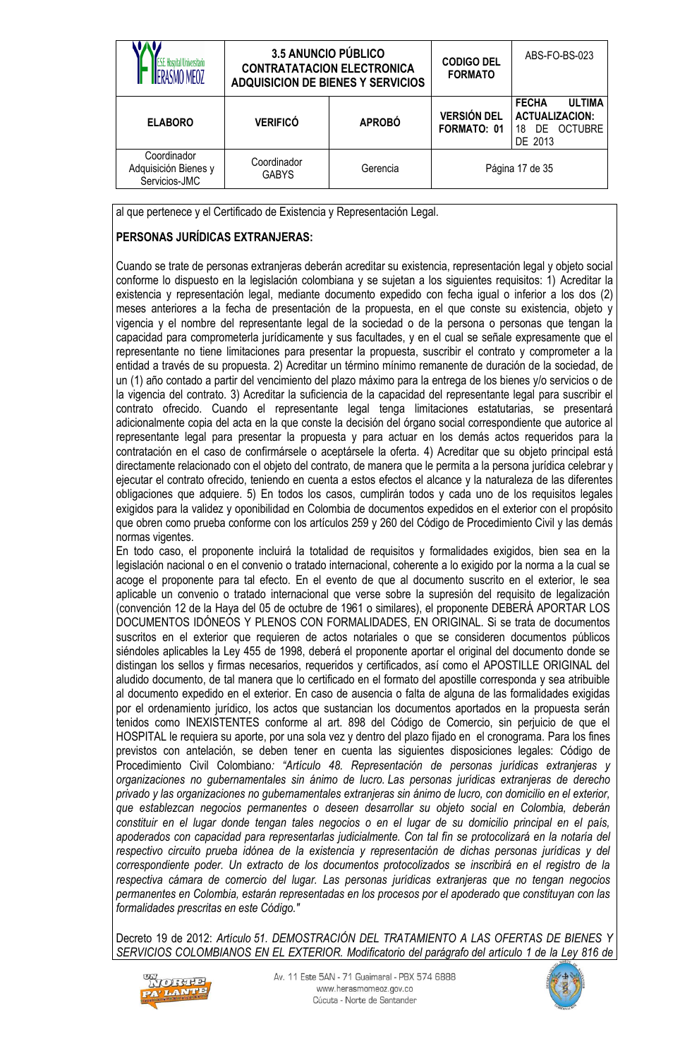|                                                      | 3.5 ANUNCIO PÚBLICO<br><b>CONTRATATACION ELECTRONICA</b><br><b>ADQUISICION DE BIENES Y SERVICIOS</b> |               | <b>CODIGO DEL</b><br><b>FORMATO</b> | ABS-FO-BS-023                                                                         |
|------------------------------------------------------|------------------------------------------------------------------------------------------------------|---------------|-------------------------------------|---------------------------------------------------------------------------------------|
| <b>ELABORO</b>                                       | <b>VERIFICÓ</b>                                                                                      | <b>APROBÓ</b> | <b>VERSIÓN DEL</b><br>FORMATO: 01   | <b>ULTIMA</b><br><b>FECHA</b><br><b>ACTUALIZACION:</b><br>DE OCTUBRE<br>18<br>DE 2013 |
| Coordinador<br>Adquisición Bienes y<br>Servicios-JMC | Coordinador<br><b>GABYS</b>                                                                          | Gerencia      |                                     | Página 17 de 35                                                                       |

al que pertenece y el Certificado de Existencia y Representación Legal.

# **PERSONAS JURÍDICAS EXTRANJERAS:**

Cuando se trate de personas extranjeras deberán acreditar su existencia, representación legal y objeto social conforme lo dispuesto en la legislación colombiana y se sujetan a los siguientes requisitos: 1) Acreditar la existencia y representación legal, mediante documento expedido con fecha igual o inferior a los dos (2) meses anteriores a la fecha de presentación de la propuesta, en el que conste su existencia, objeto y vigencia y el nombre del representante legal de la sociedad o de la persona o personas que tengan la capacidad para comprometerla jurídicamente y sus facultades, y en el cual se señale expresamente que el representante no tiene limitaciones para presentar la propuesta, suscribir el contrato y comprometer a la entidad a través de su propuesta. 2) Acreditar un término mínimo remanente de duración de la sociedad, de un (1) año contado a partir del vencimiento del plazo máximo para la entrega de los bienes y/o servicios o de la vigencia del contrato. 3) Acreditar la suficiencia de la capacidad del representante legal para suscribir el contrato ofrecido. Cuando el representante legal tenga limitaciones estatutarias, se presentará adicionalmente copia del acta en la que conste la decisión del órgano social correspondiente que autorice al representante legal para presentar la propuesta y para actuar en los demás actos requeridos para la contratación en el caso de confirmársele o aceptársele la oferta. 4) Acreditar que su objeto principal está directamente relacionado con el objeto del contrato, de manera que le permita a la persona jurídica celebrar y ejecutar el contrato ofrecido, teniendo en cuenta a estos efectos el alcance y la naturaleza de las diferentes obligaciones que adquiere. 5) En todos los casos, cumplirán todos y cada uno de los requisitos legales exigidos para la validez y oponibilidad en Colombia de documentos expedidos en el exterior con el propósito que obren como prueba conforme con los artículos 259 y 260 del Código de Procedimiento Civil y las demás normas vigentes.

En todo caso, el proponente incluirá la totalidad de requisitos y formalidades exigidos, bien sea en la legislación nacional o en el convenio o tratado internacional, coherente a lo exigido por la norma a la cual se acoge el proponente para tal efecto. En el evento de que al documento suscrito en el exterior, le sea aplicable un convenio o tratado internacional que verse sobre la supresión del requisito de legalización (convención 12 de la Haya del 05 de octubre de 1961 o similares), el proponente DEBERÁ APORTAR LOS DOCUMENTOS IDÓNEOS Y PLENOS CON FORMALIDADES, EN ORIGINAL. Si se trata de documentos suscritos en el exterior que requieren de actos notariales o que se consideren documentos públicos siéndoles aplicables la Ley 455 de 1998, deberá el proponente aportar el original del documento donde se distingan los sellos y firmas necesarios, requeridos y certificados, así como el APOSTILLE ORIGINAL del aludido documento, de tal manera que lo certificado en el formato del apostille corresponda y sea atribuible al documento expedido en el exterior. En caso de ausencia o falta de alguna de las formalidades exigidas por el ordenamiento jurídico, los actos que sustancian los documentos aportados en la propuesta serán tenidos como INEXISTENTES conforme al art. 898 del Código de Comercio, sin perjuicio de que el HOSPITAL le requiera su aporte, por una sola vez y dentro del plazo fijado en el cronograma. Para los fines previstos con antelación, se deben tener en cuenta las siguientes disposiciones legales: Código de Procedimiento Civil Colombiano*: "Artículo 48. Representación de personas jurídicas extranjeras y organizaciones no gubernamentales sin ánimo de lucro. Las personas jurídicas extranjeras de derecho privado y las organizaciones no gubernamentales extranjeras sin ánimo de lucro, con domicilio en el exterior, que establezcan negocios permanentes o deseen desarrollar su objeto social en Colombia, deberán constituir en el lugar donde tengan tales negocios o en el lugar de su domicilio principal en el país, apoderados con capacidad para representarlas judicialmente. Con tal fin se protocolizará en la notaría del respectivo circuito prueba idónea de la existencia y representación de dichas personas jurídicas y del correspondiente poder. Un extracto de los documentos protocolizados se inscribirá en el registro de la respectiva cámara de comercio del lugar. Las personas jurídicas extranjeras que no tengan negocios permanentes en Colombia, estarán representadas en los procesos por el apoderado que constituyan con las formalidades prescritas en este Código."*

Decreto 19 de 2012: *Artículo 51. DEMOSTRACIÓN DEL TRATAMIENTO A LAS OFERTAS DE BIENES Y SERVICIOS COLOMBIANOS EN EL EXTERIOR. Modificatorio del [parágrafo](http://www.alcaldiabogota.gov.co/sisjur/normas/Norma1.jsp?i=8788#1.P) del artículo 1 de la Ley 816 de* 



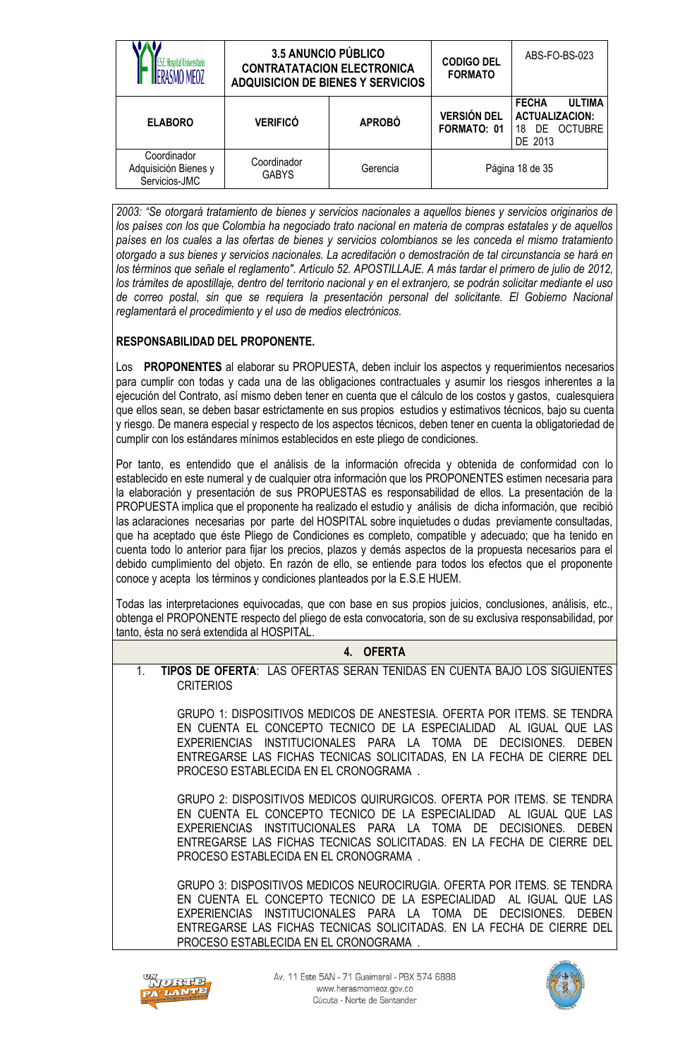| ISMO MFO7                                            | <b>3.5 ANUNCIO PÚBLICO</b><br><b>CONTRATATACION ELECTRONICA</b><br><b>ADQUISICION DE BIENES Y SERVICIOS</b> |               | <b>CODIGO DEL</b><br><b>FORMATO</b> | ABS-FO-BS-023                                                                            |
|------------------------------------------------------|-------------------------------------------------------------------------------------------------------------|---------------|-------------------------------------|------------------------------------------------------------------------------------------|
| <b>ELABORO</b>                                       | <b>VERIFICÓ</b>                                                                                             | <b>APROBÓ</b> | <b>VERSIÓN DEL</b><br>FORMATO: 01   | <b>ULTIMA</b><br><b>FECHA</b><br><b>ACTUALIZACION:</b><br>OCTUBRE<br>18<br>DE<br>DE 2013 |
| Coordinador<br>Adquisición Bienes y<br>Servicios-JMC | Coordinador<br><b>GABYS</b>                                                                                 | Gerencia      |                                     | Página 18 de 35                                                                          |

*2003: "Se otorgará tratamiento de bienes y servicios nacionales a aquellos bienes y servicios originarios de los países con los que Colombia ha negociado trato nacional en materia de compras estatales y de aquellos países en los cuales a las ofertas de bienes y servicios colombianos se les conceda el mismo tratamiento otorgado a sus bienes y servicios nacionales. La acreditación o demostración de tal circunstancia se hará en los términos que señale el reglamento". Artículo 52. APOSTILLAJE. A más tardar el primero de julio de 2012, los trámites de apostillaje, dentro del territorio nacional y en el extranjero, se podrán solicitar mediante el uso de correo postal, sin que se requiera la presentación personal del solicitante. El Gobierno Nacional reglamentará el procedimiento y el uso de medios electrónicos.*

### **RESPONSABILIDAD DEL PROPONENTE.**

Los **PROPONENTES** al elaborar su PROPUESTA, deben incluir los aspectos y requerimientos necesarios para cumplir con todas y cada una de las obligaciones contractuales y asumir los riesgos inherentes a la ejecución del Contrato, así mismo deben tener en cuenta que el cálculo de los costos y gastos, cualesquiera que ellos sean, se deben basar estrictamente en sus propios estudios y estimativos técnicos, bajo su cuenta y riesgo. De manera especial y respecto de los aspectos técnicos, deben tener en cuenta la obligatoriedad de cumplir con los estándares mínimos establecidos en este pliego de condiciones.

Por tanto, es entendido que el análisis de la información ofrecida y obtenida de conformidad con lo establecido en este numeral y de cualquier otra información que los PROPONENTES estimen necesaria para la elaboración y presentación de sus PROPUESTAS es responsabilidad de ellos. La presentación de la PROPUESTA implica que el proponente ha realizado el estudio y análisis de dicha información, que recibió las aclaraciones necesarias por parte del HOSPITAL sobre inquietudes o dudas previamente consultadas, que ha aceptado que éste Pliego de Condiciones es completo, compatible y adecuado; que ha tenido en cuenta todo lo anterior para fijar los precios, plazos y demás aspectos de la propuesta necesarios para el debido cumplimiento del objeto. En razón de ello, se entiende para todos los efectos que el proponente conoce y acepta los términos y condiciones planteados por la E.S.E HUEM.

Todas las interpretaciones equivocadas, que con base en sus propios juicios, conclusiones, análisis, etc., obtenga el PROPONENTE respecto del pliego de esta convocatoria, son de su exclusiva responsabilidad, por tanto, ésta no será extendida al HOSPITAL.

# **4. OFERTA**

1. **TIPOS DE OFERTA**: LAS OFERTAS SERAN TENIDAS EN CUENTA BAJO LOS SIGUIENTES **CRITERIOS** 

GRUPO 1: DISPOSITIVOS MEDICOS DE ANESTESIA. OFERTA POR ITEMS. SE TENDRA EN CUENTA EL CONCEPTO TECNICO DE LA ESPECIALIDAD AL IGUAL QUE LAS EXPERIENCIAS INSTITUCIONALES PARA LA TOMA DE DECISIONES. DEBEN ENTREGARSE LAS FICHAS TECNICAS SOLICITADAS, EN LA FECHA DE CIERRE DEL PROCESO ESTABLECIDA EN EL CRONOGRAMA .

GRUPO 2: DISPOSITIVOS MEDICOS QUIRURGICOS. OFERTA POR ITEMS. SE TENDRA EN CUENTA EL CONCEPTO TECNICO DE LA ESPECIALIDAD AL IGUAL QUE LAS EXPERIENCIAS INSTITUCIONALES PARA LA TOMA DE DECISIONES. DEBEN ENTREGARSE LAS FICHAS TECNICAS SOLICITADAS. EN LA FECHA DE CIERRE DEL PROCESO ESTABLECIDA EN EL CRONOGRAMA .

GRUPO 3: DISPOSITIVOS MEDICOS NEUROCIRUGIA. OFERTA POR ITEMS. SE TENDRA EN CUENTA EL CONCEPTO TECNICO DE LA ESPECIALIDAD AL IGUAL QUE LAS EXPERIENCIAS INSTITUCIONALES PARA LA TOMA DE DECISIONES. DEBEN ENTREGARSE LAS FICHAS TECNICAS SOLICITADAS. EN LA FECHA DE CIERRE DEL PROCESO ESTABLECIDA EN EL CRONOGRAMA .



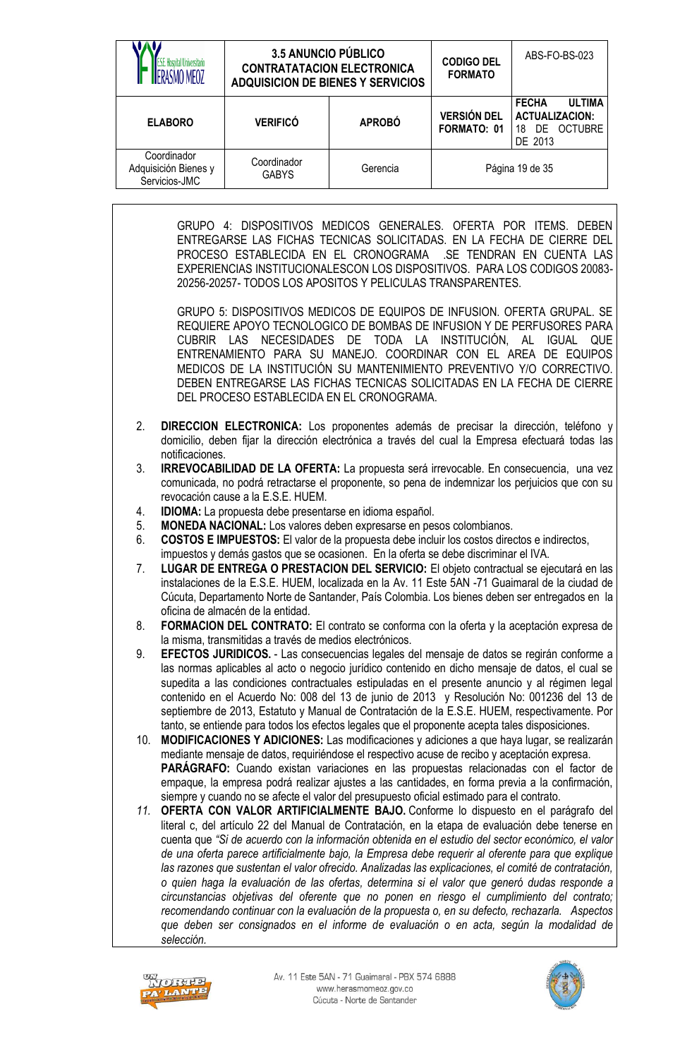|                                                            | <b>3.5 ANUNCIO PÚBLICO</b><br>S.E. Hospital Universitario<br><b>CONTRATATACION ELECTRONICA</b><br><b>ADQUISICION DE BIENES Y SERVICIOS</b> |                                                                                                                                                                                                                                                                                                                                                                                                                                                                                                                                                                                                                                                                                                                                                                                                                                                                                                                      |               | <b>CODIGO DEL</b><br><b>FORMATO</b> | ABS-FO-BS-023                                                                                                                                                                                                                                                                                                                                                                                                                                                                                                                                                                                                                                                                                                                                                                                                                                                                                                                                                                                                                                                                                                                                                                                                                                                                                                                                                                                                                                                                                                                                                                                                                                                                                                                                                                                                                                                                                                                                                                                                                                                                                                                                                                                                                                                                                                                                                                                                                                             |
|------------------------------------------------------------|--------------------------------------------------------------------------------------------------------------------------------------------|----------------------------------------------------------------------------------------------------------------------------------------------------------------------------------------------------------------------------------------------------------------------------------------------------------------------------------------------------------------------------------------------------------------------------------------------------------------------------------------------------------------------------------------------------------------------------------------------------------------------------------------------------------------------------------------------------------------------------------------------------------------------------------------------------------------------------------------------------------------------------------------------------------------------|---------------|-------------------------------------|-----------------------------------------------------------------------------------------------------------------------------------------------------------------------------------------------------------------------------------------------------------------------------------------------------------------------------------------------------------------------------------------------------------------------------------------------------------------------------------------------------------------------------------------------------------------------------------------------------------------------------------------------------------------------------------------------------------------------------------------------------------------------------------------------------------------------------------------------------------------------------------------------------------------------------------------------------------------------------------------------------------------------------------------------------------------------------------------------------------------------------------------------------------------------------------------------------------------------------------------------------------------------------------------------------------------------------------------------------------------------------------------------------------------------------------------------------------------------------------------------------------------------------------------------------------------------------------------------------------------------------------------------------------------------------------------------------------------------------------------------------------------------------------------------------------------------------------------------------------------------------------------------------------------------------------------------------------------------------------------------------------------------------------------------------------------------------------------------------------------------------------------------------------------------------------------------------------------------------------------------------------------------------------------------------------------------------------------------------------------------------------------------------------------------------------------------------------|
|                                                            | <b>ELABORO</b>                                                                                                                             | <b>VERIFICÓ</b>                                                                                                                                                                                                                                                                                                                                                                                                                                                                                                                                                                                                                                                                                                                                                                                                                                                                                                      | <b>APROBÓ</b> | <b>VERSIÓN DEL</b><br>FORMATO: 01   | <b>FECHA</b><br><b>ULTIMA</b><br><b>ACTUALIZACION:</b><br>18 DE OCTUBRE<br>DE 2013                                                                                                                                                                                                                                                                                                                                                                                                                                                                                                                                                                                                                                                                                                                                                                                                                                                                                                                                                                                                                                                                                                                                                                                                                                                                                                                                                                                                                                                                                                                                                                                                                                                                                                                                                                                                                                                                                                                                                                                                                                                                                                                                                                                                                                                                                                                                                                        |
|                                                            | Coordinador<br>Adquisición Bienes y<br>Servicios-JMC                                                                                       | Coordinador<br><b>GABYS</b>                                                                                                                                                                                                                                                                                                                                                                                                                                                                                                                                                                                                                                                                                                                                                                                                                                                                                          | Gerencia      |                                     | Página 19 de 35                                                                                                                                                                                                                                                                                                                                                                                                                                                                                                                                                                                                                                                                                                                                                                                                                                                                                                                                                                                                                                                                                                                                                                                                                                                                                                                                                                                                                                                                                                                                                                                                                                                                                                                                                                                                                                                                                                                                                                                                                                                                                                                                                                                                                                                                                                                                                                                                                                           |
| 2.<br>3.<br>4.<br>5.<br>6.<br>7.<br>8.<br>9.<br>10.<br>11. | CUBRIR LAS<br>notificaciones.                                                                                                              | PROCESO ESTABLECIDA EN EL CRONOGRAMA<br>20256-20257-TODOS LOS APOSITOS Y PELICULAS TRANSPARENTES.<br>DEL PROCESO ESTABLECIDA EN EL CRONOGRAMA.<br>revocación cause a la E.S.E. HUEM.<br>IDIOMA: La propuesta debe presentarse en idioma español.<br>MONEDA NACIONAL: Los valores deben expresarse en pesos colombianos.<br><b>COSTOS E IMPUESTOS:</b> El valor de la propuesta debe incluir los costos directos e indirectos,<br>impuestos y demás gastos que se ocasionen. En la oferta se debe discriminar el IVA.<br>oficina de almacén de la entidad.<br>la misma, transmitidas a través de medios electrónicos.<br>tanto, se entiende para todos los efectos legales que el proponente acepta tales disposiciones.<br>mediante mensaje de datos, requiriéndose el respectivo acuse de recibo y aceptación expresa.<br>siempre y cuando no se afecte el valor del presupuesto oficial estimado para el contrato. |               |                                     | GRUPO 4: DISPOSITIVOS MEDICOS GENERALES. OFERTA POR ITEMS. DEBEN<br>ENTREGARSE LAS FICHAS TECNICAS SOLICITADAS. EN LA FECHA DE CIERRE DEL<br>.SE TENDRAN EN CUENTA LAS<br>EXPERIENCIAS INSTITUCIONALESCON LOS DISPOSITIVOS. PARA LOS CODIGOS 20083-<br>GRUPO 5: DISPOSITIVOS MEDICOS DE EQUIPOS DE INFUSION. OFERTA GRUPAL. SE<br>REQUIERE APOYO TECNOLOGICO DE BOMBAS DE INFUSION Y DE PERFUSORES PARA<br>NECESIDADES DE TODA LA INSTITUCIÓN, AL IGUAL QUE<br>ENTRENAMIENTO PARA SU MANEJO. COORDINAR CON EL AREA DE EQUIPOS<br>MEDICOS DE LA INSTITUCIÓN SU MANTENIMIENTO PREVENTIVO Y/O CORRECTIVO.<br>DEBEN ENTREGARSE LAS FICHAS TECNICAS SOLICITADAS EN LA FECHA DE CIERRE<br>DIRECCION ELECTRONICA: Los proponentes además de precisar la dirección, teléfono y<br>domicilio, deben fijar la dirección electrónica a través del cual la Empresa efectuará todas las<br>IRREVOCABILIDAD DE LA OFERTA: La propuesta será irrevocable. En consecuencia, una vez<br>comunicada, no podrá retractarse el proponente, so pena de indemnizar los perjuicios que con su<br>LUGAR DE ENTREGA O PRESTACION DEL SERVICIO: El objeto contractual se ejecutará en las<br>instalaciones de la E.S.E. HUEM, localizada en la Av. 11 Este 5AN -71 Guaimaral de la ciudad de<br>Cúcuta, Departamento Norte de Santander, País Colombia. Los bienes deben ser entregados en la<br>FORMACION DEL CONTRATO: El contrato se conforma con la oferta y la aceptación expresa de<br>EFECTOS JURIDICOS. - Las consecuencias legales del mensaje de datos se regirán conforme a<br>las normas aplicables al acto o negocio jurídico contenido en dicho mensaje de datos, el cual se<br>supedita a las condiciones contractuales estipuladas en el presente anuncio y al régimen legal<br>contenido en el Acuerdo No: 008 del 13 de junio de 2013 y Resolución No: 001236 del 13 de<br>septiembre de 2013, Estatuto y Manual de Contratación de la E.S.E. HUEM, respectivamente. Por<br><b>MODIFICACIONES Y ADICIONES:</b> Las modificaciones y adiciones a que haya lugar, se realizarán<br>PARÁGRAFO: Cuando existan variaciones en las propuestas relacionadas con el factor de<br>empaque, la empresa podrá realizar ajustes a las cantidades, en forma previa a la confirmación,<br>OFERTA CON VALOR ARTIFICIALMENTE BAJO. Conforme lo dispuesto en el parágrafo del<br>literal c, del artículo 22 del Manual de Contratación, en la etapa de evaluación debe tenerse en |
|                                                            | selección.                                                                                                                                 |                                                                                                                                                                                                                                                                                                                                                                                                                                                                                                                                                                                                                                                                                                                                                                                                                                                                                                                      |               |                                     | cuenta que "Si de acuerdo con la información obtenida en el estudio del sector económico, el valor<br>de una oferta parece artificialmente bajo, la Empresa debe requerir al oferente para que explique<br>las razones que sustentan el valor ofrecido. Analizadas las explicaciones, el comité de contratación,<br>o quien haga la evaluación de las ofertas, determina si el valor que generó dudas responde a<br>circunstancias objetivas del oferente que no ponen en riesgo el cumplimiento del contrato;<br>recomendando continuar con la evaluación de la propuesta o, en su defecto, rechazarla. Aspectos<br>que deben ser consignados en el informe de evaluación o en acta, según la modalidad de                                                                                                                                                                                                                                                                                                                                                                                                                                                                                                                                                                                                                                                                                                                                                                                                                                                                                                                                                                                                                                                                                                                                                                                                                                                                                                                                                                                                                                                                                                                                                                                                                                                                                                                                               |



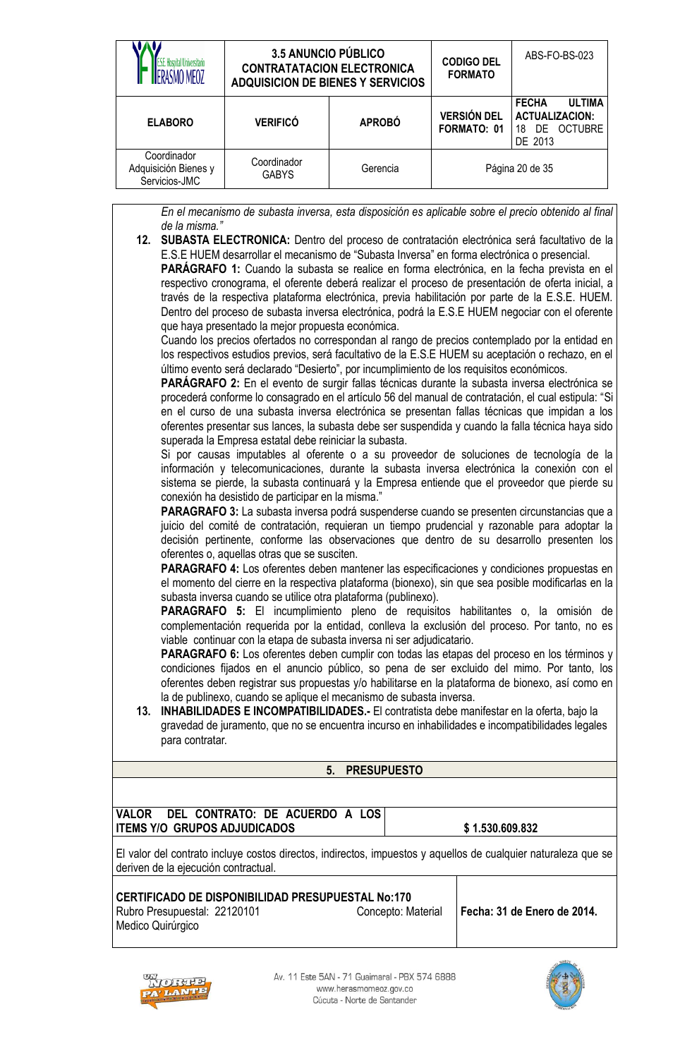|                                                      | <b>3.5 ANUNCIO PÚBLICO</b><br><b>CONTRATATACION ELECTRONICA</b><br><b>ADQUISICION DE BIENES Y SERVICIOS</b> |               | <b>CODIGO DEL</b><br><b>FORMATO</b> | ABS-FO-BS-023                                                                            |
|------------------------------------------------------|-------------------------------------------------------------------------------------------------------------|---------------|-------------------------------------|------------------------------------------------------------------------------------------|
| <b>ELABORO</b>                                       | <b>VERIFICÓ</b>                                                                                             | <b>APROBÓ</b> | <b>VERSIÓN DEL</b><br>FORMATO: 01   | <b>ULTIMA</b><br><b>FECHA</b><br><b>ACTUALIZACION:</b><br>OCTUBRE<br>DE<br>18<br>DE 2013 |
| Coordinador<br>Adquisición Bienes y<br>Servicios-JMC | Coordinador<br><b>GABYS</b>                                                                                 | Gerencia      |                                     | Página 20 de 35                                                                          |

*En el mecanismo de subasta inversa, esta disposición es aplicable sobre el precio obtenido al final de la misma."*

**12. SUBASTA ELECTRONICA:** Dentro del proceso de contratación electrónica será facultativo de la E.S.E HUEM desarrollar el mecanismo de "Subasta Inversa" en forma electrónica o presencial. **PARÁGRAFO 1:** Cuando la subasta se realice en forma electrónica, en la fecha prevista en el respectivo cronograma, el oferente deberá realizar el proceso de presentación de oferta inicial, a través de la respectiva plataforma electrónica, previa habilitación por parte de la E.S.E. HUEM. Dentro del proceso de subasta inversa electrónica, podrá la E.S.E HUEM negociar con el oferente que haya presentado la mejor propuesta económica.

Cuando los precios ofertados no correspondan al rango de precios contemplado por la entidad en los respectivos estudios previos, será facultativo de la E.S.E HUEM su aceptación o rechazo, en el último evento será declarado "Desierto", por incumplimiento de los requisitos económicos.

**PARÁGRAFO 2:** En el evento de surgir fallas técnicas durante la subasta inversa electrónica se procederá conforme lo consagrado en el artículo 56 del manual de contratación, el cual estipula: "Si en el curso de una subasta inversa electrónica se presentan fallas técnicas que impidan a los oferentes presentar sus lances, la subasta debe ser suspendida y cuando la falla técnica haya sido superada la Empresa estatal debe reiniciar la subasta.

Si por causas imputables al oferente o a su proveedor de soluciones de tecnología de la información y telecomunicaciones, durante la subasta inversa electrónica la conexión con el sistema se pierde, la subasta continuará y la Empresa entiende que el proveedor que pierde su conexión ha desistido de participar en la misma."

**PARAGRAFO 3:** La subasta inversa podrá suspenderse cuando se presenten circunstancias que a juicio del comité de contratación, requieran un tiempo prudencial y razonable para adoptar la decisión pertinente, conforme las observaciones que dentro de su desarrollo presenten los oferentes o, aquellas otras que se susciten.

**PARAGRAFO 4:** Los oferentes deben mantener las especificaciones y condiciones propuestas en el momento del cierre en la respectiva plataforma (bionexo), sin que sea posible modificarlas en la subasta inversa cuando se utilice otra plataforma (publinexo).

**PARAGRAFO 5:** El incumplimiento pleno de requisitos habilitantes o, la omisión de complementación requerida por la entidad, conlleva la exclusión del proceso. Por tanto, no es viable continuar con la etapa de subasta inversa ni ser adjudicatario.

**PARAGRAFO 6:** Los oferentes deben cumplir con todas las etapas del proceso en los términos y condiciones fijados en el anuncio público, so pena de ser excluido del mimo. Por tanto, los oferentes deben registrar sus propuestas y/o habilitarse en la plataforma de bionexo, así como en la de publinexo, cuando se aplique el mecanismo de subasta inversa.

**13. INHABILIDADES E INCOMPATIBILIDADES.-** El contratista debe manifestar en la oferta, bajo la gravedad de juramento, que no se encuentra incurso en inhabilidades e incompatibilidades legales para contratar.

# **5. PRESUPUESTO**

**VALOR DEL CONTRATO: DE ACUERDO A LOS ITEMS Y/O GRUPOS ADJUDICADOS**  $\vert$  \$1.530.609.832

El valor del contrato incluye costos directos, indirectos, impuestos y aquellos de cualquier naturaleza que se deriven de la ejecución contractual.

#### **CERTIFICADO DE DISPONIBILIDAD PRESUPUESTAL No:170** Rubro Presupuestal: 22120101 Medico Quirúrgico

**Fecha: 31 de Enero de 2014.** 



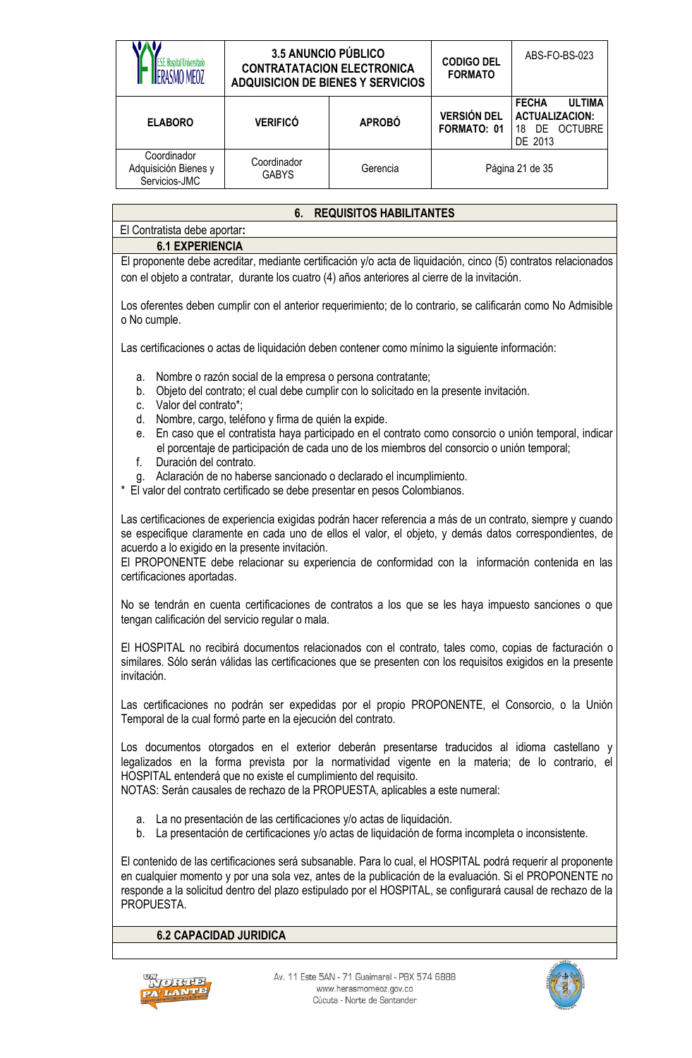| <b>E.S.E. Hospital Universitario</b><br>RASMO MFO7                                                                                                                                                                                                                                                                                                                                                                                                                                                                                                                                                                                                              | <b>3.5 ANUNCIO PÚBLICO</b><br>ABS-FO-BS-023<br><b>CODIGO DEL</b><br><b>CONTRATATACION ELECTRONICA</b><br><b>FORMATO</b><br><b>ADQUISICION DE BIENES Y SERVICIOS</b>                                                                                                                                                                                                                                      |                                |                                   |                                                                                                                                                                                                                                                                                                                                      |  |  |
|-----------------------------------------------------------------------------------------------------------------------------------------------------------------------------------------------------------------------------------------------------------------------------------------------------------------------------------------------------------------------------------------------------------------------------------------------------------------------------------------------------------------------------------------------------------------------------------------------------------------------------------------------------------------|----------------------------------------------------------------------------------------------------------------------------------------------------------------------------------------------------------------------------------------------------------------------------------------------------------------------------------------------------------------------------------------------------------|--------------------------------|-----------------------------------|--------------------------------------------------------------------------------------------------------------------------------------------------------------------------------------------------------------------------------------------------------------------------------------------------------------------------------------|--|--|
| <b>ELABORO</b>                                                                                                                                                                                                                                                                                                                                                                                                                                                                                                                                                                                                                                                  | <b>VERIFICÓ</b>                                                                                                                                                                                                                                                                                                                                                                                          | <b>APROBÓ</b>                  | <b>VERSIÓN DEL</b><br>FORMATO: 01 | <b>FECHA</b><br><b>ULTIMA</b><br><b>ACTUALIZACION:</b><br>18 DE OCTUBRE<br>DE 2013                                                                                                                                                                                                                                                   |  |  |
| Coordinador<br>Adquisición Bienes y<br>Servicios-JMC                                                                                                                                                                                                                                                                                                                                                                                                                                                                                                                                                                                                            | Coordinador<br><b>GABYS</b>                                                                                                                                                                                                                                                                                                                                                                              | Gerencia                       |                                   | Página 21 de 35                                                                                                                                                                                                                                                                                                                      |  |  |
|                                                                                                                                                                                                                                                                                                                                                                                                                                                                                                                                                                                                                                                                 | 6.                                                                                                                                                                                                                                                                                                                                                                                                       | <b>REQUISITOS HABILITANTES</b> |                                   |                                                                                                                                                                                                                                                                                                                                      |  |  |
| El Contratista debe aportar:                                                                                                                                                                                                                                                                                                                                                                                                                                                                                                                                                                                                                                    |                                                                                                                                                                                                                                                                                                                                                                                                          |                                |                                   |                                                                                                                                                                                                                                                                                                                                      |  |  |
| <b>6.1 EXPERIENCIA</b>                                                                                                                                                                                                                                                                                                                                                                                                                                                                                                                                                                                                                                          | con el objeto a contratar, durante los cuatro (4) años anteriores al cierre de la invitación.<br>Los oferentes deben cumplir con el anterior requerimiento; de lo contrario, se calificarán como No Admisible                                                                                                                                                                                            |                                |                                   | El proponente debe acreditar, mediante certificación y/o acta de liquidación, cinco (5) contratos relacionados                                                                                                                                                                                                                       |  |  |
| o No cumple.                                                                                                                                                                                                                                                                                                                                                                                                                                                                                                                                                                                                                                                    |                                                                                                                                                                                                                                                                                                                                                                                                          |                                |                                   |                                                                                                                                                                                                                                                                                                                                      |  |  |
|                                                                                                                                                                                                                                                                                                                                                                                                                                                                                                                                                                                                                                                                 | Las certificaciones o actas de liquidación deben contener como mínimo la siguiente información:                                                                                                                                                                                                                                                                                                          |                                |                                   |                                                                                                                                                                                                                                                                                                                                      |  |  |
| Nombre o razón social de la empresa o persona contratante;<br>a.<br>Objeto del contrato; el cual debe cumplir con lo solicitado en la presente invitación.<br>b.<br>Valor del contrato*;<br>C.<br>Nombre, cargo, teléfono y firma de quién la expide.<br>d.<br>En caso que el contratista haya participado en el contrato como consorcio o unión temporal, indicar<br>е.<br>el porcentaje de participación de cada uno de los miembros del consorcio o unión temporal;<br>f.<br>Duración del contrato.<br>Aclaración de no haberse sancionado o declarado el incumplimiento.<br>g.<br>El valor del contrato certificado se debe presentar en pesos Colombianos. |                                                                                                                                                                                                                                                                                                                                                                                                          |                                |                                   |                                                                                                                                                                                                                                                                                                                                      |  |  |
|                                                                                                                                                                                                                                                                                                                                                                                                                                                                                                                                                                                                                                                                 | Las certificaciones de experiencia exigidas podrán hacer referencia a más de un contrato, siempre y cuando<br>se especifique claramente en cada uno de ellos el valor, el objeto, y demás datos correspondientes, de<br>acuerdo a lo exigido en la presente invitación.<br>El PROPONENTE debe relacionar su experiencia de conformidad con la información contenida en las<br>certificaciones aportadas. |                                |                                   |                                                                                                                                                                                                                                                                                                                                      |  |  |
|                                                                                                                                                                                                                                                                                                                                                                                                                                                                                                                                                                                                                                                                 | tengan calificación del servicio regular o mala.                                                                                                                                                                                                                                                                                                                                                         |                                |                                   | No se tendrán en cuenta certificaciones de contratos a los que se les haya impuesto sanciones o que                                                                                                                                                                                                                                  |  |  |
| invitación.                                                                                                                                                                                                                                                                                                                                                                                                                                                                                                                                                                                                                                                     | El HOSPITAL no recibirá documentos relacionados con el contrato, tales como, copias de facturación o                                                                                                                                                                                                                                                                                                     |                                |                                   | similares. Sólo serán válidas las certificaciones que se presenten con los requisitos exigidos en la presente                                                                                                                                                                                                                        |  |  |
|                                                                                                                                                                                                                                                                                                                                                                                                                                                                                                                                                                                                                                                                 | Las certificaciones no podrán ser expedidas por el propio PROPONENTE, el Consorcio, o la Unión<br>Temporal de la cual formó parte en la ejecución del contrato.                                                                                                                                                                                                                                          |                                |                                   |                                                                                                                                                                                                                                                                                                                                      |  |  |
| Los documentos otorgados en el exterior deberán presentarse traducidos al idioma castellano y<br>legalizados en la forma prevista por la normatividad vigente en la materia; de lo contrario, el<br>HOSPITAL entenderá que no existe el cumplimiento del requisito.<br>NOTAS: Serán causales de rechazo de la PROPUESTA, aplicables a este numeral:                                                                                                                                                                                                                                                                                                             |                                                                                                                                                                                                                                                                                                                                                                                                          |                                |                                   |                                                                                                                                                                                                                                                                                                                                      |  |  |
| a.<br>b.                                                                                                                                                                                                                                                                                                                                                                                                                                                                                                                                                                                                                                                        | La no presentación de las certificaciones y/o actas de liquidación.<br>La presentación de certificaciones y/o actas de liquidación de forma incompleta o inconsistente.                                                                                                                                                                                                                                  |                                |                                   |                                                                                                                                                                                                                                                                                                                                      |  |  |
| PROPUESTA.                                                                                                                                                                                                                                                                                                                                                                                                                                                                                                                                                                                                                                                      |                                                                                                                                                                                                                                                                                                                                                                                                          |                                |                                   | El contenido de las certificaciones será subsanable. Para lo cual, el HOSPITAL podrá requerir al proponente<br>en cualquier momento y por una sola vez, antes de la publicación de la evaluación. Si el PROPONENTE no<br>responde a la solicitud dentro del plazo estipulado por el HOSPITAL, se configurará causal de rechazo de la |  |  |
| <b>6.2 CAPACIDAD JURIDICA</b>                                                                                                                                                                                                                                                                                                                                                                                                                                                                                                                                                                                                                                   |                                                                                                                                                                                                                                                                                                                                                                                                          |                                |                                   |                                                                                                                                                                                                                                                                                                                                      |  |  |
|                                                                                                                                                                                                                                                                                                                                                                                                                                                                                                                                                                                                                                                                 |                                                                                                                                                                                                                                                                                                                                                                                                          |                                |                                   |                                                                                                                                                                                                                                                                                                                                      |  |  |



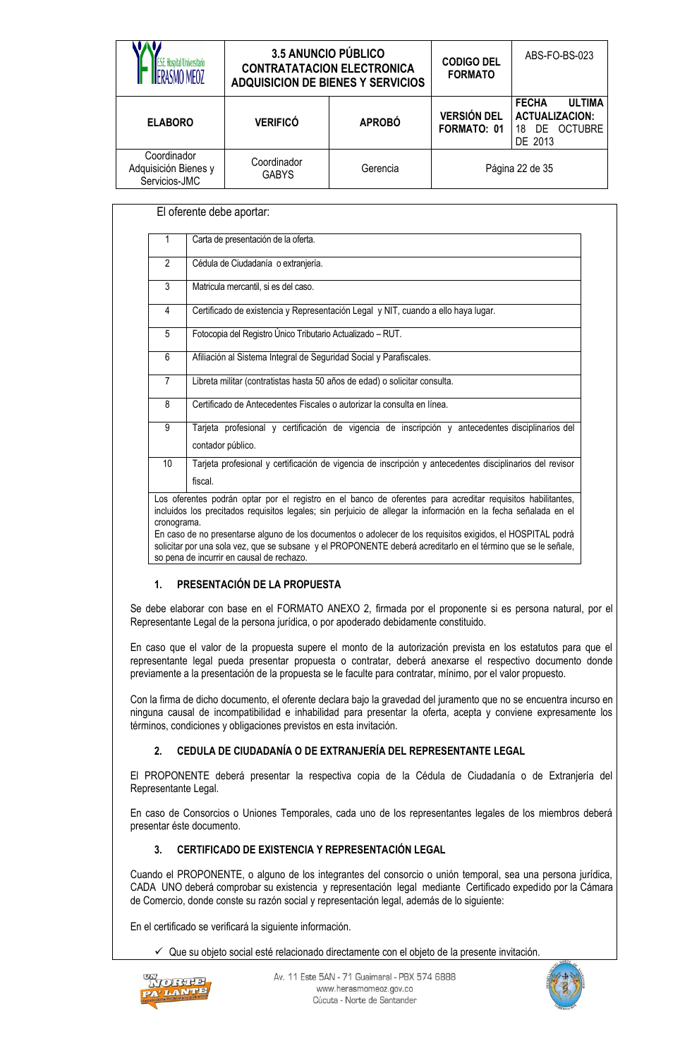| ISMO MFO7                                            | 3.5 ANUNCIO PÚBLICO<br><b>CONTRATATACION ELECTRONICA</b><br><b>ADQUISICION DE BIENES Y SERVICIOS</b> |               | <b>CODIGO DEL</b><br><b>FORMATO</b> | ABS-FO-BS-023                                                                         |
|------------------------------------------------------|------------------------------------------------------------------------------------------------------|---------------|-------------------------------------|---------------------------------------------------------------------------------------|
| <b>ELABORO</b>                                       | <b>VERIFICÓ</b>                                                                                      | <b>APROBÓ</b> | <b>VERSIÓN DEL</b><br>FORMATO: 01   | <b>ULTIMA</b><br><b>FECHA</b><br><b>ACTUALIZACION:</b><br>DE OCTUBRE<br>18<br>DE 2013 |
| Coordinador<br>Adquisición Bienes y<br>Servicios-JMC | Coordinador<br><b>GABYS</b>                                                                          | Gerencia      |                                     | Página 22 de 35                                                                       |

|                 | Carta de presentación de la oferta.                                                                                   |
|-----------------|-----------------------------------------------------------------------------------------------------------------------|
| $\overline{2}$  | Cédula de Ciudadanía o extranjería.                                                                                   |
| 3               | Matricula mercantil, si es del caso.                                                                                  |
| 4               | Certificado de existencia y Representación Legal y NIT, cuando a ello haya lugar.                                     |
| 5               | Fotocopia del Registro Único Tributario Actualizado - RUT.                                                            |
| 6               | Afiliación al Sistema Integral de Seguridad Social y Parafiscales.                                                    |
| 7               | Libreta militar (contratistas hasta 50 años de edad) o solicitar consulta.                                            |
| 8               | Certificado de Antecedentes Fiscales o autorizar la consulta en línea.                                                |
| 9               | Tarjeta profesional y certificación de vigencia de inscripción y antecedentes disciplinarios del<br>contador público. |
| 10 <sup>1</sup> | Tarjeta profesional y certificación de vigencia de inscripción y antecedentes disciplinarios del revisor<br>fiscal.   |

En caso de no presentarse alguno de los documentos o adolecer de los requisitos exigidos, el HOSPITAL podrá solicitar por una sola vez, que se subsane y el PROPONENTE deberá acreditarlo en el término que se le señale, so pena de incurrir en causal de rechazo.

### **1. PRESENTACIÓN DE LA PROPUESTA**

Se debe elaborar con base en el FORMATO ANEXO 2, firmada por el proponente si es persona natural, por el Representante Legal de la persona jurídica, o por apoderado debidamente constituido.

En caso que el valor de la propuesta supere el monto de la autorización prevista en los estatutos para que el representante legal pueda presentar propuesta o contratar, deberá anexarse el respectivo documento donde previamente a la presentación de la propuesta se le faculte para contratar, mínimo, por el valor propuesto.

Con la firma de dicho documento, el oferente declara bajo la gravedad del juramento que no se encuentra incurso en ninguna causal de incompatibilidad e inhabilidad para presentar la oferta, acepta y conviene expresamente los términos, condiciones y obligaciones previstos en esta invitación.

### **2. CEDULA DE CIUDADANÍA O DE EXTRANJERÍA DEL REPRESENTANTE LEGAL**

El PROPONENTE deberá presentar la respectiva copia de la Cédula de Ciudadanía o de Extranjería del Representante Legal.

En caso de Consorcios o Uniones Temporales, cada uno de los representantes legales de los miembros deberá presentar éste documento.

#### **3. CERTIFICADO DE EXISTENCIA Y REPRESENTACIÓN LEGAL**

Cuando el PROPONENTE, o alguno de los integrantes del consorcio o unión temporal, sea una persona jurídica, CADA UNO deberá comprobar su existencia y representación legal mediante Certificado expedido por la Cámara de Comercio, donde conste su razón social y representación legal, además de lo siguiente:

En el certificado se verificará la siguiente información.

 $\checkmark$  Que su objeto social esté relacionado directamente con el objeto de la presente invitación.



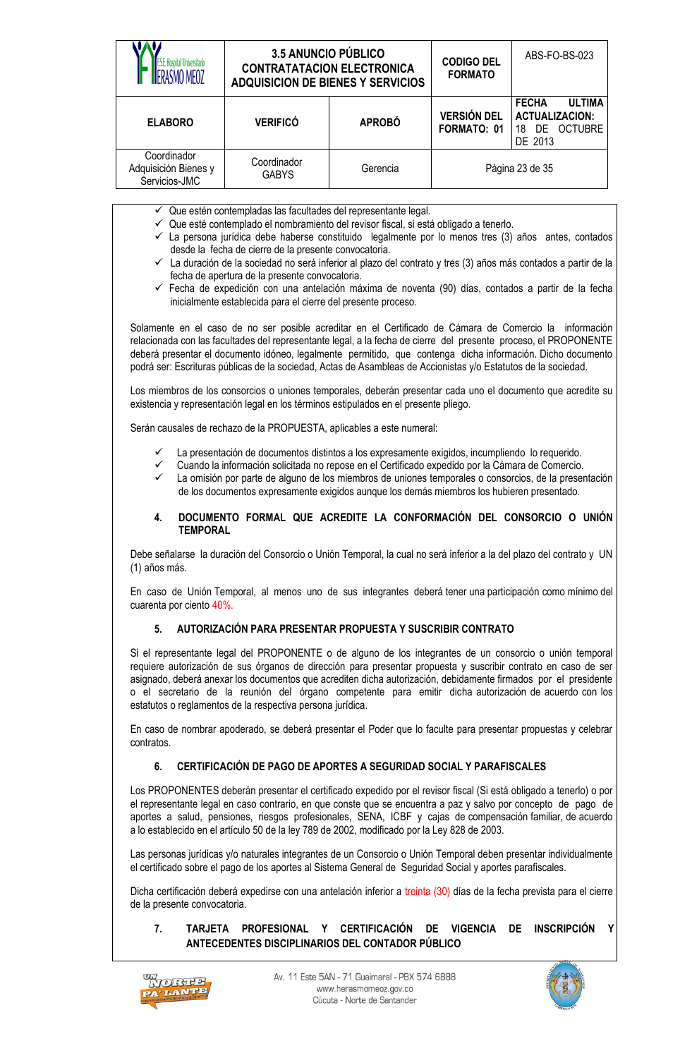|                                                      | <b>3.5 ANUNCIO PÚBLICO</b><br><b>CONTRATATACION ELECTRONICA</b><br><b>ADQUISICION DE BIENES Y SERVICIOS</b> |               | <b>CODIGO DEL</b><br><b>FORMATO</b> | ABS-FO-BS-023                                                                            |
|------------------------------------------------------|-------------------------------------------------------------------------------------------------------------|---------------|-------------------------------------|------------------------------------------------------------------------------------------|
| <b>ELABORO</b>                                       | <b>VERIFICÓ</b>                                                                                             | <b>APROBÓ</b> | <b>VERSIÓN DEL</b><br>FORMATO: 01   | <b>ULTIMA</b><br><b>FECHA</b><br><b>ACTUALIZACION:</b><br>OCTUBRE<br>DE<br>18<br>DE 2013 |
| Coordinador<br>Adquisición Bienes y<br>Servicios-JMC | Coordinador<br><b>GABYS</b>                                                                                 | Gerencia      |                                     | Página 23 de 35                                                                          |

- $\checkmark$  Que estén contempladas las facultades del representante legal.
- $\checkmark$  Que esté contemplado el nombramiento del revisor fiscal, si está obligado a tenerlo.
- $\checkmark$  La persona jurídica debe haberse constituido legalmente por lo menos tres (3) años antes, contados desde la fecha de cierre de la presente convocatoria.
- La duración de la sociedad no será inferior al plazo del contrato y tres (3) años más contados a partir de la fecha de apertura de la presente convocatoria.
- $\checkmark$  Fecha de expedición con una antelación máxima de noventa (90) días, contados a partir de la fecha inicialmente establecida para el cierre del presente proceso.

Solamente en el caso de no ser posible acreditar en el Certificado de Cámara de Comercio la información relacionada con las facultades del representante legal, a la fecha de cierre del presente proceso, el PROPONENTE deberá presentar el documento idóneo, legalmente permitido, que contenga dicha información. Dicho documento podrá ser: Escrituras públicas de la sociedad, Actas de Asambleas de Accionistas y/o Estatutos de la sociedad.

Los miembros de los consorcios o uniones temporales, deberán presentar cada uno el documento que acredite su existencia y representación legal en los términos estipulados en el presente pliego.

Serán causales de rechazo de la PROPUESTA, aplicables a este numeral:

- La presentación de documentos distintos a los expresamente exigidos, incumpliendo lo requerido.
- Cuando la información solicitada no repose en el Certificado expedido por la Cámara de Comercio.
- La omisión por parte de alguno de los miembros de uniones temporales o consorcios, de la presentación de los documentos expresamente exigidos aunque los demás miembros los hubieren presentado.

#### **4. DOCUMENTO FORMAL QUE ACREDITE LA CONFORMACIÓN DEL CONSORCIO O UNIÓN TEMPORAL**

Debe señalarse la duración del Consorcio o Unión Temporal, la cual no será inferior a la del plazo del contrato y UN (1) años más.

En caso de Unión Temporal, al menos uno de sus integrantes deberá tener una participación como mínimo del cuarenta por ciento 40%.

#### **5. AUTORIZACIÓN PARA PRESENTAR PROPUESTA Y SUSCRIBIR CONTRATO**

Si el representante legal del PROPONENTE o de alguno de los integrantes de un consorcio o unión temporal requiere autorización de sus órganos de dirección para presentar propuesta y suscribir contrato en caso de ser asignado, deberá anexar los documentos que acrediten dicha autorización, debidamente firmados por el presidente o el secretario de la reunión del órgano competente para emitir dicha autorización de acuerdo con los estatutos o reglamentos de la respectiva persona jurídica.

En caso de nombrar apoderado, se deberá presentar el Poder que lo faculte para presentar propuestas y celebrar contratos.

#### **6. CERTIFICACIÓN DE PAGO DE APORTES A SEGURIDAD SOCIAL Y PARAFISCALES**

Los PROPONENTES deberán presentar el certificado expedido por el revisor fiscal (Si está obligado a tenerlo) o por el representante legal en caso contrario, en que conste que se encuentra a paz y salvo por concepto de pago de aportes a salud, pensiones, riesgos profesionales, SENA, ICBF y cajas de compensación familiar, de acuerdo a lo establecido en el artículo 50 de la ley 789 de 2002, modificado por la Ley 828 de 2003.

Las personas jurídicas y/o naturales integrantes de un Consorcio o Unión Temporal deben presentar individualmente el certificado sobre el pago de los aportes al Sistema General de Seguridad Social y aportes parafiscales.

Dicha certificación deberá expedirse con una antelación inferior a treinta (30) días de la fecha prevista para el cierre de la presente convocatoria.

#### **7. TARJETA PROFESIONAL Y CERTIFICACIÓN DE VIGENCIA DE INSCRIPCIÓN Y ANTECEDENTES DISCIPLINARIOS DEL CONTADOR PÚBLICO**



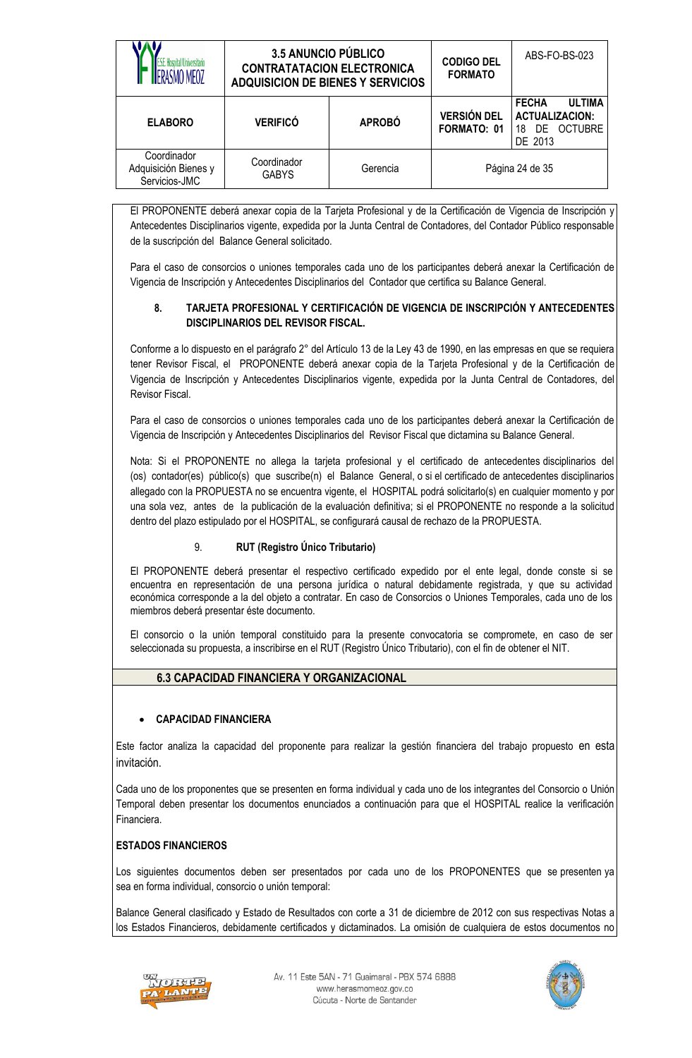|                                                      | 3.5 ANUNCIO PÚBLICO<br><b>CONTRATATACION ELECTRONICA</b><br><b>ADQUISICION DE BIENES Y SERVICIOS</b> |               | <b>CODIGO DEL</b><br><b>FORMATO</b> | ABS-FO-BS-023                                                                         |
|------------------------------------------------------|------------------------------------------------------------------------------------------------------|---------------|-------------------------------------|---------------------------------------------------------------------------------------|
| <b>ELABORO</b>                                       | <b>VERIFICÓ</b>                                                                                      | <b>APROBÓ</b> | <b>VERSIÓN DEL</b><br>FORMATO: 01   | <b>FECHA</b><br><b>ULTIMA</b><br><b>ACTUALIZACION:</b><br>DE OCTUBRE<br>18<br>DE 2013 |
| Coordinador<br>Adquisición Bienes y<br>Servicios-JMC | Coordinador<br><b>GABYS</b>                                                                          | Gerencia      |                                     | Página 24 de 35                                                                       |

El PROPONENTE deberá anexar copia de la Tarjeta Profesional y de la Certificación de Vigencia de Inscripción y Antecedentes Disciplinarios vigente, expedida por la Junta Central de Contadores, del Contador Público responsable de la suscripción del Balance General solicitado.

Para el caso de consorcios o uniones temporales cada uno de los participantes deberá anexar la Certificación de Vigencia de Inscripción y Antecedentes Disciplinarios del Contador que certifica su Balance General.

#### **8. TARJETA PROFESIONAL Y CERTIFICACIÓN DE VIGENCIA DE INSCRIPCIÓN Y ANTECEDENTES DISCIPLINARIOS DEL REVISOR FISCAL.**

Conforme a lo dispuesto en el parágrafo 2° del Artículo 13 de la Ley 43 de 1990, en las empresas en que se requiera tener Revisor Fiscal, el PROPONENTE deberá anexar copia de la Tarjeta Profesional y de la Certificación de Vigencia de Inscripción y Antecedentes Disciplinarios vigente, expedida por la Junta Central de Contadores, del Revisor Fiscal.

Para el caso de consorcios o uniones temporales cada uno de los participantes deberá anexar la Certificación de Vigencia de Inscripción y Antecedentes Disciplinarios del Revisor Fiscal que dictamina su Balance General.

Nota: Si el PROPONENTE no allega la tarjeta profesional y el certificado de antecedentes disciplinarios del (os) contador(es) público(s) que suscribe(n) el Balance General, o si el certificado de antecedentes disciplinarios allegado con la PROPUESTA no se encuentra vigente, el HOSPITAL podrá solicitarlo(s) en cualquier momento y por una sola vez, antes de la publicación de la evaluación definitiva; si el PROPONENTE no responde a la solicitud dentro del plazo estipulado por el HOSPITAL, se configurará causal de rechazo de la PROPUESTA.

### 9. **RUT (Registro Único Tributario)**

El PROPONENTE deberá presentar el respectivo certificado expedido por el ente legal, donde conste si se encuentra en representación de una persona jurídica o natural debidamente registrada, y que su actividad económica corresponde a la del objeto a contratar. En caso de Consorcios o Uniones Temporales, cada uno de los miembros deberá presentar éste documento.

El consorcio o la unión temporal constituido para la presente convocatoria se compromete, en caso de ser seleccionada su propuesta, a inscribirse en el RUT (Registro Único Tributario), con el fin de obtener el NIT.

### **6.3 CAPACIDAD FINANCIERA Y ORGANIZACIONAL**

### **CAPACIDAD FINANCIERA**

Este factor analiza la capacidad del proponente para realizar la gestión financiera del trabajo propuesto en esta invitación.

Cada uno de los proponentes que se presenten en forma individual y cada uno de los integrantes del Consorcio o Unión Temporal deben presentar los documentos enunciados a continuación para que el HOSPITAL realice la verificación Financiera.

### **ESTADOS FINANCIEROS**

Los siguientes documentos deben ser presentados por cada uno de los PROPONENTES que se presenten ya sea en forma individual, consorcio o unión temporal:

Balance General clasificado y Estado de Resultados con corte a 31 de diciembre de 2012 con sus respectivas Notas a los Estados Financieros, debidamente certificados y dictaminados. La omisión de cualquiera de estos documentos no



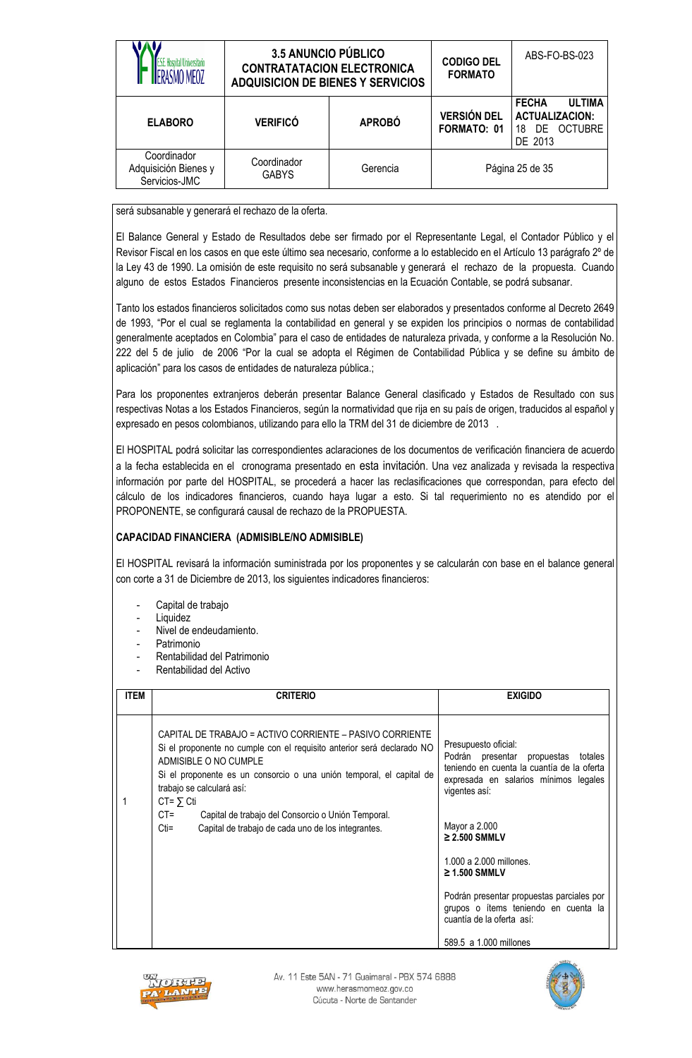|                                                      | <b>3.5 ANUNCIO PÚBLICO</b><br><b>CONTRATATACION ELECTRONICA</b><br><b>ADQUISICION DE BIENES Y SERVICIOS</b> |               | <b>CODIGO DEL</b><br><b>FORMATO</b> | ABS-FO-BS-023                                                                         |
|------------------------------------------------------|-------------------------------------------------------------------------------------------------------------|---------------|-------------------------------------|---------------------------------------------------------------------------------------|
| <b>ELABORO</b>                                       | <b>VERIFICÓ</b>                                                                                             | <b>APROBÓ</b> | <b>VERSIÓN DEL</b><br>FORMATO: 01   | <b>ULTIMA</b><br><b>FECHA</b><br><b>ACTUALIZACION:</b><br>DE OCTUBRE<br>18<br>DE 2013 |
| Coordinador<br>Adquisición Bienes y<br>Servicios-JMC | Coordinador<br><b>GABYS</b>                                                                                 | Gerencia      |                                     | Página 25 de 35                                                                       |

será subsanable y generará el rechazo de la oferta.

El Balance General y Estado de Resultados debe ser firmado por el Representante Legal, el Contador Público y el Revisor Fiscal en los casos en que este último sea necesario, conforme a lo establecido en el Artículo 13 parágrafo 2º de la Ley 43 de 1990. La omisión de este requisito no será subsanable y generará el rechazo de la propuesta. Cuando alguno de estos Estados Financieros presente inconsistencias en la Ecuación Contable, se podrá subsanar.

Tanto los estados financieros solicitados como sus notas deben ser elaborados y presentados conforme al Decreto 2649 de 1993, "Por el cual se reglamenta la contabilidad en general y se expiden los principios o normas de contabilidad generalmente aceptados en Colombia" para el caso de entidades de naturaleza privada, y conforme a la Resolución No. 222 del 5 de julio de 2006 "Por la cual se adopta el Régimen de Contabilidad Pública y se define su ámbito de aplicación" para los casos de entidades de naturaleza pública.;

Para los proponentes extranjeros deberán presentar Balance General clasificado y Estados de Resultado con sus respectivas Notas a los Estados Financieros, según la normatividad que rija en su país de origen, traducidos al español y expresado en pesos colombianos, utilizando para ello la TRM del 31 de diciembre de 2013 .

El HOSPITAL podrá solicitar las correspondientes aclaraciones de los documentos de verificación financiera de acuerdo a la fecha establecida en el cronograma presentado en esta invitación. Una vez analizada y revisada la respectiva información por parte del HOSPITAL, se procederá a hacer las reclasificaciones que correspondan, para efecto del cálculo de los indicadores financieros, cuando haya lugar a esto. Si tal requerimiento no es atendido por el PROPONENTE, se configurará causal de rechazo de la PROPUESTA.

### **CAPACIDAD FINANCIERA (ADMISIBLE/NO ADMISIBLE)**

El HOSPITAL revisará la información suministrada por los proponentes y se calcularán con base en el balance general con corte a 31 de Diciembre de 2013, los siguientes indicadores financieros:

- Capital de trabajo
- **Liquidez**
- Nivel de endeudamiento.
- Patrimonio
- Rentabilidad del Patrimonio
- Rentabilidad del Activo

| <b>ITEM</b> | <b>CRITERIO</b>                                                                                                                                                                                                                                                                                                                                                                                                      | <b>EXIGIDO</b>                                                                                                                                                                                                                                                                                                                                                                      |
|-------------|----------------------------------------------------------------------------------------------------------------------------------------------------------------------------------------------------------------------------------------------------------------------------------------------------------------------------------------------------------------------------------------------------------------------|-------------------------------------------------------------------------------------------------------------------------------------------------------------------------------------------------------------------------------------------------------------------------------------------------------------------------------------------------------------------------------------|
|             | CAPITAL DE TRABAJO = ACTIVO CORRIENTE – PASIVO CORRIENTE<br>Si el proponente no cumple con el requisito anterior será declarado NO<br>ADMISIBLE O NO CUMPLE<br>Si el proponente es un consorcio o una unión temporal, el capital de<br>trabajo se calculará así:<br>$CT = \sum Cti$<br>$CT =$<br>Capital de trabajo del Consorcio o Unión Temporal.<br>$Cti =$<br>Capital de trabajo de cada uno de los integrantes. | Presupuesto oficial:<br>Podrán presentar<br>propuestas<br>totales<br>teniendo en cuenta la cuantía de la oferta<br>expresada en salarios mínimos legales<br>vigentes así:<br>Mayor a 2.000<br>$\geq$ 2.500 SMMLV<br>1.000 a 2.000 millones.<br>$\geq$ 1.500 SMMLV<br>Podrán presentar propuestas parciales por<br>grupos o ítems teniendo en cuenta la<br>cuantía de la oferta así: |
|             |                                                                                                                                                                                                                                                                                                                                                                                                                      | 589.5 a 1.000 millones                                                                                                                                                                                                                                                                                                                                                              |



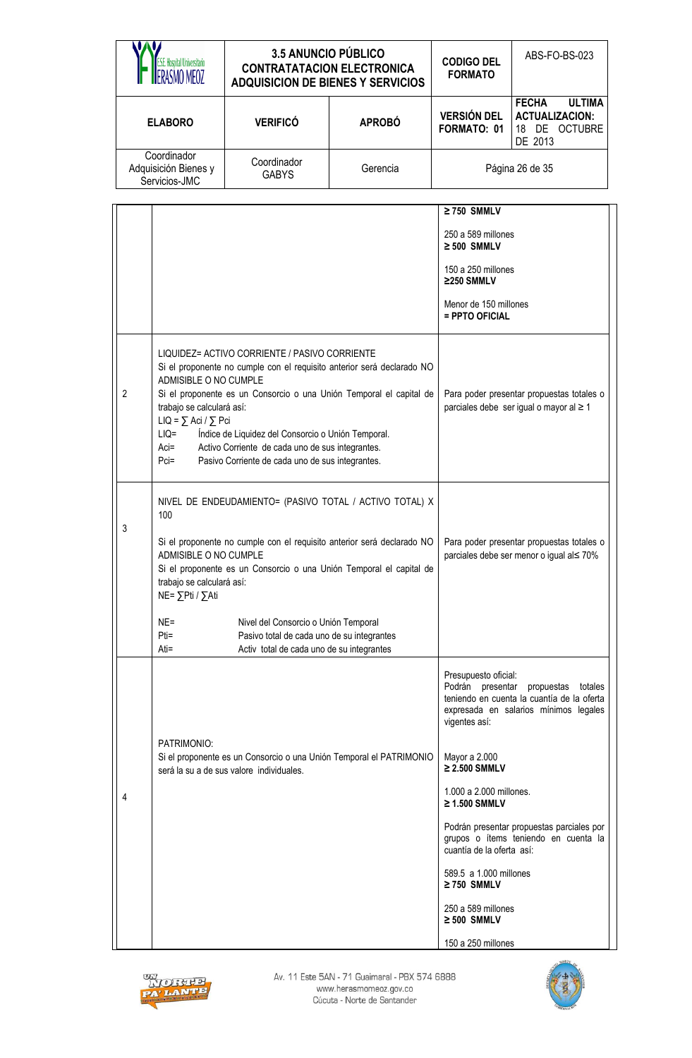| Hosnital Universitarie                               | <b>3.5 ANUNCIO PÚBLICO</b><br><b>CONTRATATACION ELECTRONICA</b><br><b>ADQUISICION DE BIENES Y SERVICIOS</b> |               | <b>CODIGO DEL</b><br><b>FORMATO</b> | ABS-FO-BS-023                                                                         |
|------------------------------------------------------|-------------------------------------------------------------------------------------------------------------|---------------|-------------------------------------|---------------------------------------------------------------------------------------|
| <b>ELABORO</b>                                       | <b>VERIFICÓ</b>                                                                                             | <b>APROBÓ</b> | <b>VERSIÓN DEL</b><br>FORMATO: 01   | <b>FECHA</b><br><b>ULTIMA</b><br><b>ACTUALIZACION:</b><br>DE OCTUBRE<br>18<br>DE 2013 |
| Coordinador<br>Adquisición Bienes y<br>Servicios-JMC | Coordinador<br><b>GABYS</b>                                                                                 | Gerencia      |                                     | Página 26 de 35                                                                       |

|   |                                                                                                                                                                                                                                                                                                                                                                                                                                                                                 | $\geq$ 750 SMMLV<br>250 a 589 millones<br>$\geq 500$ SMMLV<br>150 a 250 millones<br>≥250 SMMLV<br>Menor de 150 millones<br>= PPTO OFICIAL                                    |
|---|---------------------------------------------------------------------------------------------------------------------------------------------------------------------------------------------------------------------------------------------------------------------------------------------------------------------------------------------------------------------------------------------------------------------------------------------------------------------------------|------------------------------------------------------------------------------------------------------------------------------------------------------------------------------|
| 2 | LIQUIDEZ= ACTIVO CORRIENTE / PASIVO CORRIENTE<br>Si el proponente no cumple con el requisito anterior será declarado NO<br>ADMISIBLE O NO CUMPLE<br>Si el proponente es un Consorcio o una Unión Temporal el capital de<br>trabajo se calculará así:<br>$LIQ = \sum Aci / \sum Pci$<br>$LIQ=$<br>Índice de Liquidez del Consorcio o Unión Temporal.<br>$Aci=$<br>Activo Corriente de cada uno de sus integrantes.<br>Pasivo Corriente de cada uno de sus integrantes.<br>$Pci=$ | Para poder presentar propuestas totales o<br>parciales debe ser igual o mayor al ≥ 1                                                                                         |
| 3 | NIVEL DE ENDEUDAMIENTO= (PASIVO TOTAL / ACTIVO TOTAL) X<br>100<br>Si el proponente no cumple con el requisito anterior será declarado NO<br>ADMISIBLE O NO CUMPLE<br>Si el proponente es un Consorcio o una Unión Temporal el capital de<br>trabajo se calculará así:<br>NE= ∑Pti / ∑Ati                                                                                                                                                                                        | Para poder presentar propuestas totales o<br>parciales debe ser menor o igual al≤ 70%                                                                                        |
|   | Nivel del Consorcio o Unión Temporal<br>$NE =$<br>$Pti =$<br>Pasivo total de cada uno de su integrantes<br>Activ total de cada uno de su integrantes<br>Ati=                                                                                                                                                                                                                                                                                                                    |                                                                                                                                                                              |
|   | PATRIMONIO:                                                                                                                                                                                                                                                                                                                                                                                                                                                                     | Presupuesto oficial:<br>Podrán<br>presentar<br>propuestas<br>totales<br>teniendo en cuenta la cuantía de la oferta<br>expresada en salarios mínimos legales<br>vigentes así: |
|   | Si el proponente es un Consorcio o una Unión Temporal el PATRIMONIO<br>será la su a de sus valore individuales.                                                                                                                                                                                                                                                                                                                                                                 | Mayor a 2.000<br>$\geq$ 2.500 SMMLV                                                                                                                                          |
| 4 |                                                                                                                                                                                                                                                                                                                                                                                                                                                                                 | 1.000 a 2.000 millones.<br>$\geq$ 1.500 SMMLV                                                                                                                                |
|   |                                                                                                                                                                                                                                                                                                                                                                                                                                                                                 | Podrán presentar propuestas parciales por<br>grupos o ítems teniendo en cuenta la<br>cuantía de la oferta así:                                                               |
|   |                                                                                                                                                                                                                                                                                                                                                                                                                                                                                 | 589.5 a 1.000 millones<br>$\geq$ 750 SMMLV                                                                                                                                   |
|   |                                                                                                                                                                                                                                                                                                                                                                                                                                                                                 | 250 a 589 millones<br>$\geq 500$ SMMLV                                                                                                                                       |
|   |                                                                                                                                                                                                                                                                                                                                                                                                                                                                                 | 150 a 250 millones                                                                                                                                                           |



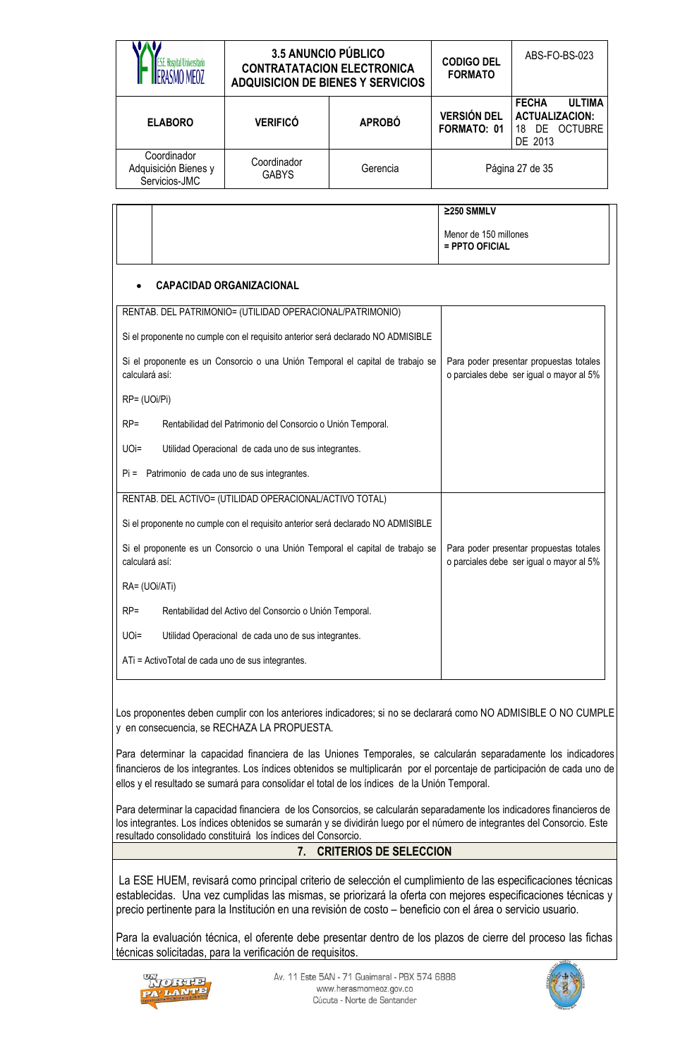| RASMO MFO7                                           | <b>3.5 ANUNCIO PÚBLICO</b><br><b>CONTRATATACION ELECTRONICA</b><br><b>ADQUISICION DE BIENES Y SERVICIOS</b> |               | <b>CODIGO DEL</b><br><b>FORMATO</b> | ABS-FO-BS-023                                                                                   |
|------------------------------------------------------|-------------------------------------------------------------------------------------------------------------|---------------|-------------------------------------|-------------------------------------------------------------------------------------------------|
| <b>ELABORO</b>                                       | <b>VERIFICÓ</b>                                                                                             | <b>APROBÓ</b> | <b>VERSIÓN DEL</b><br>FORMATO: 01   | <b>ULTIMA</b><br><b>FECHA</b><br><b>ACTUALIZACION:</b><br><b>OCTUBRE</b><br>DE<br>18<br>DE 2013 |
| Coordinador<br>Adquisición Bienes y<br>Servicios-JMC | Coordinador<br><b>GABYS</b>                                                                                 | Gerencia      |                                     | Página 27 de 35                                                                                 |

| ≥250 SMMLV                                |
|-------------------------------------------|
| Menor de 150 millones<br>$=$ PPTO OFICIAL |

#### **CAPACIDAD ORGANIZACIONAL**

| RENTAB. DEL PATRIMONIO= (UTILIDAD OPERACIONAL/PATRIMONIO)                                        |                                                                                     |
|--------------------------------------------------------------------------------------------------|-------------------------------------------------------------------------------------|
| Si el proponente no cumple con el requisito anterior será declarado NO ADMISIBLE                 |                                                                                     |
| Si el proponente es un Consorcio o una Unión Temporal el capital de trabajo se<br>calculará así: | Para poder presentar propuestas totales<br>o parciales debe ser igual o mayor al 5% |
| RP= (UOi/Pi)                                                                                     |                                                                                     |
| $RP =$<br>Rentabilidad del Patrimonio del Consorcio o Unión Temporal.                            |                                                                                     |
| $UO =$<br>Utilidad Operacional de cada uno de sus integrantes.                                   |                                                                                     |
| Patrimonio de cada uno de sus integrantes.<br>$Pi =$                                             |                                                                                     |
| RENTAB. DEL ACTIVO= (UTILIDAD OPERACIONAL/ACTIVO TOTAL)                                          |                                                                                     |
| Si el proponente no cumple con el requisito anterior será declarado NO ADMISIBLE                 |                                                                                     |
| Si el proponente es un Consorcio o una Unión Temporal el capital de trabajo se<br>calculará así: | Para poder presentar propuestas totales<br>o parciales debe ser igual o mayor al 5% |
| RA= (UOi/ATi)                                                                                    |                                                                                     |
| $RP =$<br>Rentabilidad del Activo del Consorcio o Unión Temporal.                                |                                                                                     |
| $UOi =$<br>Utilidad Operacional de cada uno de sus integrantes.                                  |                                                                                     |
| ATi = ActivoTotal de cada uno de sus integrantes.                                                |                                                                                     |

Los proponentes deben cumplir con los anteriores indicadores; si no se declarará como NO ADMISIBLE O NO CUMPLE y en consecuencia, se RECHAZA LA PROPUESTA.

Para determinar la capacidad financiera de las Uniones Temporales, se calcularán separadamente los indicadores financieros de los integrantes. Los índices obtenidos se multiplicarán por el porcentaje de participación de cada uno de ellos y el resultado se sumará para consolidar el total de los índices de la Unión Temporal.

Para determinar la capacidad financiera de los Consorcios, se calcularán separadamente los indicadores financieros de los integrantes. Los índices obtenidos se sumarán y se dividirán luego por el número de integrantes del Consorcio. Este resultado consolidado constituirá los índices del Consorcio.

### **7. CRITERIOS DE SELECCION**

La ESE HUEM, revisará como principal criterio de selección el cumplimiento de las especificaciones técnicas establecidas. Una vez cumplidas las mismas, se priorizará la oferta con mejores especificaciones técnicas y precio pertinente para la Institución en una revisión de costo – beneficio con el área o servicio usuario.

Para la evaluación técnica, el oferente debe presentar dentro de los plazos de cierre del proceso las fichas técnicas solicitadas, para la verificación de requisitos.



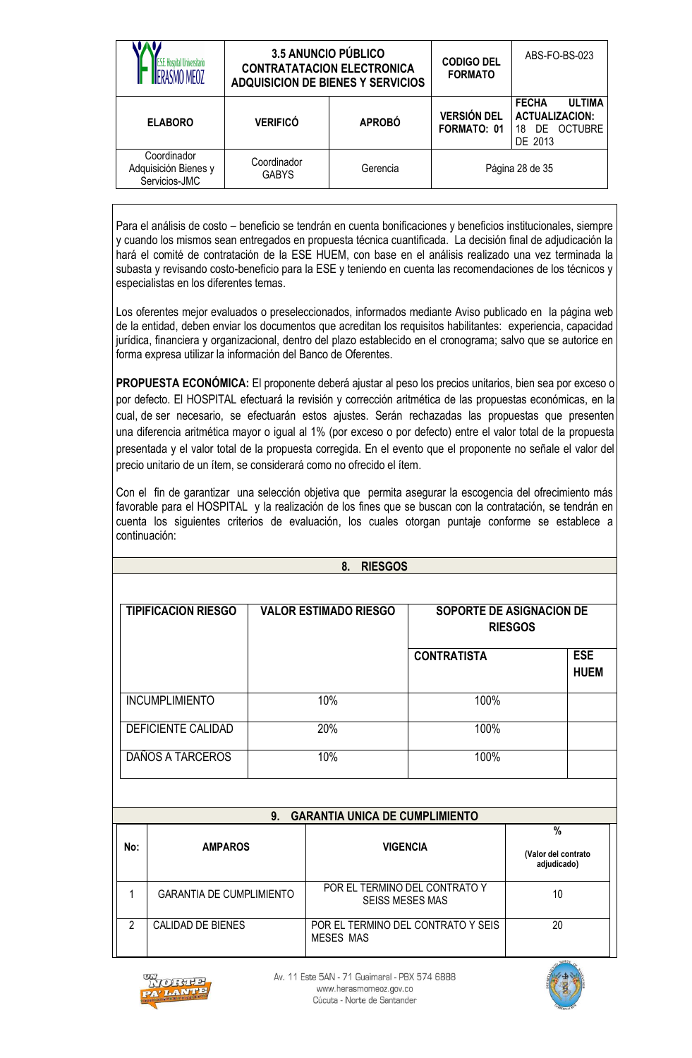|                                                      | <b>3.5 ANUNCIO PÚBLICO</b><br><b>CONTRATATACION ELECTRONICA</b><br><b>ADQUISICION DE BIENES Y SERVICIOS</b> |               | <b>CODIGO DEL</b><br><b>FORMATO</b> | ABS-FO-BS-023                                                                         |
|------------------------------------------------------|-------------------------------------------------------------------------------------------------------------|---------------|-------------------------------------|---------------------------------------------------------------------------------------|
| <b>ELABORO</b>                                       | <b>VERIFICÓ</b>                                                                                             | <b>APROBÓ</b> | <b>VERSIÓN DEL</b><br>FORMATO: 01   | <b>FECHA</b><br><b>ULTIMA</b><br><b>ACTUALIZACION:</b><br>DE OCTUBRE<br>18<br>DE 2013 |
| Coordinador<br>Adquisición Bienes y<br>Servicios-JMC | Coordinador<br><b>GABYS</b>                                                                                 | Gerencia      |                                     | Página 28 de 35                                                                       |

Para el análisis de costo – beneficio se tendrán en cuenta bonificaciones y beneficios institucionales, siempre y cuando los mismos sean entregados en propuesta técnica cuantificada. La decisión final de adjudicación la hará el comité de contratación de la ESE HUEM, con base en el análisis realizado una vez terminada la subasta y revisando costo-beneficio para la ESE y teniendo en cuenta las recomendaciones de los técnicos y especialistas en los diferentes temas.

Los oferentes mejor evaluados o preseleccionados, informados mediante Aviso publicado en la página web de la entidad, deben enviar los documentos que acreditan los requisitos habilitantes: experiencia, capacidad jurídica, financiera y organizacional, dentro del plazo establecido en el cronograma; salvo que se autorice en forma expresa utilizar la información del Banco de Oferentes.

**PROPUESTA ECONÓMICA:** El proponente deberá ajustar al peso los precios unitarios, bien sea por exceso o por defecto. El HOSPITAL efectuará la revisión y corrección aritmética de las propuestas económicas, en la cual, de ser necesario, se efectuarán estos ajustes. Serán rechazadas las propuestas que presenten una diferencia aritmética mayor o igual al 1% (por exceso o por defecto) entre el valor total de la propuesta presentada y el valor total de la propuesta corregida. En el evento que el proponente no señale el valor del precio unitario de un ítem, se considerará como no ofrecido el ítem.

Con el fin de garantizar una selección objetiva que permita asegurar la escogencia del ofrecimiento más favorable para el HOSPITAL y la realización de los fines que se buscan con la contratación, se tendrán en cuenta los siguientes criterios de evaluación, los cuales otorgan puntaje conforme se establece a continuación:

|                |                                 |                | <b>RIESGOS</b><br>8.                                    |                                    |                                            |
|----------------|---------------------------------|----------------|---------------------------------------------------------|------------------------------------|--------------------------------------------|
|                |                                 |                |                                                         |                                    |                                            |
|                | <b>TIPIFICACION RIESGO</b>      |                | <b>VALOR ESTIMADO RIESGO</b>                            |                                    | SOPORTE DE ASIGNACION DE<br><b>RIESGOS</b> |
|                |                                 |                |                                                         | <b>CONTRATISTA</b>                 | <b>ESE</b><br><b>HUEM</b>                  |
|                | <b>INCUMPLIMIENTO</b>           |                | 10%                                                     | 100%                               |                                            |
|                | <b>DEFICIENTE CALIDAD</b>       |                | 20%                                                     | 100%                               |                                            |
|                | DAÑOS A TARCEROS                |                | 10%<br>100%                                             |                                    |                                            |
|                |                                 |                |                                                         |                                    |                                            |
|                |                                 | 9 <sub>1</sub> | <b>GARANTIA UNICA DE CUMPLIMIENTO</b>                   |                                    |                                            |
|                |                                 |                |                                                         |                                    | $\frac{0}{0}$                              |
| No:            | <b>AMPAROS</b>                  |                | <b>VIGENCIA</b>                                         |                                    | (Valor del contrato<br>adjudicado)         |
| 1              | <b>GARANTIA DE CUMPLIMIENTO</b> |                | POR EL TERMINO DEL CONTRATO Y<br><b>SEISS MESES MAS</b> |                                    | 10                                         |
| $\overline{2}$ | CALIDAD DE BIENES               |                |                                                         | POR EL TERMINO DEL CONTRATO Y SEIS | 20                                         |



Av. 11 Este 5AN - 71 Guaimaral - PBX 574 6888 www.herasmomeoz.gov.co Cúcuta - Norte de Santander

MESES MAS

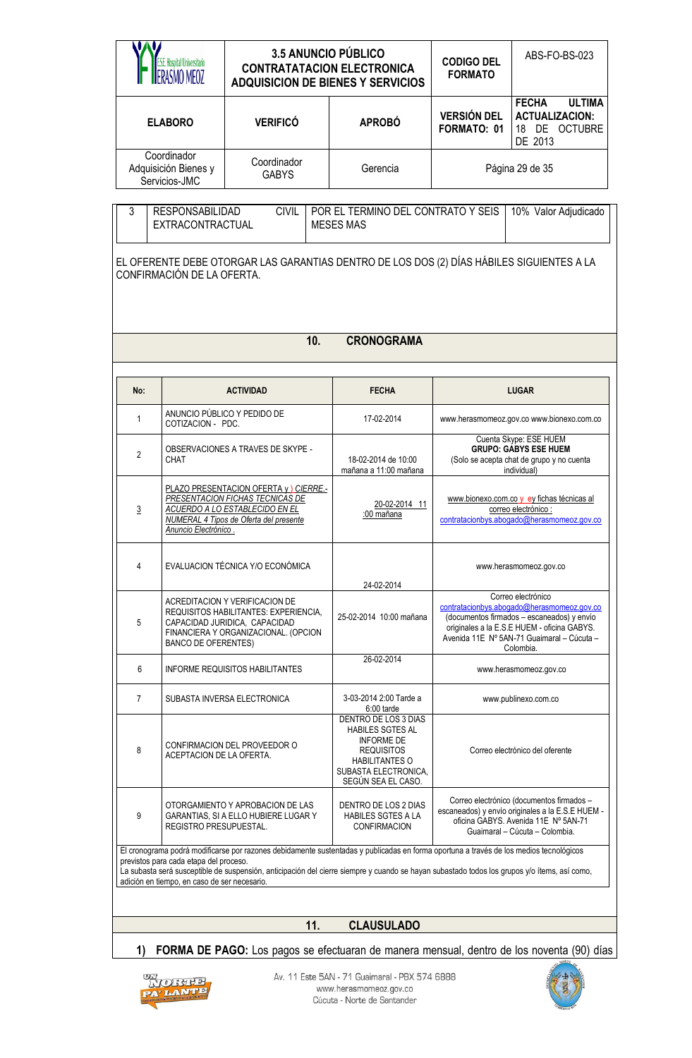|                                                                                                                                                     | S.E. Hospital Universitario                                                            | <b>3.5 ANUNCIO PÚBLICO</b><br><b>CONTRATATACION ELECTRONICA</b><br><b>ADQUISICION DE BIENES Y SERVICIOS</b>                                                                                                                                                                            |                                                                                                                                                                  | <b>CODIGO DEL</b><br><b>FORMATO</b>                                                                                     | ABS-FO-BS-023                                                                                                                                                                                                            |
|-----------------------------------------------------------------------------------------------------------------------------------------------------|----------------------------------------------------------------------------------------|----------------------------------------------------------------------------------------------------------------------------------------------------------------------------------------------------------------------------------------------------------------------------------------|------------------------------------------------------------------------------------------------------------------------------------------------------------------|-------------------------------------------------------------------------------------------------------------------------|--------------------------------------------------------------------------------------------------------------------------------------------------------------------------------------------------------------------------|
|                                                                                                                                                     | <b>ELABORO</b>                                                                         | <b>VERIFICÓ</b>                                                                                                                                                                                                                                                                        | <b>APROBÓ</b>                                                                                                                                                    | <b>ULTIMA</b><br><b>FECHA</b><br><b>VERSIÓN DEL</b><br><b>ACTUALIZACION:</b><br>FORMATO: 01<br>18 DE OCTUBRE<br>DE 2013 |                                                                                                                                                                                                                          |
|                                                                                                                                                     | Coordinador<br>Adquisición Bienes y<br>Servicios-JMC                                   | Coordinador<br><b>GABYS</b>                                                                                                                                                                                                                                                            | Gerencia                                                                                                                                                         |                                                                                                                         | Página 29 de 35                                                                                                                                                                                                          |
| POR EL TERMINO DEL CONTRATO Y SEIS<br>3<br><b>RESPONSABILIDAD</b><br><b>CIVIL</b><br>10% Valor Adjudicado<br>EXTRACONTRACTUAL<br><b>MESES MAS</b>   |                                                                                        |                                                                                                                                                                                                                                                                                        |                                                                                                                                                                  |                                                                                                                         |                                                                                                                                                                                                                          |
| EL OFERENTE DEBE OTORGAR LAS GARANTIAS DENTRO DE LOS DOS (2) DÍAS HÁBILES SIGUIENTES A LA<br>CONFIRMACIÓN DE LA OFERTA.<br><b>CRONOGRAMA</b><br>10. |                                                                                        |                                                                                                                                                                                                                                                                                        |                                                                                                                                                                  |                                                                                                                         |                                                                                                                                                                                                                          |
| No:                                                                                                                                                 |                                                                                        | <b>ACTIVIDAD</b>                                                                                                                                                                                                                                                                       | <b>FECHA</b>                                                                                                                                                     |                                                                                                                         | <b>LUGAR</b>                                                                                                                                                                                                             |
| $\mathbf{1}$                                                                                                                                        | COTIZACION - PDC.                                                                      | ANUNCIO PÚBLICO Y PEDIDO DE                                                                                                                                                                                                                                                            | 17-02-2014                                                                                                                                                       |                                                                                                                         | www.herasmomeoz.gov.co www.bionexo.com.co                                                                                                                                                                                |
| $\overline{2}$                                                                                                                                      | CHAT                                                                                   | OBSERVACIONES A TRAVES DE SKYPE -                                                                                                                                                                                                                                                      | 18-02-2014 de 10:00<br>mañana a 11:00 mañana                                                                                                                     | Cuenta Skype: ESE HUEM<br><b>GRUPO: GABYS ESE HUEM</b><br>(Solo se acepta chat de grupo y no cuenta<br>individual)      |                                                                                                                                                                                                                          |
| 3                                                                                                                                                   | Anuncio Electrónico.                                                                   | PLAZO PRESENTACION OFERTA y ) CIERRE.-<br>PRESENTACION FICHAS TECNICAS DE<br>ACUERDO A LO ESTABLECIDO EN EL<br>NUMERAL 4 Tipos de Oferta del presente                                                                                                                                  | 20-02-2014 11<br>:00 mañana                                                                                                                                      | www.bionexo.com.co y ey fichas técnicas al<br>correo electrónico:<br>contratacionbys.abogado@herasmomeoz.gov.co         |                                                                                                                                                                                                                          |
| 4                                                                                                                                                   |                                                                                        | EVALUACION TÉCNICA Y/O ECONÓMICA                                                                                                                                                                                                                                                       | 24-02-2014                                                                                                                                                       |                                                                                                                         | www.herasmomeoz.gov.co                                                                                                                                                                                                   |
| 5                                                                                                                                                   | <b>BANCO DE OFERENTES)</b>                                                             | ACREDITACION Y VERIFICACION DE<br>REQUISITOS HABILITANTES: EXPERIENCIA,<br>CAPACIDAD JURIDICA, CAPACIDAD<br>FINANCIERA Y ORGANIZACIONAL. (OPCION                                                                                                                                       | 25-02-2014 10:00 mañana                                                                                                                                          |                                                                                                                         | Correo electrónico<br>contratacionbys.abogado@herasmomeoz.gov.co<br>(documentos firmados - escaneados) y envío<br>originales a la E.S.E HUEM - oficina GABYS.<br>Avenida 11E Nº 5AN-71 Guaimaral - Cúcuta -<br>Colombia. |
| 6                                                                                                                                                   |                                                                                        | <b>INFORME REQUISITOS HABILITANTES</b>                                                                                                                                                                                                                                                 | 26-02-2014                                                                                                                                                       |                                                                                                                         | www.herasmomeoz.gov.co                                                                                                                                                                                                   |
| 7                                                                                                                                                   |                                                                                        | SUBASTA INVERSA ELECTRONICA                                                                                                                                                                                                                                                            | 3-03-2014 2:00 Tarde a<br>6:00 tarde                                                                                                                             |                                                                                                                         | www.publinexo.com.co                                                                                                                                                                                                     |
| 8                                                                                                                                                   | ACEPTACION DE LA OFERTA.                                                               | CONFIRMACION DEL PROVEEDOR O                                                                                                                                                                                                                                                           | DENTRO DE LOS 3 DIAS<br><b>HABILES SGTES AL</b><br><b>INFORME DE</b><br><b>REQUISITOS</b><br><b>HABILITANTES O</b><br>SUBASTA ELECTRONICA,<br>SEGÚN SEA EL CASO. |                                                                                                                         | Correo electrónico del oferente                                                                                                                                                                                          |
| 9                                                                                                                                                   | REGISTRO PRESUPUESTAL.                                                                 | OTORGAMIENTO Y APROBACION DE LAS<br>GARANTIAS, SI A ELLO HUBIERE LUGAR Y                                                                                                                                                                                                               | DENTRO DE LOS 2 DIAS<br><b>HABILES SGTES A LA</b><br><b>CONFIRMACION</b>                                                                                         |                                                                                                                         | Correo electrónico (documentos firmados -<br>escaneados) y envío originales a la E.S.E HUEM -<br>oficina GABYS. Avenida 11E Nº 5AN-71<br>Guaimaral - Cúcuta - Colombia.                                                  |
|                                                                                                                                                     | previstos para cada etapa del proceso.<br>adición en tiempo, en caso de ser necesario. | El cronograma podrá modificarse por razones debidamente sustentadas y publicadas en forma oportuna a través de los medios tecnológicos<br>La subasta será susceptible de suspensión, anticipación del cierre siempre y cuando se hayan subastado todos los grupos y/o ítems, así como, |                                                                                                                                                                  |                                                                                                                         |                                                                                                                                                                                                                          |
|                                                                                                                                                     |                                                                                        |                                                                                                                                                                                                                                                                                        |                                                                                                                                                                  |                                                                                                                         |                                                                                                                                                                                                                          |
|                                                                                                                                                     |                                                                                        | 11.                                                                                                                                                                                                                                                                                    | <b>CLAUSULADO</b>                                                                                                                                                |                                                                                                                         |                                                                                                                                                                                                                          |



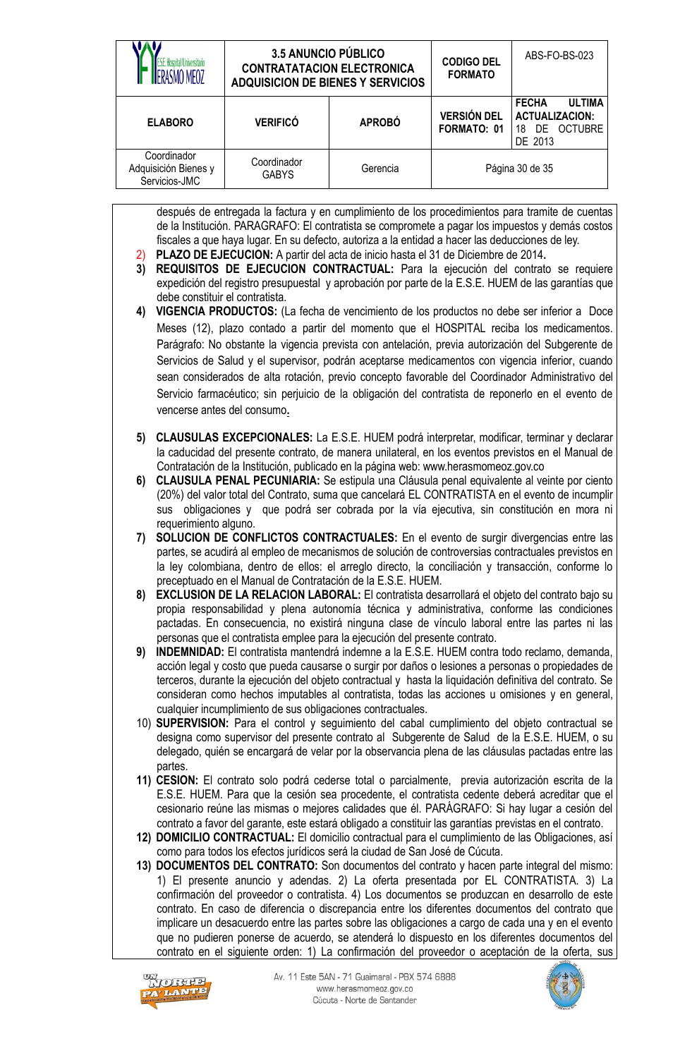|                | .E. Hospital Universitario                                                                                                                                                                                                                                                                                                                                                                                                                                                                                                                                                                                                                                                                                          | <b>3.5 ANUNCIO PÚBLICO</b><br><b>CONTRATATACION ELECTRONICA</b><br><b>ADQUISICION DE BIENES Y SERVICIOS</b>                                                                                                                                                                                                                                                                                                                                                                                                                                                                                                                                                                                                                                                                                                                                                                          |               | <b>CODIGO DEL</b><br><b>FORMATO</b> | ABS-FO-BS-023                                                                         |
|----------------|---------------------------------------------------------------------------------------------------------------------------------------------------------------------------------------------------------------------------------------------------------------------------------------------------------------------------------------------------------------------------------------------------------------------------------------------------------------------------------------------------------------------------------------------------------------------------------------------------------------------------------------------------------------------------------------------------------------------|--------------------------------------------------------------------------------------------------------------------------------------------------------------------------------------------------------------------------------------------------------------------------------------------------------------------------------------------------------------------------------------------------------------------------------------------------------------------------------------------------------------------------------------------------------------------------------------------------------------------------------------------------------------------------------------------------------------------------------------------------------------------------------------------------------------------------------------------------------------------------------------|---------------|-------------------------------------|---------------------------------------------------------------------------------------|
|                | <b>ELABORO</b>                                                                                                                                                                                                                                                                                                                                                                                                                                                                                                                                                                                                                                                                                                      | <b>VERIFICÓ</b>                                                                                                                                                                                                                                                                                                                                                                                                                                                                                                                                                                                                                                                                                                                                                                                                                                                                      | <b>APROBÓ</b> | <b>VERSIÓN DEL</b><br>FORMATO: 01   | <b>FECHA</b><br><b>ULTIMA</b><br><b>ACTUALIZACION:</b><br>DE OCTUBRE<br>18<br>DE 2013 |
|                | Coordinador<br>Adquisición Bienes y<br>Servicios-JMC                                                                                                                                                                                                                                                                                                                                                                                                                                                                                                                                                                                                                                                                | Coordinador<br><b>GABYS</b>                                                                                                                                                                                                                                                                                                                                                                                                                                                                                                                                                                                                                                                                                                                                                                                                                                                          | Gerencia      |                                     | Página 30 de 35                                                                       |
| 2)<br>3)<br>4) | después de entregada la factura y en cumplimiento de los procedimientos para tramite de cuentas<br>de la Institución. PARAGRAFO: El contratista se compromete a pagar los impuestos y demás costos<br>fiscales a que haya lugar. En su defecto, autoriza a la entidad a hacer las deducciones de ley.<br>PLAZO DE EJECUCION: A partir del acta de inicio hasta el 31 de Diciembre de 2014.<br>REQUISITOS DE EJECUCION CONTRACTUAL: Para la ejecución del contrato se requiere<br>expedición del registro presupuestal y aprobación por parte de la E.S.E. HUEM de las garantías que<br>debe constituir el contratista.<br>VIGENCIA PRODUCTOS: (La fecha de vencimiento de los productos no debe ser inferior a Doce |                                                                                                                                                                                                                                                                                                                                                                                                                                                                                                                                                                                                                                                                                                                                                                                                                                                                                      |               |                                     |                                                                                       |
|                | vencerse antes del consumo.                                                                                                                                                                                                                                                                                                                                                                                                                                                                                                                                                                                                                                                                                         | Meses (12), plazo contado a partir del momento que el HOSPITAL reciba los medicamentos.<br>Parágrafo: No obstante la vigencia prevista con antelación, previa autorización del Subgerente de<br>Servicios de Salud y el supervisor, podrán aceptarse medicamentos con vigencia inferior, cuando<br>sean considerados de alta rotación, previo concepto favorable del Coordinador Administrativo del<br>Servicio farmacéutico; sin perjuicio de la obligación del contratista de reponerlo en el evento de                                                                                                                                                                                                                                                                                                                                                                            |               |                                     |                                                                                       |
| 5)<br>6)       | sus                                                                                                                                                                                                                                                                                                                                                                                                                                                                                                                                                                                                                                                                                                                 | CLAUSULAS EXCEPCIONALES: La E.S.E. HUEM podrá interpretar, modificar, terminar y declarar<br>la caducidad del presente contrato, de manera unilateral, en los eventos previstos en el Manual de<br>Contratación de la Institución, publicado en la página web: www.herasmomeoz.gov.co<br>CLAUSULA PENAL PECUNIARIA: Se estipula una Cláusula penal equivalente al veinte por ciento<br>(20%) del valor total del Contrato, suma que cancelará EL CONTRATISTA en el evento de incumplir<br>obligaciones y que podrá ser cobrada por la vía ejecutiva, sin constitución en mora ni                                                                                                                                                                                                                                                                                                     |               |                                     |                                                                                       |
| 7)             | requerimiento alguno.                                                                                                                                                                                                                                                                                                                                                                                                                                                                                                                                                                                                                                                                                               | SOLUCION DE CONFLICTOS CONTRACTUALES: En el evento de surgir divergencias entre las<br>partes, se acudirá al empleo de mecanismos de solución de controversias contractuales previstos en<br>la ley colombiana, dentro de ellos: el arreglo directo, la conciliación y transacción, conforme lo<br>preceptuado en el Manual de Contratación de la E.S.E. HUEM.                                                                                                                                                                                                                                                                                                                                                                                                                                                                                                                       |               |                                     |                                                                                       |
| 8)             |                                                                                                                                                                                                                                                                                                                                                                                                                                                                                                                                                                                                                                                                                                                     | <b>EXCLUSION DE LA RELACION LABORAL:</b> El contratista desarrollará el objeto del contrato bajo su<br>propia responsabilidad y plena autonomía técnica y administrativa, conforme las condiciones<br>pactadas. En consecuencia, no existirá ninguna clase de vínculo laboral entre las partes ni las<br>personas que el contratista emplee para la ejecución del presente contrato.                                                                                                                                                                                                                                                                                                                                                                                                                                                                                                 |               |                                     |                                                                                       |
| 9)             |                                                                                                                                                                                                                                                                                                                                                                                                                                                                                                                                                                                                                                                                                                                     | INDEMNIDAD: El contratista mantendrá indemne a la E.S.E. HUEM contra todo reclamo, demanda,<br>acción legal y costo que pueda causarse o surgir por daños o lesiones a personas o propiedades de<br>terceros, durante la ejecución del objeto contractual y hasta la liquidación definitiva del contrato. Se<br>consideran como hechos imputables al contratista, todas las acciones u omisiones y en general,<br>cualquier incumplimiento de sus obligaciones contractuales.                                                                                                                                                                                                                                                                                                                                                                                                        |               |                                     |                                                                                       |
|                | partes.                                                                                                                                                                                                                                                                                                                                                                                                                                                                                                                                                                                                                                                                                                             | 10) SUPERVISION: Para el control y seguimiento del cabal cumplimiento del objeto contractual se<br>designa como supervisor del presente contrato al Subgerente de Salud de la E.S.E. HUEM, o su<br>delegado, quién se encargará de velar por la observancia plena de las cláusulas pactadas entre las                                                                                                                                                                                                                                                                                                                                                                                                                                                                                                                                                                                |               |                                     |                                                                                       |
|                |                                                                                                                                                                                                                                                                                                                                                                                                                                                                                                                                                                                                                                                                                                                     | 11) CESION: El contrato solo podrá cederse total o parcialmente, previa autorización escrita de la<br>E.S.E. HUEM. Para que la cesión sea procedente, el contratista cedente deberá acreditar que el<br>cesionario reúne las mismas o mejores calidades que él. PARÁGRAFO: Si hay lugar a cesión del<br>contrato a favor del garante, este estará obligado a constituir las garantías previstas en el contrato.                                                                                                                                                                                                                                                                                                                                                                                                                                                                      |               |                                     |                                                                                       |
|                |                                                                                                                                                                                                                                                                                                                                                                                                                                                                                                                                                                                                                                                                                                                     | 12) DOMICILIO CONTRACTUAL: El domicilio contractual para el cumplimiento de las Obligaciones, así<br>como para todos los efectos jurídicos será la ciudad de San José de Cúcuta.<br>13) DOCUMENTOS DEL CONTRATO: Son documentos del contrato y hacen parte integral del mismo:<br>1) El presente anuncio y adendas. 2) La oferta presentada por EL CONTRATISTA. 3) La<br>confirmación del proveedor o contratista. 4) Los documentos se produzcan en desarrollo de este<br>contrato. En caso de diferencia o discrepancia entre los diferentes documentos del contrato que<br>implicare un desacuerdo entre las partes sobre las obligaciones a cargo de cada una y en el evento<br>que no pudieren ponerse de acuerdo, se atenderá lo dispuesto en los diferentes documentos del<br>contrato en el siguiente orden: 1) La confirmación del proveedor o aceptación de la oferta, sus |               |                                     |                                                                                       |



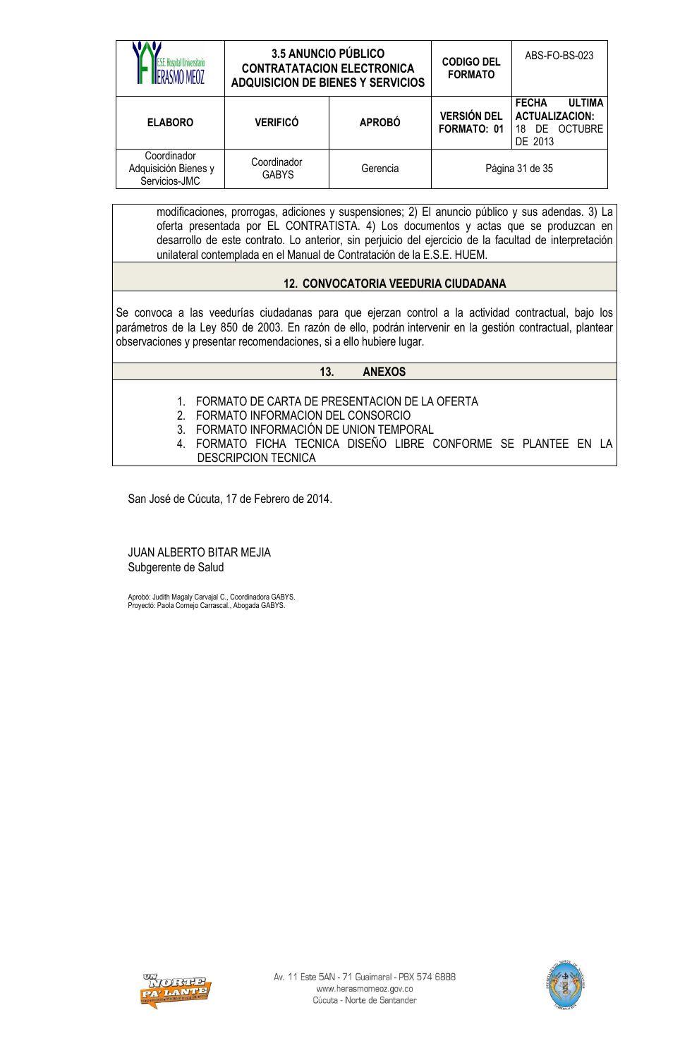|                                                      | <b>3.5 ANUNCIO PÚBLICO</b><br><b>CONTRATATACION ELECTRONICA</b><br><b>ADQUISICION DE BIENES Y SERVICIOS</b> |               | <b>CODIGO DEL</b><br><b>FORMATO</b> | ABS-FO-BS-023                                                                         |
|------------------------------------------------------|-------------------------------------------------------------------------------------------------------------|---------------|-------------------------------------|---------------------------------------------------------------------------------------|
| <b>ELABORO</b>                                       | <b>VERIFICÓ</b>                                                                                             | <b>APROBÓ</b> | <b>VERSIÓN DEL</b><br>FORMATO: 01   | <b>ULTIMA</b><br><b>FECHA</b><br><b>ACTUALIZACION:</b><br>DE OCTUBRE<br>18<br>DE 2013 |
| Coordinador<br>Adquisición Bienes y<br>Servicios-JMC | Coordinador<br><b>GABYS</b>                                                                                 | Gerencia      |                                     | Página 31 de 35                                                                       |

modificaciones, prorrogas, adiciones y suspensiones; 2) El anuncio público y sus adendas. 3) La oferta presentada por EL CONTRATISTA. 4) Los documentos y actas que se produzcan en desarrollo de este contrato. Lo anterior, sin perjuicio del ejercicio de la facultad de interpretación unilateral contemplada en el Manual de Contratación de la E.S.E. HUEM.

# **12. CONVOCATORIA VEEDURIA CIUDADANA**

Se convoca a las veedurías ciudadanas para que ejerzan control a la actividad contractual, bajo los parámetros de la Ley 850 de 2003. En razón de ello, podrán intervenir en la gestión contractual, plantear observaciones y presentar recomendaciones, si a ello hubiere lugar.

#### **13. ANEXOS**

- 1. FORMATO DE CARTA DE PRESENTACION DE LA OFERTA
- 2. FORMATO INFORMACION DEL CONSORCIO
- 3. FORMATO INFORMACIÓN DE UNION TEMPORAL
- 4. FORMATO FICHA TECNICA DISEÑO LIBRE CONFORME SE PLANTEE EN LA DESCRIPCION TECNICA

San José de Cúcuta, 17 de Febrero de 2014.

JUAN ALBERTO BITAR MEJIA Subgerente de Salud

Aprobó: Judith Magaly Carvajal C., Coordinadora GABYS. Proyectó: Paola Cornejo Carrascal., Abogada GABYS.



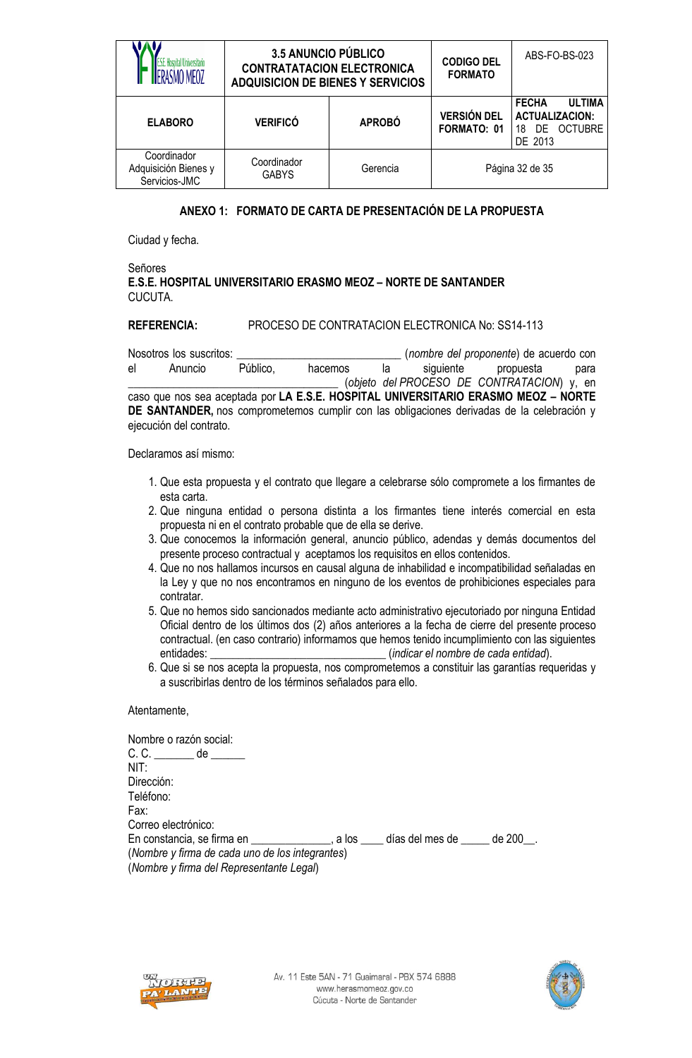|                                                      | <b>3.5 ANUNCIO PÚBLICO</b><br><b>CONTRATATACION ELECTRONICA</b><br><b>ADQUISICION DE BIENES Y SERVICIOS</b> |               | <b>CODIGO DEL</b><br><b>FORMATO</b>      | ABS-FO-BS-023                                                                                    |
|------------------------------------------------------|-------------------------------------------------------------------------------------------------------------|---------------|------------------------------------------|--------------------------------------------------------------------------------------------------|
| <b>ELABORO</b>                                       | <b>VERIFICÓ</b>                                                                                             | <b>APROBÓ</b> | <b>VERSIÓN DEL</b><br><b>FORMATO: 01</b> | <b>FECHA</b><br><b>ULTIMA</b><br><b>ACTUALIZACION:</b><br><b>OCTUBRE</b><br>DF.<br>18<br>DE 2013 |
| Coordinador<br>Adquisición Bienes y<br>Servicios-JMC | Coordinador<br><b>GABYS</b>                                                                                 | Gerencia      |                                          | Página 32 de 35                                                                                  |

### **ANEXO 1: FORMATO DE CARTA DE PRESENTACIÓN DE LA PROPUESTA**

Ciudad y fecha.

#### Señores **E.S.E. HOSPITAL UNIVERSITARIO ERASMO MEOZ – NORTE DE SANTANDER** CUCUTA.

#### **REFERENCIA:** PROCESO DE CONTRATACION ELECTRONICA No: SS14-113

Nosotros los suscritos: \_\_\_\_\_\_\_\_\_\_\_\_\_\_\_\_\_\_\_\_\_\_\_\_\_\_\_\_\_ (*nombre del proponente*) de acuerdo con el Anuncio Público, hacemos la siguiente propuesta para \_\_\_\_\_\_\_\_\_\_\_\_\_\_\_\_\_\_\_\_\_\_\_\_\_\_\_\_\_\_\_\_\_\_\_\_\_ (*objeto del PROCESO DE CONTRATACION*) y, en caso que nos sea aceptada por **LA E.S.E. HOSPITAL UNIVERSITARIO ERASMO MEOZ – NORTE DE SANTANDER,** nos comprometemos cumplir con las obligaciones derivadas de la celebración y ejecución del contrato.

Declaramos así mismo:

- 1. Que esta propuesta y el contrato que llegare a celebrarse sólo compromete a los firmantes de esta carta.
- 2. Que ninguna entidad o persona distinta a los firmantes tiene interés comercial en esta propuesta ni en el contrato probable que de ella se derive.
- 3. Que conocemos la información general, anuncio público, adendas y demás documentos del presente proceso contractual y aceptamos los requisitos en ellos contenidos.
- 4. Que no nos hallamos incursos en causal alguna de inhabilidad e incompatibilidad señaladas en la Ley y que no nos encontramos en ninguno de los eventos de prohibiciones especiales para contratar.
- 5. Que no hemos sido sancionados mediante acto administrativo ejecutoriado por ninguna Entidad Oficial dentro de los últimos dos (2) años anteriores a la fecha de cierre del presente proceso contractual. (en caso contrario) informamos que hemos tenido incumplimiento con las siguientes entidades: \_\_\_\_\_\_\_\_\_\_\_\_\_\_\_\_\_\_\_\_\_\_\_\_\_\_\_\_\_\_\_ (*indicar el nombre de cada entidad*).
- 6. Que si se nos acepta la propuesta, nos comprometemos a constituir las garantías requeridas y a suscribirlas dentro de los términos señalados para ello.

Atentamente,

| Nombre o razón social:                                                                                         |  |  |
|----------------------------------------------------------------------------------------------------------------|--|--|
| $C. C.$ ___________ de _______                                                                                 |  |  |
| NIT:                                                                                                           |  |  |
| Dirección:                                                                                                     |  |  |
| Teléfono:                                                                                                      |  |  |
| Fax:                                                                                                           |  |  |
| Correo electrónico:                                                                                            |  |  |
| En constancia, se firma en en el se el parte de se el se el se el se el se el se el se el se el se el se el se |  |  |
| (Nombre y firma de cada uno de los integrantes)                                                                |  |  |
| (Nombre y firma del Representante Legal)                                                                       |  |  |



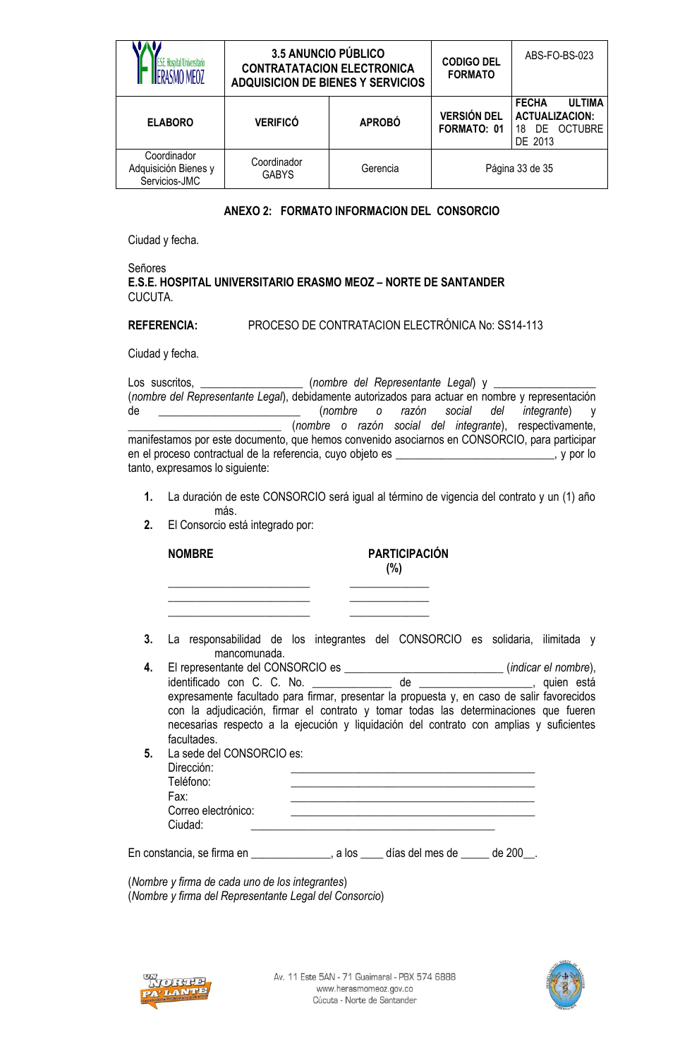|                                                      | <b>3.5 ANUNCIO PÚBLICO</b><br><b>CONTRATATACION ELECTRONICA</b><br><b>ADQUISICION DE BIENES Y SERVICIOS</b> |               | <b>CODIGO DEL</b><br><b>FORMATO</b>      | ABS-FO-BS-023                                                                                    |  |
|------------------------------------------------------|-------------------------------------------------------------------------------------------------------------|---------------|------------------------------------------|--------------------------------------------------------------------------------------------------|--|
| <b>ELABORO</b>                                       | <b>VERIFICÓ</b>                                                                                             | <b>APROBÓ</b> | <b>VERSIÓN DEL</b><br><b>FORMATO: 01</b> | <b>FECHA</b><br><b>ULTIMA</b><br><b>ACTUALIZACION:</b><br><b>OCTUBRE</b><br>DF.<br>18<br>DE 2013 |  |
| Coordinador<br>Adquisición Bienes y<br>Servicios-JMC | Coordinador<br><b>GABYS</b>                                                                                 | Gerencia      |                                          | Página 33 de 35                                                                                  |  |

### **ANEXO 2: FORMATO INFORMACION DEL CONSORCIO**

Ciudad y fecha.

#### Señores **E.S.E. HOSPITAL UNIVERSITARIO ERASMO MEOZ – NORTE DE SANTANDER** CUCUTA.

### **REFERENCIA:** PROCESO DE CONTRATACION ELECTRÓNICA No: SS14-113

Ciudad y fecha.

Los suscritos, \_\_\_\_\_\_\_\_\_\_\_\_\_\_\_\_\_\_\_\_\_\_\_ (nombre del Representante Legal) y \_\_ (*nombre del Representante Legal*), debidamente autorizados para actuar en nombre y representación de \_\_\_\_\_\_\_\_\_\_\_\_\_\_\_\_\_\_\_\_\_\_\_\_\_ (*nombre o razón social del integrante*) y \_\_\_\_\_\_\_\_\_\_\_\_\_\_\_\_\_\_\_\_\_\_\_\_\_\_\_ (*nombre o razón social del integrante*), respectivamente, manifestamos por este documento, que hemos convenido asociarnos en CONSORCIO, para participar en el proceso contractual de la referencia, cuyo objeto es \_\_\_\_\_\_\_\_\_\_\_\_\_\_\_\_\_\_\_\_\_\_\_\_\_\_\_\_, y por lo tanto, expresamos lo siguiente:

- **1.** La duración de este CONSORCIO será igual al término de vigencia del contrato y un (1) año más.
- **2.** El Consorcio está integrado por:

| <b>NOMBRE</b> | <b>PARTICIPACIÓN</b><br>(%) |
|---------------|-----------------------------|
|               |                             |
|               |                             |

- **3.** La responsabilidad de los integrantes del CONSORCIO es solidaria, ilimitada y mancomunada.
- **4.** El representante del CONSORCIO es \_\_\_\_\_\_\_\_\_\_\_\_\_\_\_\_\_\_\_\_\_\_\_\_\_\_\_\_ (*indicar el nombre*), identificado con C. C. No. \_\_\_\_\_\_\_\_\_\_\_\_\_ de \_\_\_\_\_\_\_\_\_\_\_\_\_\_\_, quien está expresamente facultado para firmar, presentar la propuesta y, en caso de salir favorecidos con la adjudicación, firmar el contrato y tomar todas las determinaciones que fueren necesarias respecto a la ejecución y liquidación del contrato con amplias y suficientes facultades.
- **5.** La sede del CONSORCIO es: Dirección: \_\_\_\_\_\_\_\_\_\_\_\_\_\_\_\_\_\_\_\_\_\_\_\_\_\_\_\_\_\_\_\_\_\_\_\_\_\_\_\_\_\_\_ Teléfono: Fax: \_\_\_\_\_\_\_\_\_\_\_\_\_\_\_\_\_\_\_\_\_\_\_\_\_\_\_\_\_\_\_\_\_\_\_\_\_\_\_\_\_\_\_ Correo electrónico: Ciudad:

En constancia, se firma en en en el a los eles días del mes de  $\sim$  de 200  $\,$ .

(*Nombre y firma de cada uno de los integrantes*) (*Nombre y firma del Representante Legal del Consorcio*)



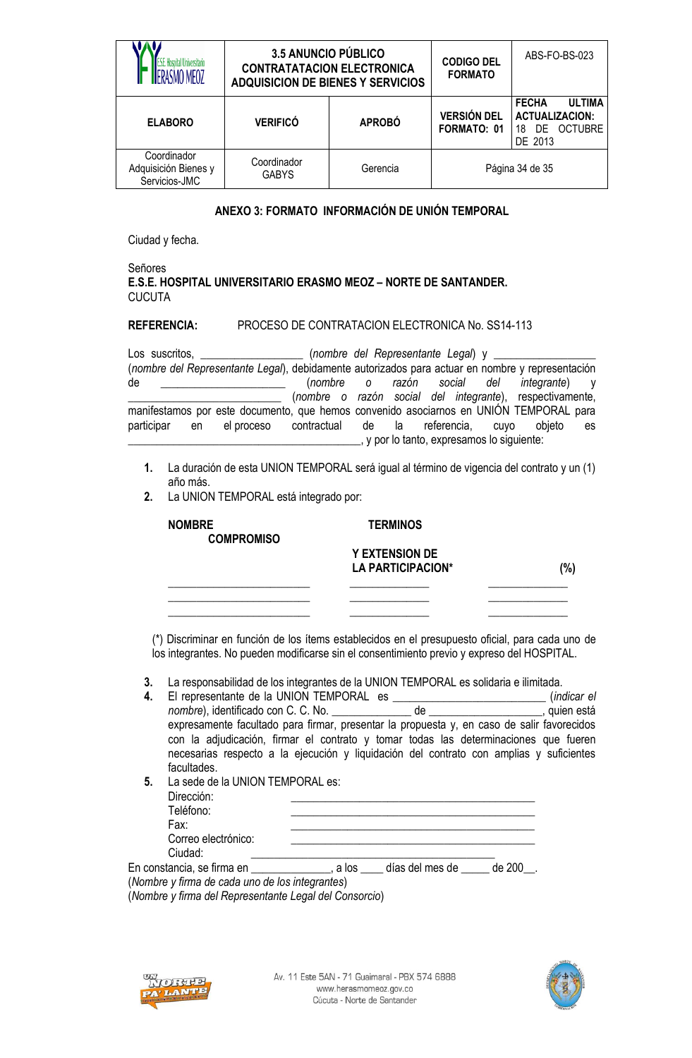| ISMO MFO7                                            | <b>3.5 ANUNCIO PÚBLICO</b><br><b>CONTRATATACION ELECTRONICA</b><br><b>ADQUISICION DE BIENES Y SERVICIOS</b> |               | <b>CODIGO DEL</b><br><b>FORMATO</b> | ABS-FO-BS-023                                                                                   |  |
|------------------------------------------------------|-------------------------------------------------------------------------------------------------------------|---------------|-------------------------------------|-------------------------------------------------------------------------------------------------|--|
| <b>ELABORO</b>                                       | <b>VERIFICÓ</b>                                                                                             | <b>APROBÓ</b> | <b>VERSIÓN DEL</b><br>FORMATO: 01   | <b>FECHA</b><br><b>ULTIMA</b><br><b>ACTUALIZACION:</b><br><b>OCTUBRE</b><br>DF<br>18<br>DE 2013 |  |
| Coordinador<br>Adquisición Bienes y<br>Servicios-JMC | Coordinador<br><b>GABYS</b>                                                                                 | Gerencia      |                                     | Página 34 de 35                                                                                 |  |

## **ANEXO 3: FORMATO INFORMACIÓN DE UNIÓN TEMPORAL**

Ciudad y fecha.

#### Señores **E.S.E. HOSPITAL UNIVERSITARIO ERASMO MEOZ – NORTE DE SANTANDER.** CUCUTA

#### **REFERENCIA:** PROCESO DE CONTRATACION ELECTRONICA No. SS14-113

| Los suscritos, |       |                                                                                                  |                                                          |  | (nombre del Representante Legal) y ________ |                       |    |
|----------------|-------|--------------------------------------------------------------------------------------------------|----------------------------------------------------------|--|---------------------------------------------|-----------------------|----|
|                |       | (nombre del Representante Legal), debidamente autorizados para actuar en nombre y representación |                                                          |  |                                             |                       |    |
| de             |       |                                                                                                  | (nombre o razón social del                               |  |                                             | <i>integrante</i> ) y |    |
|                |       |                                                                                                  | (nombre o razón social del integrante), respectivamente, |  |                                             |                       |    |
|                |       | manifestamos por este documento, que hemos convenido asociarnos en UNIÓN TEMPORAL para           |                                                          |  |                                             |                       |    |
| participar     | en en | el proceso                                                                                       | contractual de la referencia,                            |  | <b>CUVO</b>                                 | objeto                | es |
|                |       |                                                                                                  |                                                          |  | , y por lo tanto, expresamos lo siguiente:  |                       |    |

- **1.** La duración de esta UNION TEMPORAL será igual al término de vigencia del contrato y un (1) año más.
- **2.** La UNION TEMPORAL está integrado por:

| <b>NOMBRE</b><br><b>COMPROMISO</b> | <b>TERMINOS</b>                            |     |
|------------------------------------|--------------------------------------------|-----|
|                                    | <b>Y EXTENSION DE</b><br>LA PARTICIPACION* | (%) |
|                                    |                                            |     |

(\*) Discriminar en función de los ítems establecidos en el presupuesto oficial, para cada uno de los integrantes. No pueden modificarse sin el consentimiento previo y expreso del HOSPITAL.

**3.** La responsabilidad de los integrantes de la UNION TEMPORAL es solidaria e ilimitada.

| 4. |                                                 |  | (indicar el                                                                                                                                                                                                                                                                   |
|----|-------------------------------------------------|--|-------------------------------------------------------------------------------------------------------------------------------------------------------------------------------------------------------------------------------------------------------------------------------|
|    |                                                 |  |                                                                                                                                                                                                                                                                               |
|    |                                                 |  | expresamente facultado para firmar, presentar la propuesta y, en caso de salir favorecidos<br>con la adjudicación, firmar el contrato y tomar todas las determinaciones que fueren<br>necesarias respecto a la ejecución y liquidación del contrato con amplias y suficientes |
|    | facultades.                                     |  |                                                                                                                                                                                                                                                                               |
| 5. | La sede de la UNION TEMPORAL es:                |  |                                                                                                                                                                                                                                                                               |
|    | Dirección:                                      |  |                                                                                                                                                                                                                                                                               |
|    | Teléfono:                                       |  |                                                                                                                                                                                                                                                                               |
|    | Fax:                                            |  |                                                                                                                                                                                                                                                                               |
|    | Correo electrónico:                             |  |                                                                                                                                                                                                                                                                               |
|    | Ciudad:                                         |  |                                                                                                                                                                                                                                                                               |
|    | (Nombre y firma de cada uno de los integrantes) |  |                                                                                                                                                                                                                                                                               |

(*Nombre y firma del Representante Legal del Consorcio*)